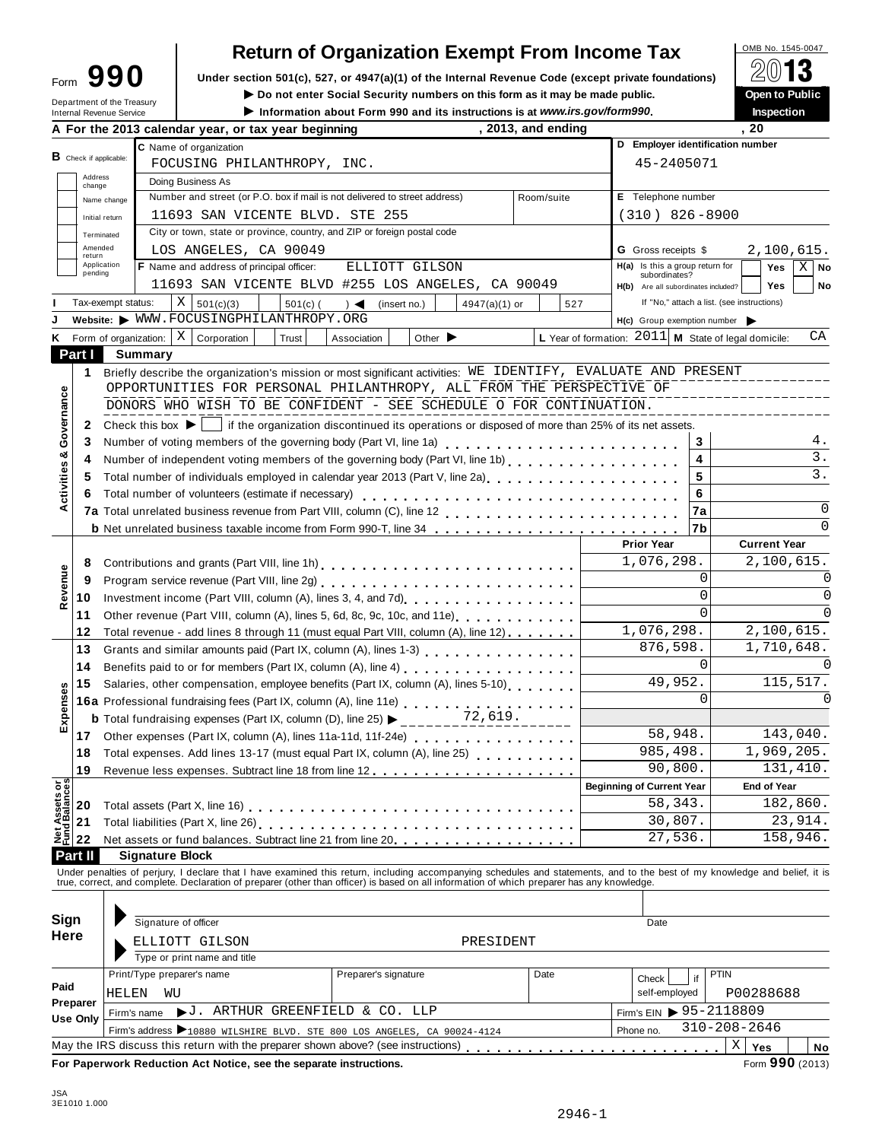| Form                                                          | Ч |  |  |  |  |  |  |  |
|---------------------------------------------------------------|---|--|--|--|--|--|--|--|
| Department of the Treasury<br><b>Internal Revenue Service</b> |   |  |  |  |  |  |  |  |

### **Return of Organization Exempt From Income Tax**  $\frac{\text{OMB No. 1545-0047}}{20}$

**Under section 501(c), 527, or 4947(a)(1)** of the Internal Revenue Code (except private foundations) <u>Form **990**</u> **E D internal Revenue** Code (except private foundations) **Form 30 E 10 E 2012 D 10 Publ** 

■ **Do** not enter Social Security numbers on this form as it may be made public. **Download** Open to Public <br>■ Information about Form 990 and its instructions is at www.irs.gov/form990. Inspection

Information about Form 990 and its instructions is at www.irs.gov/form990.

| D Employer identification number<br>C Name of organization<br><b>B</b> Check if applicable:<br>FOCUSING PHILANTHROPY, INC.<br>45-2405071<br>Address<br>Doing Business As<br>change<br>Number and street (or P.O. box if mail is not delivered to street address)<br>E Telephone number<br>Room/suite<br>Name change<br>$(310)$ 826-8900<br>11693 SAN VICENTE BLVD. STE 255<br>Initial return<br>City or town, state or province, country, and ZIP or foreign postal code<br>Terminated<br>Amended<br>LOS ANGELES, CA 90049<br><b>G</b> Gross receipts \$<br>return<br>Application<br><b>F</b> Name and address of principal officer:<br>H(a) Is this a group return for<br>ELLIOTT GILSON<br><b>Yes</b><br>pending<br>subordinates?<br>11693 SAN VICENTE BLVD #255 LOS ANGELES, CA 90049<br>Yes<br>H(b) Are all subordinates included?<br>X   501(c)(3)<br>Tax-exempt status:<br>If "No," attach a list. (see instructions)<br>$501(c)$ (<br>527<br>$\rightarrow$<br>(insert no.)<br>$4947(a)(1)$ or<br>Website: WWW.FOCUSINGPHILANTHROPY.ORG<br>$H(c)$ Group exemption number<br>L Year of formation: $2011$ M State of legal domicile:<br>Form of organization: $\mid X \mid$ Corporation<br>Trust<br>Other $\blacktriangleright$<br>Association<br>Part I<br><b>Summary</b><br>Briefly describe the organization's mission or most significant activities: WE IDENTIFY, EVALUATE AND PRESENT<br>$\mathbf 1$<br>OPPORTUNITIES FOR PERSONAL PHILANTHROPY, ALL FROM THE PERSPECTIVE OF<br>Governance<br>DONORS WHO WISH TO BE CONFIDENT - SEE SCHEDULE O FOR CONTINUATION.<br>Check this box $\blacktriangleright$   if the organization discontinued its operations or disposed of more than 25% of its net assets.<br>2<br>3<br>4.<br>3<br>ఱ<br>$\overline{3}$ .<br>4<br>4<br>Activities<br>$\overline{3}$ .<br>5<br>Total number of individuals employed in calendar year 2013 (Part V, line 2a)<br>Total number of individuals employed in calendar year 2013 (Part V, line 2a)<br>5<br>6<br>6<br>7a<br><b>b</b> Net unrelated business taxable income from Form 990-T, line 34<br> 7b<br><b>Current Year</b><br><b>Prior Year</b><br>1,076,298.<br>2,100,615.<br>Contributions and grants (Part VIII, line 1h)<br><br>8<br>Revenue<br>0<br>9<br>0<br>Investment income (Part VIII, column (A), lines 3, 4, and 7d)<br>[10] The Letter Letter Letter Letter Letter Letter Letter Letter Letter Letter Letter Letter Letter Letter Letter Letter Letter Letter Letter Letter Letter Let<br>10<br>$\Omega$<br>Other revenue (Part VIII, column (A), lines 5, 6d, 8c, 9c, 10c, and 11e)<br>11<br>1,076,298.<br>$\overline{2,100}$ , 615.<br>12<br>Total revenue - add lines 8 through 11 (must equal Part VIII, column (A), line 12)<br>876,598.<br>1,710,648.<br>13<br>Grants and similar amounts paid (Part IX, column (A), lines 1-3)<br>$\Omega$<br>14<br>49,952.<br>115,517.<br>Salaries, other compensation, employee benefits (Part IX, column (A), lines 5-10)<br>15<br>Expenses<br>$\Omega$<br>16a Professional fundraising fees (Part IX, column (A), line 11e)<br>16a Professional fundraising fees (Part IX, column (A), line 11e)<br>58,948.<br>143,040.<br>17<br>985,498.<br>1,969,205.<br>Total expenses. Add lines 13-17 (must equal Part IX, column (A), line 25) [ [ [ [ ] ]<br>18<br>90,800.<br>131,410.<br>19<br><b>Net Assets or<br/>Fund Balances</b><br><b>Beginning of Current Year</b><br><b>End of Year</b><br>58,343.<br>182,860.<br>20<br>30,807.<br>23,914.<br>21<br>158,946.<br>27,536.<br>22<br>Net assets or fund balances. Subtract line 21 from line 20.<br>Part II<br><b>Signature Block</b><br>Under penalties of perjury, I declare that I have examined this return, including accompanying schedules and statements, and to the best of my knowledge and belief, it is<br>true, correct, and complete. Declaration of preparer (other than officer) is based on all information of which preparer has any knowledge.<br>Sign<br>Signature of officer<br>Date<br>Here<br>ELLIOTT GILSON<br>PRESIDENT<br>Type or print name and title<br>Print/Type preparer's name<br><b>PTIN</b><br>Preparer's signature<br>Date<br>if<br>Check<br>Paid<br>P00288688<br>HELEN<br>WU<br>self-employed<br>Preparer<br>J. ARTHUR GREENFIELD & CO. LLP<br>Firm's EIN ▶ 95-2118809<br>Firm's name<br><b>Use Only</b><br>$310 - 208 - 2646$<br>Phone no.<br>Firm's address >10880 WILSHIRE BLVD. STE 800 LOS ANGELES, CA 90024-4124<br>May the IRS discuss this return with the preparer shown above? (see instructions)<br>Χ<br>Yes<br>. |   |  | A For the 2013 calendar year, or tax year beginning |  | , 2013, and ending | , 20            |
|-------------------------------------------------------------------------------------------------------------------------------------------------------------------------------------------------------------------------------------------------------------------------------------------------------------------------------------------------------------------------------------------------------------------------------------------------------------------------------------------------------------------------------------------------------------------------------------------------------------------------------------------------------------------------------------------------------------------------------------------------------------------------------------------------------------------------------------------------------------------------------------------------------------------------------------------------------------------------------------------------------------------------------------------------------------------------------------------------------------------------------------------------------------------------------------------------------------------------------------------------------------------------------------------------------------------------------------------------------------------------------------------------------------------------------------------------------------------------------------------------------------------------------------------------------------------------------------------------------------------------------------------------------------------------------------------------------------------------------------------------------------------------------------------------------------------------------------------------------------------------------------------------------------------------------------------------------------------------------------------------------------------------------------------------------------------------------------------------------------------------------------------------------------------------------------------------------------------------------------------------------------------------------------------------------------------------------------------------------------------------------------------------------------------------------------------------------------------------------------------------------------------------------------------------------------------------------------------------------------------------------------------------------------------------------------------------------------------------------------------------------------------------------------------------------------------------------------------------------------------------------------------------------------------------------------------------------------------------------------------------------------------------------------------------------------------------------------------------------------------------------------------------------------------------------------------------------------------------------------------------------------------------------------------------------------------------------------------------------------------------------------------------------------------------------------------------------------------------------------------------------------------------------------------------------------------------------------------------------------------------------------------------------------------------------------------------------------------------------------------------------------------------------------------------------------------------------------------------------------------------------------------------------------------------------------------------------------------------------------------------------------------------------------------------------------------------------------------------------------------------------------------------------------------------------------------------------------------------------------------------------------------------------------------------------------------------------------------------------------------------------------------------------------------------------------------------------------------------------------------------------------------------------------------------------------|---|--|-----------------------------------------------------|--|--------------------|-----------------|
|                                                                                                                                                                                                                                                                                                                                                                                                                                                                                                                                                                                                                                                                                                                                                                                                                                                                                                                                                                                                                                                                                                                                                                                                                                                                                                                                                                                                                                                                                                                                                                                                                                                                                                                                                                                                                                                                                                                                                                                                                                                                                                                                                                                                                                                                                                                                                                                                                                                                                                                                                                                                                                                                                                                                                                                                                                                                                                                                                                                                                                                                                                                                                                                                                                                                                                                                                                                                                                                                                                                                                                                                                                                                                                                                                                                                                                                                                                                                                                                                                                                                                                                                                                                                                                                                                                                                                                                                                                                                                                                                                             |   |  |                                                     |  |                    |                 |
|                                                                                                                                                                                                                                                                                                                                                                                                                                                                                                                                                                                                                                                                                                                                                                                                                                                                                                                                                                                                                                                                                                                                                                                                                                                                                                                                                                                                                                                                                                                                                                                                                                                                                                                                                                                                                                                                                                                                                                                                                                                                                                                                                                                                                                                                                                                                                                                                                                                                                                                                                                                                                                                                                                                                                                                                                                                                                                                                                                                                                                                                                                                                                                                                                                                                                                                                                                                                                                                                                                                                                                                                                                                                                                                                                                                                                                                                                                                                                                                                                                                                                                                                                                                                                                                                                                                                                                                                                                                                                                                                                             |   |  |                                                     |  |                    |                 |
|                                                                                                                                                                                                                                                                                                                                                                                                                                                                                                                                                                                                                                                                                                                                                                                                                                                                                                                                                                                                                                                                                                                                                                                                                                                                                                                                                                                                                                                                                                                                                                                                                                                                                                                                                                                                                                                                                                                                                                                                                                                                                                                                                                                                                                                                                                                                                                                                                                                                                                                                                                                                                                                                                                                                                                                                                                                                                                                                                                                                                                                                                                                                                                                                                                                                                                                                                                                                                                                                                                                                                                                                                                                                                                                                                                                                                                                                                                                                                                                                                                                                                                                                                                                                                                                                                                                                                                                                                                                                                                                                                             |   |  |                                                     |  |                    |                 |
|                                                                                                                                                                                                                                                                                                                                                                                                                                                                                                                                                                                                                                                                                                                                                                                                                                                                                                                                                                                                                                                                                                                                                                                                                                                                                                                                                                                                                                                                                                                                                                                                                                                                                                                                                                                                                                                                                                                                                                                                                                                                                                                                                                                                                                                                                                                                                                                                                                                                                                                                                                                                                                                                                                                                                                                                                                                                                                                                                                                                                                                                                                                                                                                                                                                                                                                                                                                                                                                                                                                                                                                                                                                                                                                                                                                                                                                                                                                                                                                                                                                                                                                                                                                                                                                                                                                                                                                                                                                                                                                                                             |   |  |                                                     |  |                    |                 |
|                                                                                                                                                                                                                                                                                                                                                                                                                                                                                                                                                                                                                                                                                                                                                                                                                                                                                                                                                                                                                                                                                                                                                                                                                                                                                                                                                                                                                                                                                                                                                                                                                                                                                                                                                                                                                                                                                                                                                                                                                                                                                                                                                                                                                                                                                                                                                                                                                                                                                                                                                                                                                                                                                                                                                                                                                                                                                                                                                                                                                                                                                                                                                                                                                                                                                                                                                                                                                                                                                                                                                                                                                                                                                                                                                                                                                                                                                                                                                                                                                                                                                                                                                                                                                                                                                                                                                                                                                                                                                                                                                             |   |  |                                                     |  |                    |                 |
|                                                                                                                                                                                                                                                                                                                                                                                                                                                                                                                                                                                                                                                                                                                                                                                                                                                                                                                                                                                                                                                                                                                                                                                                                                                                                                                                                                                                                                                                                                                                                                                                                                                                                                                                                                                                                                                                                                                                                                                                                                                                                                                                                                                                                                                                                                                                                                                                                                                                                                                                                                                                                                                                                                                                                                                                                                                                                                                                                                                                                                                                                                                                                                                                                                                                                                                                                                                                                                                                                                                                                                                                                                                                                                                                                                                                                                                                                                                                                                                                                                                                                                                                                                                                                                                                                                                                                                                                                                                                                                                                                             |   |  |                                                     |  |                    |                 |
|                                                                                                                                                                                                                                                                                                                                                                                                                                                                                                                                                                                                                                                                                                                                                                                                                                                                                                                                                                                                                                                                                                                                                                                                                                                                                                                                                                                                                                                                                                                                                                                                                                                                                                                                                                                                                                                                                                                                                                                                                                                                                                                                                                                                                                                                                                                                                                                                                                                                                                                                                                                                                                                                                                                                                                                                                                                                                                                                                                                                                                                                                                                                                                                                                                                                                                                                                                                                                                                                                                                                                                                                                                                                                                                                                                                                                                                                                                                                                                                                                                                                                                                                                                                                                                                                                                                                                                                                                                                                                                                                                             |   |  |                                                     |  |                    | 2,100,615.      |
|                                                                                                                                                                                                                                                                                                                                                                                                                                                                                                                                                                                                                                                                                                                                                                                                                                                                                                                                                                                                                                                                                                                                                                                                                                                                                                                                                                                                                                                                                                                                                                                                                                                                                                                                                                                                                                                                                                                                                                                                                                                                                                                                                                                                                                                                                                                                                                                                                                                                                                                                                                                                                                                                                                                                                                                                                                                                                                                                                                                                                                                                                                                                                                                                                                                                                                                                                                                                                                                                                                                                                                                                                                                                                                                                                                                                                                                                                                                                                                                                                                                                                                                                                                                                                                                                                                                                                                                                                                                                                                                                                             |   |  |                                                     |  |                    | $X \mid$ No     |
|                                                                                                                                                                                                                                                                                                                                                                                                                                                                                                                                                                                                                                                                                                                                                                                                                                                                                                                                                                                                                                                                                                                                                                                                                                                                                                                                                                                                                                                                                                                                                                                                                                                                                                                                                                                                                                                                                                                                                                                                                                                                                                                                                                                                                                                                                                                                                                                                                                                                                                                                                                                                                                                                                                                                                                                                                                                                                                                                                                                                                                                                                                                                                                                                                                                                                                                                                                                                                                                                                                                                                                                                                                                                                                                                                                                                                                                                                                                                                                                                                                                                                                                                                                                                                                                                                                                                                                                                                                                                                                                                                             |   |  |                                                     |  |                    | No              |
|                                                                                                                                                                                                                                                                                                                                                                                                                                                                                                                                                                                                                                                                                                                                                                                                                                                                                                                                                                                                                                                                                                                                                                                                                                                                                                                                                                                                                                                                                                                                                                                                                                                                                                                                                                                                                                                                                                                                                                                                                                                                                                                                                                                                                                                                                                                                                                                                                                                                                                                                                                                                                                                                                                                                                                                                                                                                                                                                                                                                                                                                                                                                                                                                                                                                                                                                                                                                                                                                                                                                                                                                                                                                                                                                                                                                                                                                                                                                                                                                                                                                                                                                                                                                                                                                                                                                                                                                                                                                                                                                                             |   |  |                                                     |  |                    |                 |
|                                                                                                                                                                                                                                                                                                                                                                                                                                                                                                                                                                                                                                                                                                                                                                                                                                                                                                                                                                                                                                                                                                                                                                                                                                                                                                                                                                                                                                                                                                                                                                                                                                                                                                                                                                                                                                                                                                                                                                                                                                                                                                                                                                                                                                                                                                                                                                                                                                                                                                                                                                                                                                                                                                                                                                                                                                                                                                                                                                                                                                                                                                                                                                                                                                                                                                                                                                                                                                                                                                                                                                                                                                                                                                                                                                                                                                                                                                                                                                                                                                                                                                                                                                                                                                                                                                                                                                                                                                                                                                                                                             |   |  |                                                     |  |                    |                 |
|                                                                                                                                                                                                                                                                                                                                                                                                                                                                                                                                                                                                                                                                                                                                                                                                                                                                                                                                                                                                                                                                                                                                                                                                                                                                                                                                                                                                                                                                                                                                                                                                                                                                                                                                                                                                                                                                                                                                                                                                                                                                                                                                                                                                                                                                                                                                                                                                                                                                                                                                                                                                                                                                                                                                                                                                                                                                                                                                                                                                                                                                                                                                                                                                                                                                                                                                                                                                                                                                                                                                                                                                                                                                                                                                                                                                                                                                                                                                                                                                                                                                                                                                                                                                                                                                                                                                                                                                                                                                                                                                                             | Κ |  |                                                     |  |                    | CA              |
|                                                                                                                                                                                                                                                                                                                                                                                                                                                                                                                                                                                                                                                                                                                                                                                                                                                                                                                                                                                                                                                                                                                                                                                                                                                                                                                                                                                                                                                                                                                                                                                                                                                                                                                                                                                                                                                                                                                                                                                                                                                                                                                                                                                                                                                                                                                                                                                                                                                                                                                                                                                                                                                                                                                                                                                                                                                                                                                                                                                                                                                                                                                                                                                                                                                                                                                                                                                                                                                                                                                                                                                                                                                                                                                                                                                                                                                                                                                                                                                                                                                                                                                                                                                                                                                                                                                                                                                                                                                                                                                                                             |   |  |                                                     |  |                    |                 |
|                                                                                                                                                                                                                                                                                                                                                                                                                                                                                                                                                                                                                                                                                                                                                                                                                                                                                                                                                                                                                                                                                                                                                                                                                                                                                                                                                                                                                                                                                                                                                                                                                                                                                                                                                                                                                                                                                                                                                                                                                                                                                                                                                                                                                                                                                                                                                                                                                                                                                                                                                                                                                                                                                                                                                                                                                                                                                                                                                                                                                                                                                                                                                                                                                                                                                                                                                                                                                                                                                                                                                                                                                                                                                                                                                                                                                                                                                                                                                                                                                                                                                                                                                                                                                                                                                                                                                                                                                                                                                                                                                             |   |  |                                                     |  |                    |                 |
|                                                                                                                                                                                                                                                                                                                                                                                                                                                                                                                                                                                                                                                                                                                                                                                                                                                                                                                                                                                                                                                                                                                                                                                                                                                                                                                                                                                                                                                                                                                                                                                                                                                                                                                                                                                                                                                                                                                                                                                                                                                                                                                                                                                                                                                                                                                                                                                                                                                                                                                                                                                                                                                                                                                                                                                                                                                                                                                                                                                                                                                                                                                                                                                                                                                                                                                                                                                                                                                                                                                                                                                                                                                                                                                                                                                                                                                                                                                                                                                                                                                                                                                                                                                                                                                                                                                                                                                                                                                                                                                                                             |   |  |                                                     |  |                    |                 |
|                                                                                                                                                                                                                                                                                                                                                                                                                                                                                                                                                                                                                                                                                                                                                                                                                                                                                                                                                                                                                                                                                                                                                                                                                                                                                                                                                                                                                                                                                                                                                                                                                                                                                                                                                                                                                                                                                                                                                                                                                                                                                                                                                                                                                                                                                                                                                                                                                                                                                                                                                                                                                                                                                                                                                                                                                                                                                                                                                                                                                                                                                                                                                                                                                                                                                                                                                                                                                                                                                                                                                                                                                                                                                                                                                                                                                                                                                                                                                                                                                                                                                                                                                                                                                                                                                                                                                                                                                                                                                                                                                             |   |  |                                                     |  |                    |                 |
|                                                                                                                                                                                                                                                                                                                                                                                                                                                                                                                                                                                                                                                                                                                                                                                                                                                                                                                                                                                                                                                                                                                                                                                                                                                                                                                                                                                                                                                                                                                                                                                                                                                                                                                                                                                                                                                                                                                                                                                                                                                                                                                                                                                                                                                                                                                                                                                                                                                                                                                                                                                                                                                                                                                                                                                                                                                                                                                                                                                                                                                                                                                                                                                                                                                                                                                                                                                                                                                                                                                                                                                                                                                                                                                                                                                                                                                                                                                                                                                                                                                                                                                                                                                                                                                                                                                                                                                                                                                                                                                                                             |   |  |                                                     |  |                    |                 |
|                                                                                                                                                                                                                                                                                                                                                                                                                                                                                                                                                                                                                                                                                                                                                                                                                                                                                                                                                                                                                                                                                                                                                                                                                                                                                                                                                                                                                                                                                                                                                                                                                                                                                                                                                                                                                                                                                                                                                                                                                                                                                                                                                                                                                                                                                                                                                                                                                                                                                                                                                                                                                                                                                                                                                                                                                                                                                                                                                                                                                                                                                                                                                                                                                                                                                                                                                                                                                                                                                                                                                                                                                                                                                                                                                                                                                                                                                                                                                                                                                                                                                                                                                                                                                                                                                                                                                                                                                                                                                                                                                             |   |  |                                                     |  |                    |                 |
|                                                                                                                                                                                                                                                                                                                                                                                                                                                                                                                                                                                                                                                                                                                                                                                                                                                                                                                                                                                                                                                                                                                                                                                                                                                                                                                                                                                                                                                                                                                                                                                                                                                                                                                                                                                                                                                                                                                                                                                                                                                                                                                                                                                                                                                                                                                                                                                                                                                                                                                                                                                                                                                                                                                                                                                                                                                                                                                                                                                                                                                                                                                                                                                                                                                                                                                                                                                                                                                                                                                                                                                                                                                                                                                                                                                                                                                                                                                                                                                                                                                                                                                                                                                                                                                                                                                                                                                                                                                                                                                                                             |   |  |                                                     |  |                    |                 |
|                                                                                                                                                                                                                                                                                                                                                                                                                                                                                                                                                                                                                                                                                                                                                                                                                                                                                                                                                                                                                                                                                                                                                                                                                                                                                                                                                                                                                                                                                                                                                                                                                                                                                                                                                                                                                                                                                                                                                                                                                                                                                                                                                                                                                                                                                                                                                                                                                                                                                                                                                                                                                                                                                                                                                                                                                                                                                                                                                                                                                                                                                                                                                                                                                                                                                                                                                                                                                                                                                                                                                                                                                                                                                                                                                                                                                                                                                                                                                                                                                                                                                                                                                                                                                                                                                                                                                                                                                                                                                                                                                             |   |  |                                                     |  |                    |                 |
|                                                                                                                                                                                                                                                                                                                                                                                                                                                                                                                                                                                                                                                                                                                                                                                                                                                                                                                                                                                                                                                                                                                                                                                                                                                                                                                                                                                                                                                                                                                                                                                                                                                                                                                                                                                                                                                                                                                                                                                                                                                                                                                                                                                                                                                                                                                                                                                                                                                                                                                                                                                                                                                                                                                                                                                                                                                                                                                                                                                                                                                                                                                                                                                                                                                                                                                                                                                                                                                                                                                                                                                                                                                                                                                                                                                                                                                                                                                                                                                                                                                                                                                                                                                                                                                                                                                                                                                                                                                                                                                                                             |   |  |                                                     |  |                    |                 |
|                                                                                                                                                                                                                                                                                                                                                                                                                                                                                                                                                                                                                                                                                                                                                                                                                                                                                                                                                                                                                                                                                                                                                                                                                                                                                                                                                                                                                                                                                                                                                                                                                                                                                                                                                                                                                                                                                                                                                                                                                                                                                                                                                                                                                                                                                                                                                                                                                                                                                                                                                                                                                                                                                                                                                                                                                                                                                                                                                                                                                                                                                                                                                                                                                                                                                                                                                                                                                                                                                                                                                                                                                                                                                                                                                                                                                                                                                                                                                                                                                                                                                                                                                                                                                                                                                                                                                                                                                                                                                                                                                             |   |  |                                                     |  |                    | 0               |
|                                                                                                                                                                                                                                                                                                                                                                                                                                                                                                                                                                                                                                                                                                                                                                                                                                                                                                                                                                                                                                                                                                                                                                                                                                                                                                                                                                                                                                                                                                                                                                                                                                                                                                                                                                                                                                                                                                                                                                                                                                                                                                                                                                                                                                                                                                                                                                                                                                                                                                                                                                                                                                                                                                                                                                                                                                                                                                                                                                                                                                                                                                                                                                                                                                                                                                                                                                                                                                                                                                                                                                                                                                                                                                                                                                                                                                                                                                                                                                                                                                                                                                                                                                                                                                                                                                                                                                                                                                                                                                                                                             |   |  |                                                     |  |                    | $\Omega$        |
|                                                                                                                                                                                                                                                                                                                                                                                                                                                                                                                                                                                                                                                                                                                                                                                                                                                                                                                                                                                                                                                                                                                                                                                                                                                                                                                                                                                                                                                                                                                                                                                                                                                                                                                                                                                                                                                                                                                                                                                                                                                                                                                                                                                                                                                                                                                                                                                                                                                                                                                                                                                                                                                                                                                                                                                                                                                                                                                                                                                                                                                                                                                                                                                                                                                                                                                                                                                                                                                                                                                                                                                                                                                                                                                                                                                                                                                                                                                                                                                                                                                                                                                                                                                                                                                                                                                                                                                                                                                                                                                                                             |   |  |                                                     |  |                    |                 |
|                                                                                                                                                                                                                                                                                                                                                                                                                                                                                                                                                                                                                                                                                                                                                                                                                                                                                                                                                                                                                                                                                                                                                                                                                                                                                                                                                                                                                                                                                                                                                                                                                                                                                                                                                                                                                                                                                                                                                                                                                                                                                                                                                                                                                                                                                                                                                                                                                                                                                                                                                                                                                                                                                                                                                                                                                                                                                                                                                                                                                                                                                                                                                                                                                                                                                                                                                                                                                                                                                                                                                                                                                                                                                                                                                                                                                                                                                                                                                                                                                                                                                                                                                                                                                                                                                                                                                                                                                                                                                                                                                             |   |  |                                                     |  |                    |                 |
|                                                                                                                                                                                                                                                                                                                                                                                                                                                                                                                                                                                                                                                                                                                                                                                                                                                                                                                                                                                                                                                                                                                                                                                                                                                                                                                                                                                                                                                                                                                                                                                                                                                                                                                                                                                                                                                                                                                                                                                                                                                                                                                                                                                                                                                                                                                                                                                                                                                                                                                                                                                                                                                                                                                                                                                                                                                                                                                                                                                                                                                                                                                                                                                                                                                                                                                                                                                                                                                                                                                                                                                                                                                                                                                                                                                                                                                                                                                                                                                                                                                                                                                                                                                                                                                                                                                                                                                                                                                                                                                                                             |   |  |                                                     |  | $\left( \right)$   |                 |
|                                                                                                                                                                                                                                                                                                                                                                                                                                                                                                                                                                                                                                                                                                                                                                                                                                                                                                                                                                                                                                                                                                                                                                                                                                                                                                                                                                                                                                                                                                                                                                                                                                                                                                                                                                                                                                                                                                                                                                                                                                                                                                                                                                                                                                                                                                                                                                                                                                                                                                                                                                                                                                                                                                                                                                                                                                                                                                                                                                                                                                                                                                                                                                                                                                                                                                                                                                                                                                                                                                                                                                                                                                                                                                                                                                                                                                                                                                                                                                                                                                                                                                                                                                                                                                                                                                                                                                                                                                                                                                                                                             |   |  |                                                     |  |                    | 0               |
|                                                                                                                                                                                                                                                                                                                                                                                                                                                                                                                                                                                                                                                                                                                                                                                                                                                                                                                                                                                                                                                                                                                                                                                                                                                                                                                                                                                                                                                                                                                                                                                                                                                                                                                                                                                                                                                                                                                                                                                                                                                                                                                                                                                                                                                                                                                                                                                                                                                                                                                                                                                                                                                                                                                                                                                                                                                                                                                                                                                                                                                                                                                                                                                                                                                                                                                                                                                                                                                                                                                                                                                                                                                                                                                                                                                                                                                                                                                                                                                                                                                                                                                                                                                                                                                                                                                                                                                                                                                                                                                                                             |   |  |                                                     |  |                    |                 |
|                                                                                                                                                                                                                                                                                                                                                                                                                                                                                                                                                                                                                                                                                                                                                                                                                                                                                                                                                                                                                                                                                                                                                                                                                                                                                                                                                                                                                                                                                                                                                                                                                                                                                                                                                                                                                                                                                                                                                                                                                                                                                                                                                                                                                                                                                                                                                                                                                                                                                                                                                                                                                                                                                                                                                                                                                                                                                                                                                                                                                                                                                                                                                                                                                                                                                                                                                                                                                                                                                                                                                                                                                                                                                                                                                                                                                                                                                                                                                                                                                                                                                                                                                                                                                                                                                                                                                                                                                                                                                                                                                             |   |  |                                                     |  |                    |                 |
|                                                                                                                                                                                                                                                                                                                                                                                                                                                                                                                                                                                                                                                                                                                                                                                                                                                                                                                                                                                                                                                                                                                                                                                                                                                                                                                                                                                                                                                                                                                                                                                                                                                                                                                                                                                                                                                                                                                                                                                                                                                                                                                                                                                                                                                                                                                                                                                                                                                                                                                                                                                                                                                                                                                                                                                                                                                                                                                                                                                                                                                                                                                                                                                                                                                                                                                                                                                                                                                                                                                                                                                                                                                                                                                                                                                                                                                                                                                                                                                                                                                                                                                                                                                                                                                                                                                                                                                                                                                                                                                                                             |   |  |                                                     |  |                    |                 |
|                                                                                                                                                                                                                                                                                                                                                                                                                                                                                                                                                                                                                                                                                                                                                                                                                                                                                                                                                                                                                                                                                                                                                                                                                                                                                                                                                                                                                                                                                                                                                                                                                                                                                                                                                                                                                                                                                                                                                                                                                                                                                                                                                                                                                                                                                                                                                                                                                                                                                                                                                                                                                                                                                                                                                                                                                                                                                                                                                                                                                                                                                                                                                                                                                                                                                                                                                                                                                                                                                                                                                                                                                                                                                                                                                                                                                                                                                                                                                                                                                                                                                                                                                                                                                                                                                                                                                                                                                                                                                                                                                             |   |  |                                                     |  |                    |                 |
|                                                                                                                                                                                                                                                                                                                                                                                                                                                                                                                                                                                                                                                                                                                                                                                                                                                                                                                                                                                                                                                                                                                                                                                                                                                                                                                                                                                                                                                                                                                                                                                                                                                                                                                                                                                                                                                                                                                                                                                                                                                                                                                                                                                                                                                                                                                                                                                                                                                                                                                                                                                                                                                                                                                                                                                                                                                                                                                                                                                                                                                                                                                                                                                                                                                                                                                                                                                                                                                                                                                                                                                                                                                                                                                                                                                                                                                                                                                                                                                                                                                                                                                                                                                                                                                                                                                                                                                                                                                                                                                                                             |   |  |                                                     |  |                    |                 |
|                                                                                                                                                                                                                                                                                                                                                                                                                                                                                                                                                                                                                                                                                                                                                                                                                                                                                                                                                                                                                                                                                                                                                                                                                                                                                                                                                                                                                                                                                                                                                                                                                                                                                                                                                                                                                                                                                                                                                                                                                                                                                                                                                                                                                                                                                                                                                                                                                                                                                                                                                                                                                                                                                                                                                                                                                                                                                                                                                                                                                                                                                                                                                                                                                                                                                                                                                                                                                                                                                                                                                                                                                                                                                                                                                                                                                                                                                                                                                                                                                                                                                                                                                                                                                                                                                                                                                                                                                                                                                                                                                             |   |  |                                                     |  |                    |                 |
|                                                                                                                                                                                                                                                                                                                                                                                                                                                                                                                                                                                                                                                                                                                                                                                                                                                                                                                                                                                                                                                                                                                                                                                                                                                                                                                                                                                                                                                                                                                                                                                                                                                                                                                                                                                                                                                                                                                                                                                                                                                                                                                                                                                                                                                                                                                                                                                                                                                                                                                                                                                                                                                                                                                                                                                                                                                                                                                                                                                                                                                                                                                                                                                                                                                                                                                                                                                                                                                                                                                                                                                                                                                                                                                                                                                                                                                                                                                                                                                                                                                                                                                                                                                                                                                                                                                                                                                                                                                                                                                                                             |   |  |                                                     |  |                    |                 |
|                                                                                                                                                                                                                                                                                                                                                                                                                                                                                                                                                                                                                                                                                                                                                                                                                                                                                                                                                                                                                                                                                                                                                                                                                                                                                                                                                                                                                                                                                                                                                                                                                                                                                                                                                                                                                                                                                                                                                                                                                                                                                                                                                                                                                                                                                                                                                                                                                                                                                                                                                                                                                                                                                                                                                                                                                                                                                                                                                                                                                                                                                                                                                                                                                                                                                                                                                                                                                                                                                                                                                                                                                                                                                                                                                                                                                                                                                                                                                                                                                                                                                                                                                                                                                                                                                                                                                                                                                                                                                                                                                             |   |  |                                                     |  |                    |                 |
|                                                                                                                                                                                                                                                                                                                                                                                                                                                                                                                                                                                                                                                                                                                                                                                                                                                                                                                                                                                                                                                                                                                                                                                                                                                                                                                                                                                                                                                                                                                                                                                                                                                                                                                                                                                                                                                                                                                                                                                                                                                                                                                                                                                                                                                                                                                                                                                                                                                                                                                                                                                                                                                                                                                                                                                                                                                                                                                                                                                                                                                                                                                                                                                                                                                                                                                                                                                                                                                                                                                                                                                                                                                                                                                                                                                                                                                                                                                                                                                                                                                                                                                                                                                                                                                                                                                                                                                                                                                                                                                                                             |   |  |                                                     |  |                    |                 |
|                                                                                                                                                                                                                                                                                                                                                                                                                                                                                                                                                                                                                                                                                                                                                                                                                                                                                                                                                                                                                                                                                                                                                                                                                                                                                                                                                                                                                                                                                                                                                                                                                                                                                                                                                                                                                                                                                                                                                                                                                                                                                                                                                                                                                                                                                                                                                                                                                                                                                                                                                                                                                                                                                                                                                                                                                                                                                                                                                                                                                                                                                                                                                                                                                                                                                                                                                                                                                                                                                                                                                                                                                                                                                                                                                                                                                                                                                                                                                                                                                                                                                                                                                                                                                                                                                                                                                                                                                                                                                                                                                             |   |  |                                                     |  |                    |                 |
|                                                                                                                                                                                                                                                                                                                                                                                                                                                                                                                                                                                                                                                                                                                                                                                                                                                                                                                                                                                                                                                                                                                                                                                                                                                                                                                                                                                                                                                                                                                                                                                                                                                                                                                                                                                                                                                                                                                                                                                                                                                                                                                                                                                                                                                                                                                                                                                                                                                                                                                                                                                                                                                                                                                                                                                                                                                                                                                                                                                                                                                                                                                                                                                                                                                                                                                                                                                                                                                                                                                                                                                                                                                                                                                                                                                                                                                                                                                                                                                                                                                                                                                                                                                                                                                                                                                                                                                                                                                                                                                                                             |   |  |                                                     |  |                    |                 |
|                                                                                                                                                                                                                                                                                                                                                                                                                                                                                                                                                                                                                                                                                                                                                                                                                                                                                                                                                                                                                                                                                                                                                                                                                                                                                                                                                                                                                                                                                                                                                                                                                                                                                                                                                                                                                                                                                                                                                                                                                                                                                                                                                                                                                                                                                                                                                                                                                                                                                                                                                                                                                                                                                                                                                                                                                                                                                                                                                                                                                                                                                                                                                                                                                                                                                                                                                                                                                                                                                                                                                                                                                                                                                                                                                                                                                                                                                                                                                                                                                                                                                                                                                                                                                                                                                                                                                                                                                                                                                                                                                             |   |  |                                                     |  |                    |                 |
|                                                                                                                                                                                                                                                                                                                                                                                                                                                                                                                                                                                                                                                                                                                                                                                                                                                                                                                                                                                                                                                                                                                                                                                                                                                                                                                                                                                                                                                                                                                                                                                                                                                                                                                                                                                                                                                                                                                                                                                                                                                                                                                                                                                                                                                                                                                                                                                                                                                                                                                                                                                                                                                                                                                                                                                                                                                                                                                                                                                                                                                                                                                                                                                                                                                                                                                                                                                                                                                                                                                                                                                                                                                                                                                                                                                                                                                                                                                                                                                                                                                                                                                                                                                                                                                                                                                                                                                                                                                                                                                                                             |   |  |                                                     |  |                    |                 |
|                                                                                                                                                                                                                                                                                                                                                                                                                                                                                                                                                                                                                                                                                                                                                                                                                                                                                                                                                                                                                                                                                                                                                                                                                                                                                                                                                                                                                                                                                                                                                                                                                                                                                                                                                                                                                                                                                                                                                                                                                                                                                                                                                                                                                                                                                                                                                                                                                                                                                                                                                                                                                                                                                                                                                                                                                                                                                                                                                                                                                                                                                                                                                                                                                                                                                                                                                                                                                                                                                                                                                                                                                                                                                                                                                                                                                                                                                                                                                                                                                                                                                                                                                                                                                                                                                                                                                                                                                                                                                                                                                             |   |  |                                                     |  |                    |                 |
|                                                                                                                                                                                                                                                                                                                                                                                                                                                                                                                                                                                                                                                                                                                                                                                                                                                                                                                                                                                                                                                                                                                                                                                                                                                                                                                                                                                                                                                                                                                                                                                                                                                                                                                                                                                                                                                                                                                                                                                                                                                                                                                                                                                                                                                                                                                                                                                                                                                                                                                                                                                                                                                                                                                                                                                                                                                                                                                                                                                                                                                                                                                                                                                                                                                                                                                                                                                                                                                                                                                                                                                                                                                                                                                                                                                                                                                                                                                                                                                                                                                                                                                                                                                                                                                                                                                                                                                                                                                                                                                                                             |   |  |                                                     |  |                    |                 |
|                                                                                                                                                                                                                                                                                                                                                                                                                                                                                                                                                                                                                                                                                                                                                                                                                                                                                                                                                                                                                                                                                                                                                                                                                                                                                                                                                                                                                                                                                                                                                                                                                                                                                                                                                                                                                                                                                                                                                                                                                                                                                                                                                                                                                                                                                                                                                                                                                                                                                                                                                                                                                                                                                                                                                                                                                                                                                                                                                                                                                                                                                                                                                                                                                                                                                                                                                                                                                                                                                                                                                                                                                                                                                                                                                                                                                                                                                                                                                                                                                                                                                                                                                                                                                                                                                                                                                                                                                                                                                                                                                             |   |  |                                                     |  |                    |                 |
|                                                                                                                                                                                                                                                                                                                                                                                                                                                                                                                                                                                                                                                                                                                                                                                                                                                                                                                                                                                                                                                                                                                                                                                                                                                                                                                                                                                                                                                                                                                                                                                                                                                                                                                                                                                                                                                                                                                                                                                                                                                                                                                                                                                                                                                                                                                                                                                                                                                                                                                                                                                                                                                                                                                                                                                                                                                                                                                                                                                                                                                                                                                                                                                                                                                                                                                                                                                                                                                                                                                                                                                                                                                                                                                                                                                                                                                                                                                                                                                                                                                                                                                                                                                                                                                                                                                                                                                                                                                                                                                                                             |   |  |                                                     |  |                    |                 |
|                                                                                                                                                                                                                                                                                                                                                                                                                                                                                                                                                                                                                                                                                                                                                                                                                                                                                                                                                                                                                                                                                                                                                                                                                                                                                                                                                                                                                                                                                                                                                                                                                                                                                                                                                                                                                                                                                                                                                                                                                                                                                                                                                                                                                                                                                                                                                                                                                                                                                                                                                                                                                                                                                                                                                                                                                                                                                                                                                                                                                                                                                                                                                                                                                                                                                                                                                                                                                                                                                                                                                                                                                                                                                                                                                                                                                                                                                                                                                                                                                                                                                                                                                                                                                                                                                                                                                                                                                                                                                                                                                             |   |  |                                                     |  |                    |                 |
|                                                                                                                                                                                                                                                                                                                                                                                                                                                                                                                                                                                                                                                                                                                                                                                                                                                                                                                                                                                                                                                                                                                                                                                                                                                                                                                                                                                                                                                                                                                                                                                                                                                                                                                                                                                                                                                                                                                                                                                                                                                                                                                                                                                                                                                                                                                                                                                                                                                                                                                                                                                                                                                                                                                                                                                                                                                                                                                                                                                                                                                                                                                                                                                                                                                                                                                                                                                                                                                                                                                                                                                                                                                                                                                                                                                                                                                                                                                                                                                                                                                                                                                                                                                                                                                                                                                                                                                                                                                                                                                                                             |   |  |                                                     |  |                    |                 |
|                                                                                                                                                                                                                                                                                                                                                                                                                                                                                                                                                                                                                                                                                                                                                                                                                                                                                                                                                                                                                                                                                                                                                                                                                                                                                                                                                                                                                                                                                                                                                                                                                                                                                                                                                                                                                                                                                                                                                                                                                                                                                                                                                                                                                                                                                                                                                                                                                                                                                                                                                                                                                                                                                                                                                                                                                                                                                                                                                                                                                                                                                                                                                                                                                                                                                                                                                                                                                                                                                                                                                                                                                                                                                                                                                                                                                                                                                                                                                                                                                                                                                                                                                                                                                                                                                                                                                                                                                                                                                                                                                             |   |  |                                                     |  |                    |                 |
|                                                                                                                                                                                                                                                                                                                                                                                                                                                                                                                                                                                                                                                                                                                                                                                                                                                                                                                                                                                                                                                                                                                                                                                                                                                                                                                                                                                                                                                                                                                                                                                                                                                                                                                                                                                                                                                                                                                                                                                                                                                                                                                                                                                                                                                                                                                                                                                                                                                                                                                                                                                                                                                                                                                                                                                                                                                                                                                                                                                                                                                                                                                                                                                                                                                                                                                                                                                                                                                                                                                                                                                                                                                                                                                                                                                                                                                                                                                                                                                                                                                                                                                                                                                                                                                                                                                                                                                                                                                                                                                                                             |   |  |                                                     |  |                    |                 |
|                                                                                                                                                                                                                                                                                                                                                                                                                                                                                                                                                                                                                                                                                                                                                                                                                                                                                                                                                                                                                                                                                                                                                                                                                                                                                                                                                                                                                                                                                                                                                                                                                                                                                                                                                                                                                                                                                                                                                                                                                                                                                                                                                                                                                                                                                                                                                                                                                                                                                                                                                                                                                                                                                                                                                                                                                                                                                                                                                                                                                                                                                                                                                                                                                                                                                                                                                                                                                                                                                                                                                                                                                                                                                                                                                                                                                                                                                                                                                                                                                                                                                                                                                                                                                                                                                                                                                                                                                                                                                                                                                             |   |  |                                                     |  |                    |                 |
|                                                                                                                                                                                                                                                                                                                                                                                                                                                                                                                                                                                                                                                                                                                                                                                                                                                                                                                                                                                                                                                                                                                                                                                                                                                                                                                                                                                                                                                                                                                                                                                                                                                                                                                                                                                                                                                                                                                                                                                                                                                                                                                                                                                                                                                                                                                                                                                                                                                                                                                                                                                                                                                                                                                                                                                                                                                                                                                                                                                                                                                                                                                                                                                                                                                                                                                                                                                                                                                                                                                                                                                                                                                                                                                                                                                                                                                                                                                                                                                                                                                                                                                                                                                                                                                                                                                                                                                                                                                                                                                                                             |   |  |                                                     |  |                    |                 |
|                                                                                                                                                                                                                                                                                                                                                                                                                                                                                                                                                                                                                                                                                                                                                                                                                                                                                                                                                                                                                                                                                                                                                                                                                                                                                                                                                                                                                                                                                                                                                                                                                                                                                                                                                                                                                                                                                                                                                                                                                                                                                                                                                                                                                                                                                                                                                                                                                                                                                                                                                                                                                                                                                                                                                                                                                                                                                                                                                                                                                                                                                                                                                                                                                                                                                                                                                                                                                                                                                                                                                                                                                                                                                                                                                                                                                                                                                                                                                                                                                                                                                                                                                                                                                                                                                                                                                                                                                                                                                                                                                             |   |  |                                                     |  |                    |                 |
|                                                                                                                                                                                                                                                                                                                                                                                                                                                                                                                                                                                                                                                                                                                                                                                                                                                                                                                                                                                                                                                                                                                                                                                                                                                                                                                                                                                                                                                                                                                                                                                                                                                                                                                                                                                                                                                                                                                                                                                                                                                                                                                                                                                                                                                                                                                                                                                                                                                                                                                                                                                                                                                                                                                                                                                                                                                                                                                                                                                                                                                                                                                                                                                                                                                                                                                                                                                                                                                                                                                                                                                                                                                                                                                                                                                                                                                                                                                                                                                                                                                                                                                                                                                                                                                                                                                                                                                                                                                                                                                                                             |   |  |                                                     |  |                    |                 |
|                                                                                                                                                                                                                                                                                                                                                                                                                                                                                                                                                                                                                                                                                                                                                                                                                                                                                                                                                                                                                                                                                                                                                                                                                                                                                                                                                                                                                                                                                                                                                                                                                                                                                                                                                                                                                                                                                                                                                                                                                                                                                                                                                                                                                                                                                                                                                                                                                                                                                                                                                                                                                                                                                                                                                                                                                                                                                                                                                                                                                                                                                                                                                                                                                                                                                                                                                                                                                                                                                                                                                                                                                                                                                                                                                                                                                                                                                                                                                                                                                                                                                                                                                                                                                                                                                                                                                                                                                                                                                                                                                             |   |  |                                                     |  |                    |                 |
|                                                                                                                                                                                                                                                                                                                                                                                                                                                                                                                                                                                                                                                                                                                                                                                                                                                                                                                                                                                                                                                                                                                                                                                                                                                                                                                                                                                                                                                                                                                                                                                                                                                                                                                                                                                                                                                                                                                                                                                                                                                                                                                                                                                                                                                                                                                                                                                                                                                                                                                                                                                                                                                                                                                                                                                                                                                                                                                                                                                                                                                                                                                                                                                                                                                                                                                                                                                                                                                                                                                                                                                                                                                                                                                                                                                                                                                                                                                                                                                                                                                                                                                                                                                                                                                                                                                                                                                                                                                                                                                                                             |   |  |                                                     |  |                    | No              |
| For Paperwork Reduction Act Notice, see the separate instructions.                                                                                                                                                                                                                                                                                                                                                                                                                                                                                                                                                                                                                                                                                                                                                                                                                                                                                                                                                                                                                                                                                                                                                                                                                                                                                                                                                                                                                                                                                                                                                                                                                                                                                                                                                                                                                                                                                                                                                                                                                                                                                                                                                                                                                                                                                                                                                                                                                                                                                                                                                                                                                                                                                                                                                                                                                                                                                                                                                                                                                                                                                                                                                                                                                                                                                                                                                                                                                                                                                                                                                                                                                                                                                                                                                                                                                                                                                                                                                                                                                                                                                                                                                                                                                                                                                                                                                                                                                                                                                          |   |  |                                                     |  |                    | Form 990 (2013) |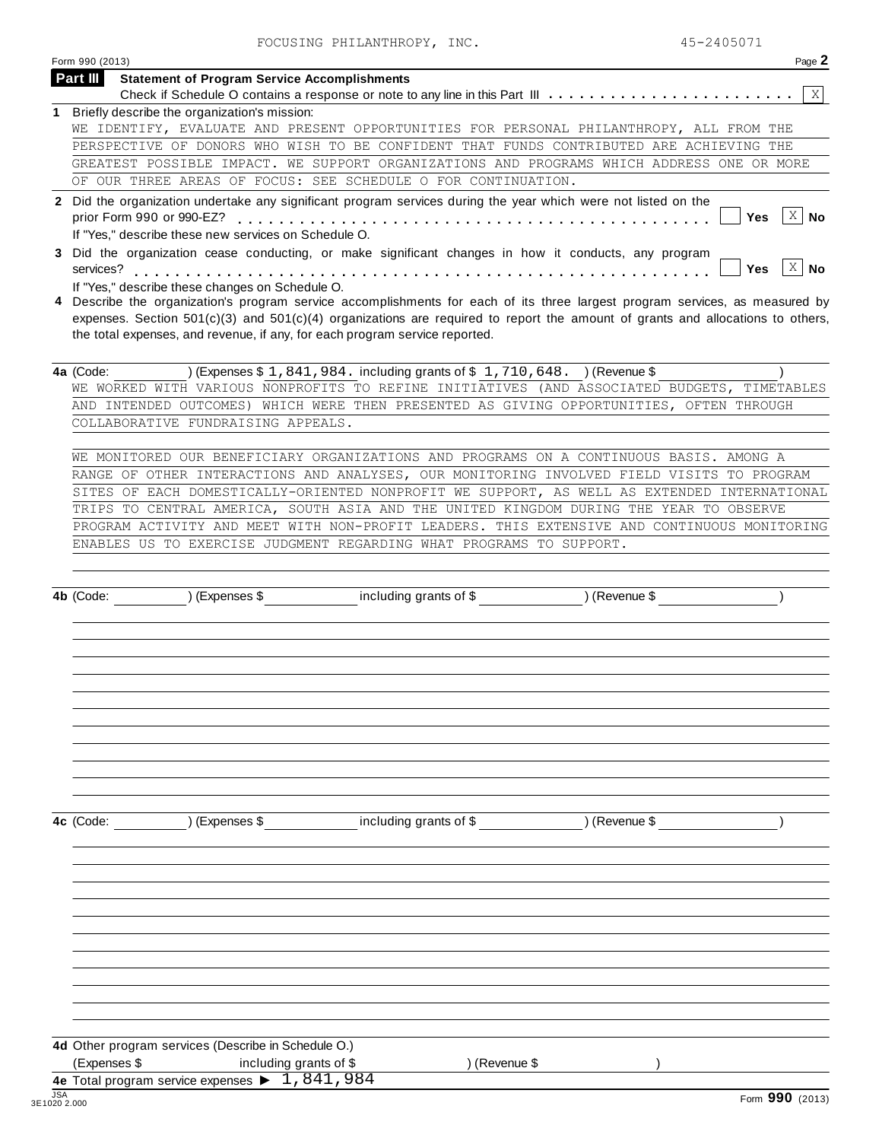|   | 45-2405071<br>FOCUSING PHILANTHROPY, INC.                                                                                                                                                                                                                                                                                                                                                            |
|---|------------------------------------------------------------------------------------------------------------------------------------------------------------------------------------------------------------------------------------------------------------------------------------------------------------------------------------------------------------------------------------------------------|
|   | Form 990 (2013)<br>Page 2<br><b>Part III</b>                                                                                                                                                                                                                                                                                                                                                         |
|   | <b>Statement of Program Service Accomplishments</b>                                                                                                                                                                                                                                                                                                                                                  |
| 1 | Briefly describe the organization's mission:                                                                                                                                                                                                                                                                                                                                                         |
|   | WE IDENTIFY, EVALUATE AND PRESENT OPPORTUNITIES FOR PERSONAL PHILANTHROPY, ALL FROM THE                                                                                                                                                                                                                                                                                                              |
|   | PERSPECTIVE OF DONORS WHO WISH TO BE CONFIDENT THAT FUNDS CONTRIBUTED ARE ACHIEVING THE                                                                                                                                                                                                                                                                                                              |
|   | GREATEST POSSIBLE IMPACT. WE SUPPORT ORGANIZATIONS AND PROGRAMS WHICH ADDRESS ONE OR MORE                                                                                                                                                                                                                                                                                                            |
|   | OF OUR THREE AREAS OF FOCUS: SEE SCHEDULE O FOR CONTINUATION.                                                                                                                                                                                                                                                                                                                                        |
|   | 2 Did the organization undertake any significant program services during the year which were not listed on the<br>$\mathbf{X}$<br>prior Form 990 or 990-EZ?<br><b>No</b><br>Yes                                                                                                                                                                                                                      |
|   | If "Yes," describe these new services on Schedule O.<br>3 Did the organization cease conducting, or make significant changes in how it conducts, any program<br>$\mathbf{X}$<br><b>No</b><br>services?<br>Yes                                                                                                                                                                                        |
|   | If "Yes," describe these changes on Schedule O.<br>4 Describe the organization's program service accomplishments for each of its three largest program services, as measured by<br>expenses. Section $501(c)(3)$ and $501(c)(4)$ organizations are required to report the amount of grants and allocations to others,<br>the total expenses, and revenue, if any, for each program service reported. |
|   | 4a (Code:<br>) (Expenses $$1,841,984$ . including grants of $$1,710,648$ . ) (Revenue $$$                                                                                                                                                                                                                                                                                                            |
|   | WE WORKED WITH VARIOUS NONPROFITS TO REFINE INITIATIVES (AND ASSOCIATED BUDGETS, TIMETABLES                                                                                                                                                                                                                                                                                                          |
|   | AND INTENDED OUTCOMES) WHICH WERE THEN PRESENTED AS GIVING OPPORTUNITIES, OFTEN THROUGH<br>COLLABORATIVE FUNDRAISING APPEALS.                                                                                                                                                                                                                                                                        |
|   | WE MONITORED OUR BENEFICIARY ORGANIZATIONS AND PROGRAMS ON A CONTINUOUS BASIS. AMONG A                                                                                                                                                                                                                                                                                                               |
|   | RANGE OF OTHER INTERACTIONS AND ANALYSES, OUR MONITORING INVOLVED FIELD VISITS TO PROGRAM                                                                                                                                                                                                                                                                                                            |
|   | SITES OF EACH DOMESTICALLY-ORIENTED NONPROFIT WE SUPPORT, AS WELL AS EXTENDED INTERNATIONAL                                                                                                                                                                                                                                                                                                          |
|   | TRIPS TO CENTRAL AMERICA, SOUTH ASIA AND THE UNITED KINGDOM DURING THE YEAR TO OBSERVE                                                                                                                                                                                                                                                                                                               |
|   | PROGRAM ACTIVITY AND MEET WITH NON-PROFIT LEADERS. THIS EXTENSIVE AND CONTINUOUS MONITORING                                                                                                                                                                                                                                                                                                          |
|   | ENABLES US TO EXERCISE JUDGMENT REGARDING WHAT PROGRAMS TO SUPPORT.                                                                                                                                                                                                                                                                                                                                  |
|   |                                                                                                                                                                                                                                                                                                                                                                                                      |
|   |                                                                                                                                                                                                                                                                                                                                                                                                      |
|   | including grants of \$<br>) (Revenue \$<br>4b (Code:<br>) (Expenses \$                                                                                                                                                                                                                                                                                                                               |
|   |                                                                                                                                                                                                                                                                                                                                                                                                      |
|   |                                                                                                                                                                                                                                                                                                                                                                                                      |
|   |                                                                                                                                                                                                                                                                                                                                                                                                      |
|   |                                                                                                                                                                                                                                                                                                                                                                                                      |
|   |                                                                                                                                                                                                                                                                                                                                                                                                      |
|   |                                                                                                                                                                                                                                                                                                                                                                                                      |
|   |                                                                                                                                                                                                                                                                                                                                                                                                      |
|   |                                                                                                                                                                                                                                                                                                                                                                                                      |
|   |                                                                                                                                                                                                                                                                                                                                                                                                      |
|   |                                                                                                                                                                                                                                                                                                                                                                                                      |
|   |                                                                                                                                                                                                                                                                                                                                                                                                      |
|   | including grants of \$<br>4c (Code:<br>) (Expenses \$<br>) (Revenue \$                                                                                                                                                                                                                                                                                                                               |
|   |                                                                                                                                                                                                                                                                                                                                                                                                      |
|   |                                                                                                                                                                                                                                                                                                                                                                                                      |
|   |                                                                                                                                                                                                                                                                                                                                                                                                      |
|   |                                                                                                                                                                                                                                                                                                                                                                                                      |
|   |                                                                                                                                                                                                                                                                                                                                                                                                      |
|   |                                                                                                                                                                                                                                                                                                                                                                                                      |
|   |                                                                                                                                                                                                                                                                                                                                                                                                      |
|   |                                                                                                                                                                                                                                                                                                                                                                                                      |
|   |                                                                                                                                                                                                                                                                                                                                                                                                      |
|   |                                                                                                                                                                                                                                                                                                                                                                                                      |
|   |                                                                                                                                                                                                                                                                                                                                                                                                      |
|   |                                                                                                                                                                                                                                                                                                                                                                                                      |
|   |                                                                                                                                                                                                                                                                                                                                                                                                      |
|   | 4d Other program services (Describe in Schedule O.)<br>(Expenses \$<br>including grants of \$                                                                                                                                                                                                                                                                                                        |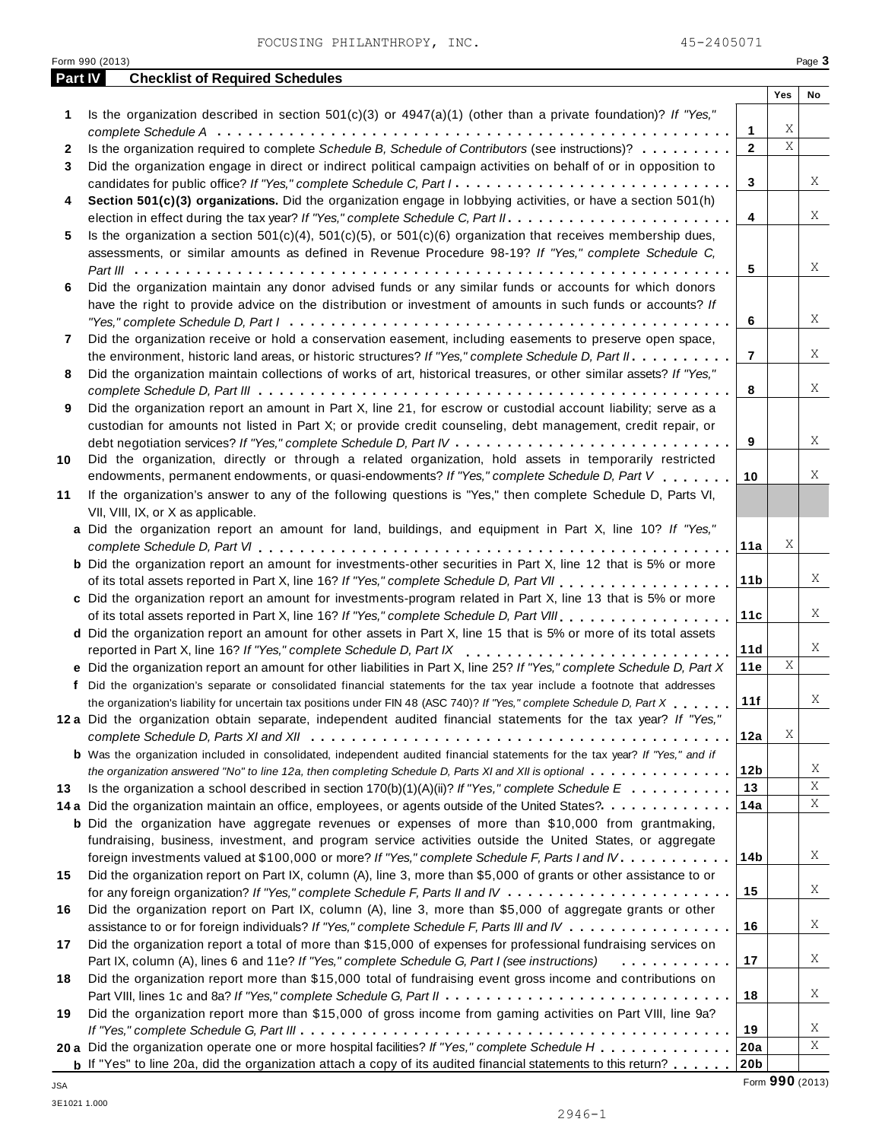|    | 45-2405071<br>FOCUSING PHILANTHROPY, INC.                                                                                           |                 |              |        |  |  |  |  |  |
|----|-------------------------------------------------------------------------------------------------------------------------------------|-----------------|--------------|--------|--|--|--|--|--|
|    | Form 990 (2013)                                                                                                                     |                 |              | Page 3 |  |  |  |  |  |
|    | <b>Checklist of Required Schedules</b><br><b>Part IV</b>                                                                            |                 | Yes          |        |  |  |  |  |  |
|    |                                                                                                                                     |                 |              | No     |  |  |  |  |  |
| 1  | Is the organization described in section $501(c)(3)$ or $4947(a)(1)$ (other than a private foundation)? If "Yes,"                   |                 |              |        |  |  |  |  |  |
|    |                                                                                                                                     | 1               | Χ<br>$\rm X$ |        |  |  |  |  |  |
| 2  | Is the organization required to complete Schedule B, Schedule of Contributors (see instructions)?                                   | $\mathbf{2}$    |              |        |  |  |  |  |  |
| 3  | Did the organization engage in direct or indirect political campaign activities on behalf of or in opposition to                    |                 |              |        |  |  |  |  |  |
|    | candidates for public office? If "Yes," complete Schedule C, Part I.                                                                | 3               |              | Χ      |  |  |  |  |  |
| 4  | Section 501(c)(3) organizations. Did the organization engage in lobbying activities, or have a section 501(h)                       |                 |              |        |  |  |  |  |  |
|    |                                                                                                                                     | 4               |              | Χ      |  |  |  |  |  |
| 5  | Is the organization a section $501(c)(4)$ , $501(c)(5)$ , or $501(c)(6)$ organization that receives membership dues,                |                 |              |        |  |  |  |  |  |
|    | assessments, or similar amounts as defined in Revenue Procedure 98-19? If "Yes," complete Schedule C,                               |                 |              |        |  |  |  |  |  |
|    |                                                                                                                                     | 5               |              | Χ      |  |  |  |  |  |
| 6  | Did the organization maintain any donor advised funds or any similar funds or accounts for which donors                             |                 |              |        |  |  |  |  |  |
|    | have the right to provide advice on the distribution or investment of amounts in such funds or accounts? If                         |                 |              |        |  |  |  |  |  |
|    |                                                                                                                                     | 6               |              | Χ      |  |  |  |  |  |
|    |                                                                                                                                     |                 |              |        |  |  |  |  |  |
| 7  | Did the organization receive or hold a conservation easement, including easements to preserve open space,                           |                 |              | Χ      |  |  |  |  |  |
|    | the environment, historic land areas, or historic structures? If "Yes," complete Schedule D, Part II.                               | 7               |              |        |  |  |  |  |  |
| 8  | Did the organization maintain collections of works of art, historical treasures, or other similar assets? If "Yes,"                 |                 |              |        |  |  |  |  |  |
|    |                                                                                                                                     | 8               |              | Χ      |  |  |  |  |  |
| 9  | Did the organization report an amount in Part X, line 21, for escrow or custodial account liability; serve as a                     |                 |              |        |  |  |  |  |  |
|    | custodian for amounts not listed in Part X; or provide credit counseling, debt management, credit repair, or                        |                 |              |        |  |  |  |  |  |
|    |                                                                                                                                     | 9               |              | Χ      |  |  |  |  |  |
| 10 | Did the organization, directly or through a related organization, hold assets in temporarily restricted                             |                 |              |        |  |  |  |  |  |
|    | endowments, permanent endowments, or quasi-endowments? If "Yes," complete Schedule D, Part V                                        | 10              |              | Χ      |  |  |  |  |  |
| 11 | If the organization's answer to any of the following questions is "Yes," then complete Schedule D, Parts VI,                        |                 |              |        |  |  |  |  |  |
|    | VII, VIII, IX, or X as applicable.                                                                                                  |                 |              |        |  |  |  |  |  |
|    | a Did the organization report an amount for land, buildings, and equipment in Part X, line 10? If "Yes,"                            |                 |              |        |  |  |  |  |  |
|    |                                                                                                                                     | 11a             | Χ            |        |  |  |  |  |  |
|    |                                                                                                                                     |                 |              |        |  |  |  |  |  |
|    | <b>b</b> Did the organization report an amount for investments-other securities in Part X, line 12 that is 5% or more               |                 |              | Χ      |  |  |  |  |  |
|    | of its total assets reported in Part X, line 16? If "Yes," complete Schedule D, Part VII                                            | 11 <sub>b</sub> |              |        |  |  |  |  |  |
|    | c Did the organization report an amount for investments-program related in Part X, line 13 that is 5% or more                       |                 |              |        |  |  |  |  |  |
|    | of its total assets reported in Part X, line 16? If "Yes," complete Schedule D, Part VIII                                           | 11c             |              | Χ      |  |  |  |  |  |
|    | d Did the organization report an amount for other assets in Part X, line 15 that is 5% or more of its total assets                  |                 |              |        |  |  |  |  |  |
|    | reported in Part X, line 16? If "Yes," complete Schedule D, Part IX                                                                 | 11d             |              | X      |  |  |  |  |  |
|    | e Did the organization report an amount for other liabilities in Part X, line 25? If "Yes," complete Schedule D, Part X             | 11e             | Χ            |        |  |  |  |  |  |
|    | f Did the organization's separate or consolidated financial statements for the tax year include a footnote that addresses           |                 |              |        |  |  |  |  |  |
|    | the organization's liability for uncertain tax positions under FIN 48 (ASC 740)? If "Yes," complete Schedule D, Part X              | 11f             |              | Χ      |  |  |  |  |  |
|    | 12a Did the organization obtain separate, independent audited financial statements for the tax year? If "Yes,"                      |                 |              |        |  |  |  |  |  |
|    |                                                                                                                                     | 12a             | Χ            |        |  |  |  |  |  |
|    | <b>b</b> Was the organization included in consolidated, independent audited financial statements for the tax year? If "Yes," and if |                 |              |        |  |  |  |  |  |
|    | the organization answered "No" to line 12a, then completing Schedule D, Parts XI and XII is optional                                | 12b             |              | Χ      |  |  |  |  |  |
|    |                                                                                                                                     | 13              |              | Χ      |  |  |  |  |  |
| 13 | Is the organization a school described in section $170(b)(1)(A)(ii)?$ If "Yes," complete Schedule E                                 | 14a             |              | Χ      |  |  |  |  |  |
|    | 14 a Did the organization maintain an office, employees, or agents outside of the United States?                                    |                 |              |        |  |  |  |  |  |
|    | <b>b</b> Did the organization have aggregate revenues or expenses of more than \$10,000 from grantmaking,                           |                 |              |        |  |  |  |  |  |
|    | fundraising, business, investment, and program service activities outside the United States, or aggregate                           |                 |              |        |  |  |  |  |  |
|    | foreign investments valued at \$100,000 or more? If "Yes," complete Schedule F, Parts I and IV.                                     | 14b             |              | Χ      |  |  |  |  |  |
| 15 | Did the organization report on Part IX, column (A), line 3, more than \$5,000 of grants or other assistance to or                   | 15              |              | Χ      |  |  |  |  |  |
|    |                                                                                                                                     |                 |              |        |  |  |  |  |  |
| 16 | Did the organization report on Part IX, column (A), line 3, more than \$5,000 of aggregate grants or other                          |                 |              |        |  |  |  |  |  |
|    | assistance to or for foreign individuals? If "Yes," complete Schedule F, Parts III and IV                                           | 16              |              | Χ      |  |  |  |  |  |
| 17 | Did the organization report a total of more than \$15,000 of expenses for professional fundraising services on                      |                 |              |        |  |  |  |  |  |
|    | Part IX, column (A), lines 6 and 11e? If "Yes," complete Schedule G, Part I (see instructions)<br>.                                 | 17              |              | Χ      |  |  |  |  |  |
| 18 | Did the organization report more than \$15,000 total of fundraising event gross income and contributions on                         |                 |              |        |  |  |  |  |  |
|    |                                                                                                                                     |                 |              | Χ      |  |  |  |  |  |
|    |                                                                                                                                     | 18              |              |        |  |  |  |  |  |
| 19 | Did the organization report more than \$15,000 of gross income from gaming activities on Part VIII, line 9a?                        |                 |              |        |  |  |  |  |  |
|    |                                                                                                                                     | 19              |              | Χ      |  |  |  |  |  |
|    | 20 a Did the organization operate one or more hospital facilities? If "Yes," complete Schedule H                                    | 20a             |              | Χ      |  |  |  |  |  |
|    | <b>b</b> If "Yes" to line 20a, did the organization attach a copy of its audited financial statements to this return?               | 20 <sub>b</sub> |              |        |  |  |  |  |  |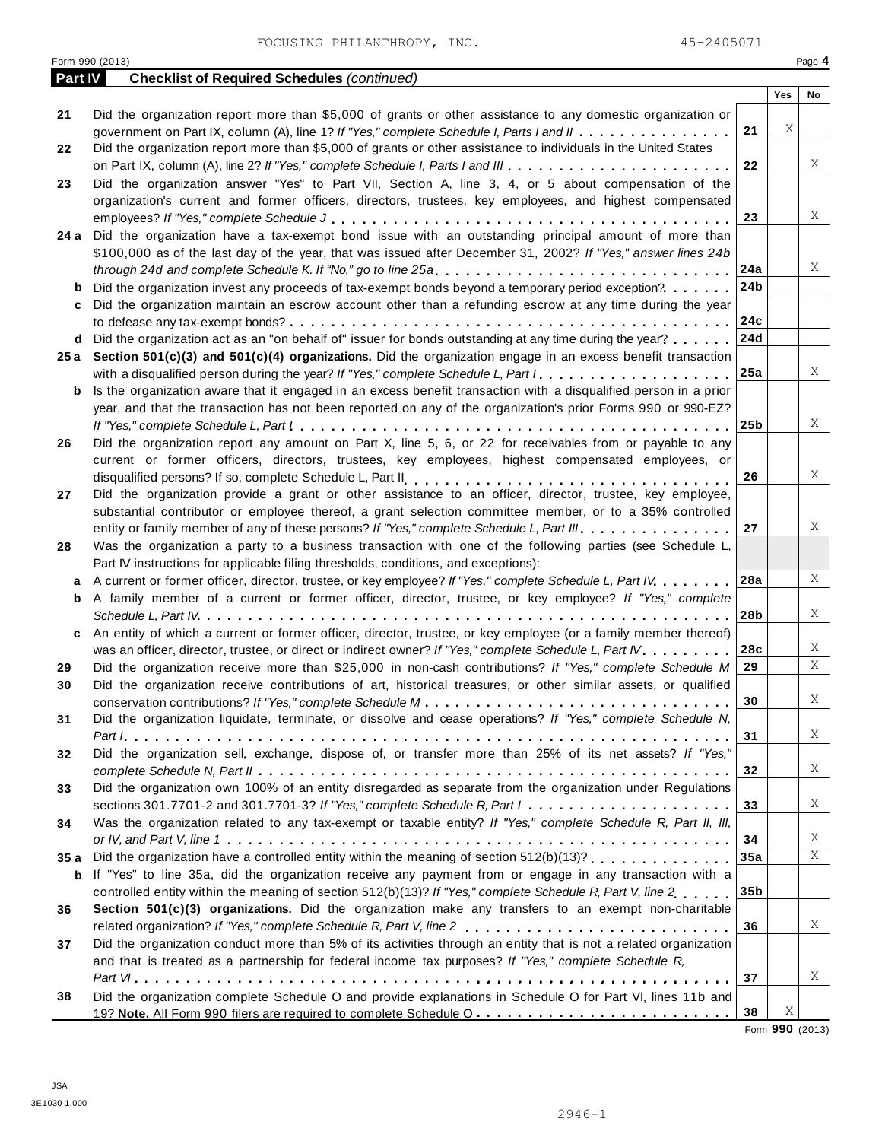|                | 45-2405071<br>FOCUSING PHILANTHROPY, INC.                                                                        |                 |     |        |
|----------------|------------------------------------------------------------------------------------------------------------------|-----------------|-----|--------|
| <b>Part IV</b> | Form 990 (2013)<br><b>Checklist of Required Schedules (continued)</b>                                            |                 |     | Page 4 |
|                |                                                                                                                  |                 | Yes | No     |
| 21             | Did the organization report more than \$5,000 of grants or other assistance to any domestic organization or      |                 |     |        |
|                | government on Part IX, column (A), line 1? If "Yes," complete Schedule I, Parts I and II                         | 21              | Χ   |        |
| 22             | Did the organization report more than \$5,000 of grants or other assistance to individuals in the United States  |                 |     |        |
|                |                                                                                                                  | 22              |     | Χ      |
| 23             | Did the organization answer "Yes" to Part VII, Section A, line 3, 4, or 5 about compensation of the              |                 |     |        |
|                | organization's current and former officers, directors, trustees, key employees, and highest compensated          |                 |     |        |
|                |                                                                                                                  | 23              |     | Χ      |
|                | 24 a Did the organization have a tax-exempt bond issue with an outstanding principal amount of more than         |                 |     |        |
|                | \$100,000 as of the last day of the year, that was issued after December 31, 2002? If "Yes," answer lines 24b    |                 |     |        |
|                |                                                                                                                  | 24a             |     | Χ      |
| b              | Did the organization invest any proceeds of tax-exempt bonds beyond a temporary period exception?                | 24 <sub>b</sub> |     |        |
| c              | Did the organization maintain an escrow account other than a refunding escrow at any time during the year        |                 |     |        |
|                |                                                                                                                  | 24c             |     |        |
| d              | Did the organization act as an "on behalf of" issuer for bonds outstanding at any time during the year?          | 24d             |     |        |
| 25 a           | Section $501(c)(3)$ and $501(c)(4)$ organizations. Did the organization engage in an excess benefit transaction  |                 |     |        |
|                | with a disqualified person during the year? If "Yes," complete Schedule L, Part I.                               | 25a             |     | Χ      |
|                | Is the organization aware that it engaged in an excess benefit transaction with a disqualified person in a prior |                 |     |        |
| b              | year, and that the transaction has not been reported on any of the organization's prior Forms 990 or 990-EZ?     |                 |     |        |
|                |                                                                                                                  | 25 <sub>b</sub> |     | Χ      |
|                |                                                                                                                  |                 |     |        |
| 26             | Did the organization report any amount on Part X, line 5, 6, or 22 for receivables from or payable to any        |                 |     |        |
|                | current or former officers, directors, trustees, key employees, highest compensated employees, or                |                 |     | Χ      |
|                |                                                                                                                  | 26              |     |        |
| 27             | Did the organization provide a grant or other assistance to an officer, director, trustee, key employee,         |                 |     |        |
|                | substantial contributor or employee thereof, a grant selection committee member, or to a 35% controlled          |                 |     | Χ      |
|                | entity or family member of any of these persons? If "Yes," complete Schedule L, Part III.                        | 27              |     |        |
| 28             | Was the organization a party to a business transaction with one of the following parties (see Schedule L,        |                 |     |        |
|                | Part IV instructions for applicable filing thresholds, conditions, and exceptions):                              |                 |     |        |
| a              | A current or former officer, director, trustee, or key employee? If "Yes," complete Schedule L, Part IV          | 28a             |     | Χ      |
| b              | A family member of a current or former officer, director, trustee, or key employee? If "Yes," complete           |                 |     |        |
|                |                                                                                                                  | 28b             |     | Χ      |
| c              | An entity of which a current or former officer, director, trustee, or key employee (or a family member thereof)  |                 |     |        |
|                | was an officer, director, trustee, or direct or indirect owner? If "Yes," complete Schedule L, Part IV.          | 28c             |     | Χ      |
| 29             | Did the organization receive more than \$25,000 in non-cash contributions? If "Yes," complete Schedule M         | 29              |     | X      |
| 30             | Did the organization receive contributions of art, historical treasures, or other similar assets, or qualified   |                 |     |        |
|                |                                                                                                                  | 30              |     | Χ      |
| 31             | Did the organization liquidate, terminate, or dissolve and cease operations? If "Yes," complete Schedule N,      |                 |     |        |
|                |                                                                                                                  | 31              |     | Χ      |
| 32             | Did the organization sell, exchange, dispose of, or transfer more than 25% of its net assets? If "Yes,"          |                 |     |        |
|                |                                                                                                                  | 32              |     | X      |
| 33             | Did the organization own 100% of an entity disregarded as separate from the organization under Regulations       |                 |     |        |
|                | sections 301.7701-2 and 301.7701-3? If "Yes," complete Schedule R, Part                                          | 33              |     | Χ      |
| 34             | Was the organization related to any tax-exempt or taxable entity? If "Yes," complete Schedule R, Part II, III,   |                 |     |        |
|                |                                                                                                                  | 34              |     | Χ      |
| 35 a           | Did the organization have a controlled entity within the meaning of section 512(b)(13)?                          | 35a             |     | X      |
| b              | If "Yes" to line 35a, did the organization receive any payment from or engage in any transaction with a          |                 |     |        |
|                | controlled entity within the meaning of section 512(b)(13)? If "Yes," complete Schedule R, Part V, line 2        | 35 <sub>b</sub> |     |        |
| 36             | Section 501(c)(3) organizations. Did the organization make any transfers to an exempt non-charitable             |                 |     |        |
|                |                                                                                                                  | 36              |     | X      |
| 37             | Did the organization conduct more than 5% of its activities through an entity that is not a related organization |                 |     |        |
|                | and that is treated as a partnership for federal income tax purposes? If "Yes," complete Schedule R,             |                 |     |        |
|                |                                                                                                                  | 37              |     | Χ      |
| 38             | Did the organization complete Schedule O and provide explanations in Schedule O for Part VI, lines 11b and       |                 |     |        |
|                |                                                                                                                  | 38              | Χ   |        |
|                |                                                                                                                  |                 |     |        |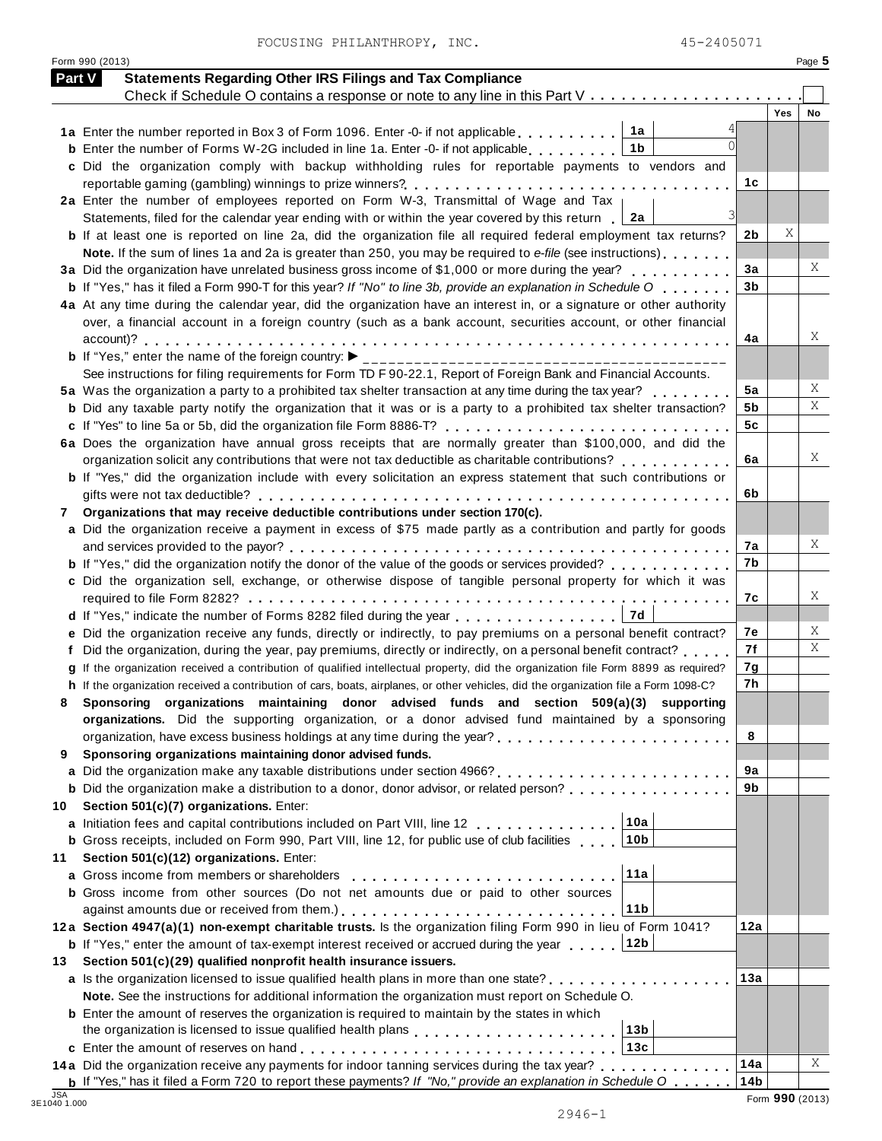|               | Form 990 (2013)                                                                                                                                                                                                                       |                      |     | Page 5 |
|---------------|---------------------------------------------------------------------------------------------------------------------------------------------------------------------------------------------------------------------------------------|----------------------|-----|--------|
| <b>Part V</b> | <b>Statements Regarding Other IRS Filings and Tax Compliance</b>                                                                                                                                                                      |                      |     |        |
|               | Check if Schedule O contains a response or note to any line in this Part V                                                                                                                                                            |                      |     |        |
|               |                                                                                                                                                                                                                                       |                      | Yes | No     |
|               | 1a<br>1a Enter the number reported in Box 3 of Form 1096. Enter -0- if not applicable                                                                                                                                                 |                      |     |        |
|               | <b>b</b> Enter the number of Forms W-2G included in line 1a. Enter -0- if not applicable<br>1b                                                                                                                                        |                      |     |        |
|               | c Did the organization comply with backup withholding rules for reportable payments to vendors and                                                                                                                                    | 1с                   |     |        |
|               | 2a Enter the number of employees reported on Form W-3, Transmittal of Wage and Tax                                                                                                                                                    |                      |     |        |
|               | Statements, filed for the calendar year ending with or within the year covered by this return $\Box$ 2a                                                                                                                               |                      |     |        |
|               | <b>b</b> If at least one is reported on line 2a, did the organization file all required federal employment tax returns?                                                                                                               | 2b                   | Χ   |        |
|               | Note. If the sum of lines 1a and 2a is greater than 250, you may be required to e-file (see instructions)                                                                                                                             |                      |     |        |
|               | 3a Did the organization have unrelated business gross income of \$1,000 or more during the year?                                                                                                                                      | 3a                   |     | Χ      |
|               | <b>b</b> If "Yes," has it filed a Form 990-T for this year? If "No" to line 3b, provide an explanation in Schedule O                                                                                                                  | 3 <sub>b</sub>       |     |        |
|               | 4a At any time during the calendar year, did the organization have an interest in, or a signature or other authority                                                                                                                  |                      |     |        |
|               | over, a financial account in a foreign country (such as a bank account, securities account, or other financial                                                                                                                        |                      |     |        |
|               |                                                                                                                                                                                                                                       | 4a                   |     | Χ      |
|               | <b>b</b> If "Yes," enter the name of the foreign country:                                                                                                                                                                             |                      |     |        |
|               | See instructions for filing requirements for Form TD F 90-22.1, Report of Foreign Bank and Financial Accounts.                                                                                                                        |                      |     | Χ      |
|               | 5a Was the organization a party to a prohibited tax shelter transaction at any time during the tax year?<br><b>b</b> Did any taxable party notify the organization that it was or is a party to a prohibited tax shelter transaction? | 5a<br>5 <sub>b</sub> |     | X      |
|               |                                                                                                                                                                                                                                       | 5c                   |     |        |
|               | 6a Does the organization have annual gross receipts that are normally greater than \$100,000, and did the                                                                                                                             |                      |     |        |
|               |                                                                                                                                                                                                                                       | 6a                   |     | Χ      |
|               | b If "Yes," did the organization include with every solicitation an express statement that such contributions or                                                                                                                      |                      |     |        |
|               |                                                                                                                                                                                                                                       | 6b                   |     |        |
|               | 7 Organizations that may receive deductible contributions under section 170(c).                                                                                                                                                       |                      |     |        |
|               | a Did the organization receive a payment in excess of \$75 made partly as a contribution and partly for goods                                                                                                                         |                      |     |        |
|               |                                                                                                                                                                                                                                       | 7а                   |     | Χ      |
|               | <b>b</b> If "Yes," did the organization notify the donor of the value of the goods or services provided?                                                                                                                              | 7b                   |     |        |
|               | c Did the organization sell, exchange, or otherwise dispose of tangible personal property for which it was                                                                                                                            |                      |     |        |
|               |                                                                                                                                                                                                                                       | 7с                   |     | Χ      |
|               | 7d<br>d If "Yes," indicate the number of Forms 8282 filed during the year                                                                                                                                                             | 7е                   |     | Χ      |
|               | e Did the organization receive any funds, directly or indirectly, to pay premiums on a personal benefit contract?<br>f Did the organization, during the year, pay premiums, directly or indirectly, on a personal benefit contract?   | 7f                   |     | Χ      |
|               | g If the organization received a contribution of qualified intellectual property, did the organization file Form 8899 as required?                                                                                                    | 7g                   |     |        |
|               | h If the organization received a contribution of cars, boats, airplanes, or other vehicles, did the organization file a Form 1098-C?                                                                                                  | 7h                   |     |        |
| 8             | Sponsoring organizations maintaining donor advised funds and section 509(a)(3) supporting                                                                                                                                             |                      |     |        |
|               | organizations. Did the supporting organization, or a donor advised fund maintained by a sponsoring                                                                                                                                    |                      |     |        |
|               |                                                                                                                                                                                                                                       | 8                    |     |        |
| 9             | Sponsoring organizations maintaining donor advised funds.                                                                                                                                                                             |                      |     |        |
|               |                                                                                                                                                                                                                                       | 9a                   |     |        |
|               | <b>b</b> Did the organization make a distribution to a donor, donor advisor, or related person?                                                                                                                                       | 9b                   |     |        |
| 10            | Section 501(c)(7) organizations. Enter:                                                                                                                                                                                               |                      |     |        |
|               | 10a<br>a Initiation fees and capital contributions included on Part VIII, line 12                                                                                                                                                     |                      |     |        |
|               | 10 <sub>b</sub><br><b>b</b> Gross receipts, included on Form 990, Part VIII, line 12, for public use of club facilities                                                                                                               |                      |     |        |
| 11            | Section 501(c)(12) organizations. Enter:<br>11a                                                                                                                                                                                       |                      |     |        |
| a             | Gross income from members or shareholders<br><b>b</b> Gross income from other sources (Do not net amounts due or paid to other sources                                                                                                |                      |     |        |
|               | 11b                                                                                                                                                                                                                                   |                      |     |        |
|               | 12a Section 4947(a)(1) non-exempt charitable trusts. Is the organization filing Form 990 in lieu of Form 1041?                                                                                                                        | 12a                  |     |        |
|               | <b>b</b> If "Yes," enter the amount of tax-exempt interest received or accrued during the year 12b                                                                                                                                    |                      |     |        |
| 13            | Section 501(c)(29) qualified nonprofit health insurance issuers.                                                                                                                                                                      |                      |     |        |
|               | a Is the organization licensed to issue qualified health plans in more than one state?                                                                                                                                                | 13a                  |     |        |
|               | Note. See the instructions for additional information the organization must report on Schedule O.                                                                                                                                     |                      |     |        |
|               | <b>b</b> Enter the amount of reserves the organization is required to maintain by the states in which                                                                                                                                 |                      |     |        |
|               | 13 <sub>b</sub>                                                                                                                                                                                                                       |                      |     |        |
|               |                                                                                                                                                                                                                                       |                      |     |        |
|               |                                                                                                                                                                                                                                       |                      |     |        |
|               | 14a Did the organization receive any payments for indoor tanning services during the tax year?<br><b>b</b> If "Yes," has it filed a Form 720 to report these payments? If "No," provide an explanation in Schedule $0 \ldots \ldots$  | 14a<br>14b           |     | Χ      |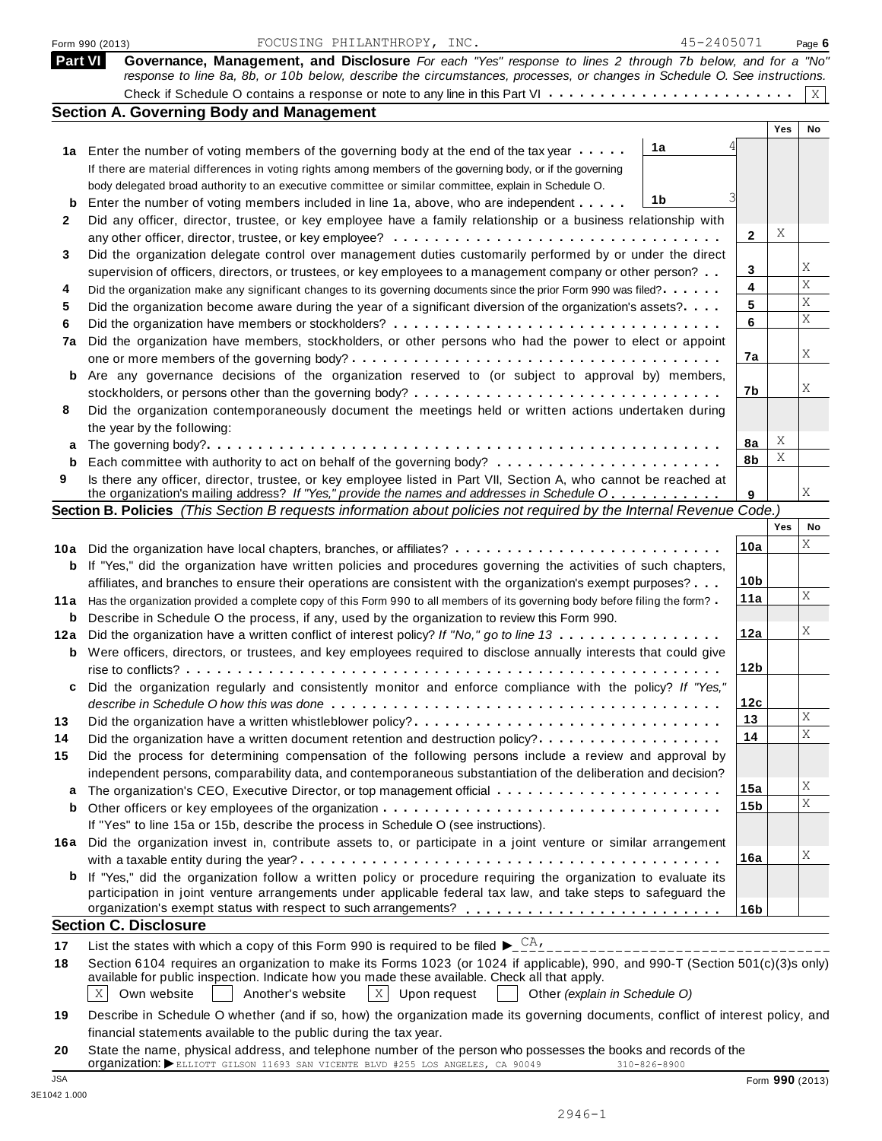|              | 45-2405071<br>FOCUSING PHILANTHROPY, INC.<br>Form 990 (2013)                                                                                                                                                                                                                            |                 |     | Page $6$    |
|--------------|-----------------------------------------------------------------------------------------------------------------------------------------------------------------------------------------------------------------------------------------------------------------------------------------|-----------------|-----|-------------|
|              | <b>Part VI</b><br>Governance, Management, and Disclosure For each "Yes" response to lines 2 through 7b below, and for a "No"                                                                                                                                                            |                 |     |             |
|              | response to line 8a, 8b, or 10b below, describe the circumstances, processes, or changes in Schedule O. See instructions.                                                                                                                                                               |                 |     |             |
|              |                                                                                                                                                                                                                                                                                         |                 |     | $\mathbf X$ |
|              | <b>Section A. Governing Body and Management</b>                                                                                                                                                                                                                                         |                 | Yes | No          |
|              |                                                                                                                                                                                                                                                                                         |                 |     |             |
|              | 1a<br>1a Enter the number of voting members of the governing body at the end of the tax year                                                                                                                                                                                            |                 |     |             |
|              | If there are material differences in voting rights among members of the governing body, or if the governing                                                                                                                                                                             |                 |     |             |
|              | body delegated broad authority to an executive committee or similar committee, explain in Schedule O.<br>1b                                                                                                                                                                             |                 |     |             |
| b            | Enter the number of voting members included in line 1a, above, who are independent                                                                                                                                                                                                      |                 |     |             |
| $\mathbf{2}$ | Did any officer, director, trustee, or key employee have a family relationship or a business relationship with                                                                                                                                                                          | 2               | Χ   |             |
|              |                                                                                                                                                                                                                                                                                         |                 |     |             |
| 3            | Did the organization delegate control over management duties customarily performed by or under the direct<br>supervision of officers, directors, or trustees, or key employees to a management company or other person?                                                                 | 3               |     | Χ           |
| 4            | Did the organization make any significant changes to its governing documents since the prior Form 990 was filed?                                                                                                                                                                        | 4               |     | X           |
| 5            | Did the organization become aware during the year of a significant diversion of the organization's assets?                                                                                                                                                                              | 5               |     | X           |
| 6            |                                                                                                                                                                                                                                                                                         | 6               |     | Χ           |
| 7a           | Did the organization have members, stockholders, or other persons who had the power to elect or appoint                                                                                                                                                                                 |                 |     |             |
|              |                                                                                                                                                                                                                                                                                         | 7а              |     | Χ           |
|              | <b>b</b> Are any governance decisions of the organization reserved to (or subject to approval by) members,                                                                                                                                                                              |                 |     |             |
|              |                                                                                                                                                                                                                                                                                         | 7b              |     | Χ           |
| 8            | Did the organization contemporaneously document the meetings held or written actions undertaken during                                                                                                                                                                                  |                 |     |             |
|              | the year by the following:                                                                                                                                                                                                                                                              |                 |     |             |
| a            |                                                                                                                                                                                                                                                                                         | 8a              | X   |             |
| b            |                                                                                                                                                                                                                                                                                         | 8b              | Χ   |             |
| 9            | Is there any officer, director, trustee, or key employee listed in Part VII, Section A, who cannot be reached at                                                                                                                                                                        |                 |     |             |
|              | the organization's mailing address? If "Yes," provide the names and addresses in Schedule O                                                                                                                                                                                             | 9               |     | Χ           |
|              | Section B. Policies (This Section B requests information about policies not required by the Internal Revenue Code.)                                                                                                                                                                     |                 |     |             |
|              |                                                                                                                                                                                                                                                                                         |                 | Yes | No          |
|              |                                                                                                                                                                                                                                                                                         | 10a             |     | Χ           |
|              | <b>b</b> If "Yes," did the organization have written policies and procedures governing the activities of such chapters,                                                                                                                                                                 |                 |     |             |
|              | affiliates, and branches to ensure their operations are consistent with the organization's exempt purposes?                                                                                                                                                                             | 10 <sub>b</sub> |     |             |
|              | 11a Has the organization provided a complete copy of this Form 990 to all members of its governing body before filing the form?                                                                                                                                                         | 11a             |     | Χ           |
|              | <b>b</b> Describe in Schedule O the process, if any, used by the organization to review this Form 990.                                                                                                                                                                                  |                 |     | Χ           |
|              | 12a Did the organization have a written conflict of interest policy? If "No," go to line 13                                                                                                                                                                                             | 12a             |     |             |
|              | <b>b</b> Were officers, directors, or trustees, and key employees required to disclose annually interests that could give                                                                                                                                                               |                 |     |             |
|              |                                                                                                                                                                                                                                                                                         | 12 <sub>b</sub> |     |             |
| c            | Did the organization regularly and consistently monitor and enforce compliance with the policy? If "Yes,"                                                                                                                                                                               |                 |     |             |
|              |                                                                                                                                                                                                                                                                                         | 12c<br>13       |     | Χ           |
| 13           | Did the organization have a written whistleblower policy?                                                                                                                                                                                                                               | 14              |     | X           |
| 14           | Did the organization have a written document retention and destruction policy?                                                                                                                                                                                                          |                 |     |             |
| 15           | Did the process for determining compensation of the following persons include a review and approval by                                                                                                                                                                                  |                 |     |             |
| a            | independent persons, comparability data, and contemporaneous substantiation of the deliberation and decision?                                                                                                                                                                           | 15a             |     | Χ           |
| b            |                                                                                                                                                                                                                                                                                         | 15 <sub>b</sub> |     | X           |
|              | If "Yes" to line 15a or 15b, describe the process in Schedule O (see instructions).                                                                                                                                                                                                     |                 |     |             |
|              | 16a Did the organization invest in, contribute assets to, or participate in a joint venture or similar arrangement                                                                                                                                                                      |                 |     |             |
|              |                                                                                                                                                                                                                                                                                         | 16a             |     | Χ           |
|              | If "Yes," did the organization follow a written policy or procedure requiring the organization to evaluate its                                                                                                                                                                          |                 |     |             |
|              | participation in joint venture arrangements under applicable federal tax law, and take steps to safeguard the                                                                                                                                                                           |                 |     |             |
| b            |                                                                                                                                                                                                                                                                                         | 16 <sub>b</sub> |     |             |
|              |                                                                                                                                                                                                                                                                                         |                 |     |             |
|              | <b>Section C. Disclosure</b>                                                                                                                                                                                                                                                            |                 |     |             |
|              |                                                                                                                                                                                                                                                                                         |                 |     |             |
| 17<br>18     | List the states with which a copy of this Form 990 is required to be filed $\blacktriangleright$ <sub>---</sub><br>__________________________________<br>Section 6104 requires an organization to make its Forms 1023 (or 1024 if applicable), 990, and 990-T (Section 501(c)(3)s only) |                 |     |             |
|              | available for public inspection. Indicate how you made these available. Check all that apply.<br>Own website<br>$ X $ Upon request                                                                                                                                                      |                 |     |             |

**20** State the name, physical address, and telephone number of the person who possesses the books and records of the<br>**organization:** DELLIOTT GILSON 11693 SAN VICENTE BLVD #255 LOS ANGELES, CA 90049 310-826-8900 JSA Form **990** (2013)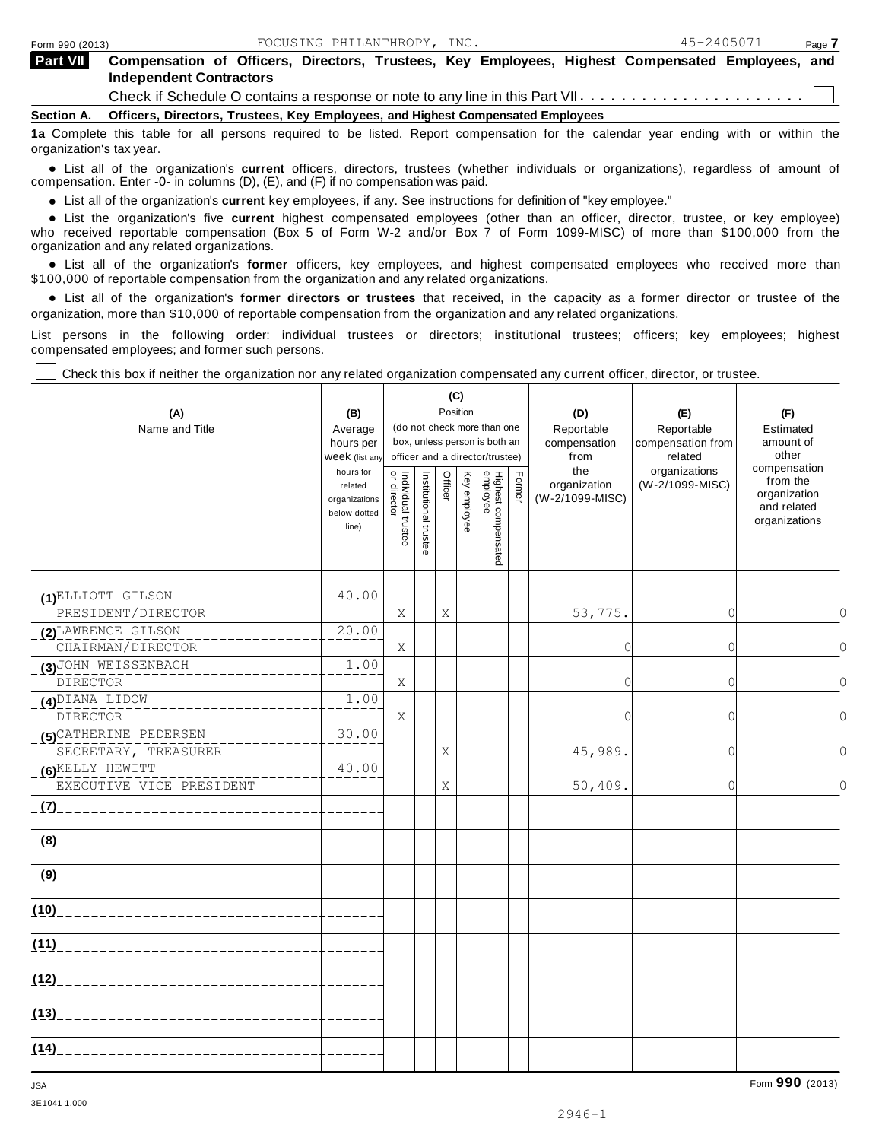|--|

| Form 990 (2013)          |                                                                                                                                    | FOCUSING PHILANTHROPY, INC. |  |  | 45-2405071 | Page 7 |
|--------------------------|------------------------------------------------------------------------------------------------------------------------------------|-----------------------------|--|--|------------|--------|
| <b>Part VII</b>          | Compensation of Officers, Directors, Trustees, Key Employees, Highest Compensated Employees, and<br><b>Independent Contractors</b> |                             |  |  |            |        |
|                          |                                                                                                                                    |                             |  |  |            |        |
| <b>Section A.</b>        | Officers, Directors, Trustees, Key Employees, and Highest Compensated Employees                                                    |                             |  |  |            |        |
| organization's tax year. | 1a Complete this table for all persons required to be listed. Report compensation for the calendar year ending with or within the  |                             |  |  |            |        |

anization's lax year.<br>● List all of the organization's **current** officers, directors, trustees (whether individuals or organizations), regardless of amount of<br>nnensation Enter -0- in columns (D) (E) and (E) if no compensa compensation. Enter -0- in columns (D), (E), and (F) if no compensation was paid.

• List all of the organization's **current** key employees, if any. See instructions for definition of "key employee."<br>● List the experimentals five expect highest expressed explores (other than an efficer director t

• List all of the organization's **current** key employees, if any. See instructions for definition of key employee.<br>• List the organization's five **current** highest compensated employees (other than an officer, director, tr who received reportable compensation (Box 5 of Form W-2 and/or Box 7 of Form 1099-MISC) of more than \$100,000 from the

organization and any related organizations.<br>• List all of the organization's **former** officers, key employees, and highest compensated employees who received more than<br>\$1.00.000 of reportable componention from the erganiza \$100,000 of reportable compensation from the organization and any related organizations.

% List all of the organization's **former directors or trustees** that received, in the capacity as a former director or trustee of the organization, more than \$10,000 of reportable compensation from the organization and any related organizations.

List persons in the following order: individual trustees or directors; institutional trustees; officers; key employees; highest compensated employees; and former such persons.

Check this box if neither the organization nor any related organization compensated any current officer, director, or trustee.

 $\overline{\phantom{a}}$ 

| (A)<br>Name and Title                   | (B)<br>Average<br>hours per<br>Week (list any<br>hours for<br>related |                                     |                       | Officer | (C)<br>Position | (do not check more than one<br>box, unless person is both an<br>officer and a director/trustee) | Former | (D)<br>Reportable<br>compensation<br>from<br>the<br>organization | (E)<br>Reportable<br>compensation from<br>related<br>organizations<br>(W-2/1099-MISC) | (F)<br>Estimated<br>amount of<br>other<br>compensation<br>from the |
|-----------------------------------------|-----------------------------------------------------------------------|-------------------------------------|-----------------------|---------|-----------------|-------------------------------------------------------------------------------------------------|--------|------------------------------------------------------------------|---------------------------------------------------------------------------------------|--------------------------------------------------------------------|
|                                         | organizations<br>below dotted<br>line)                                | Individual trustee<br>  or director | Institutional trustee |         | Key employee    | Highest compensated<br>employee                                                                 |        | (W-2/1099-MISC)                                                  |                                                                                       | organization<br>and related<br>organizations                       |
| (1) ELLIOTT GILSON                      | 40.00                                                                 |                                     |                       |         |                 |                                                                                                 |        |                                                                  |                                                                                       |                                                                    |
| PRESIDENT/DIRECTOR                      |                                                                       | X                                   |                       | X       |                 |                                                                                                 |        | 53,775.                                                          | $\Omega$                                                                              | $\circ$                                                            |
| (2) LAWRENCE GILSON                     | 20.00                                                                 |                                     |                       |         |                 |                                                                                                 |        |                                                                  |                                                                                       |                                                                    |
| CHAIRMAN/DIRECTOR                       |                                                                       | X                                   |                       |         |                 |                                                                                                 |        | $\Omega$                                                         | $\Omega$                                                                              | $\Omega$                                                           |
| (3) JOHN WEISSENBACH<br><b>DIRECTOR</b> | 1.00                                                                  | Χ                                   |                       |         |                 |                                                                                                 |        | $\Omega$                                                         | $\Omega$                                                                              | $\Omega$                                                           |
| <b>(4)</b> DIANA LIDOW                  | 1.00                                                                  |                                     |                       |         |                 |                                                                                                 |        |                                                                  |                                                                                       |                                                                    |
| <b>DIRECTOR</b>                         |                                                                       | Χ                                   |                       |         |                 |                                                                                                 |        | $\Omega$                                                         | $\Omega$                                                                              | $\bigcap$                                                          |
| (5)CATHERINE PEDERSEN                   | 30.00                                                                 |                                     |                       |         |                 |                                                                                                 |        |                                                                  |                                                                                       |                                                                    |
| SECRETARY, TREASURER                    |                                                                       |                                     |                       | X       |                 |                                                                                                 |        | 45,989.                                                          | ſ                                                                                     | $\circ$                                                            |
| (6)KELLY HEWITT                         | 40.00                                                                 |                                     |                       |         |                 |                                                                                                 |        |                                                                  |                                                                                       |                                                                    |
| EXECUTIVE VICE PRESIDENT                |                                                                       |                                     |                       | X       |                 |                                                                                                 |        | 50,409.                                                          | $\Omega$                                                                              | $\Omega$                                                           |
| (7)                                     |                                                                       |                                     |                       |         |                 |                                                                                                 |        |                                                                  |                                                                                       |                                                                    |
| $(8)$ _ _ _ _ _ _ _ _ _ _ _ _ _ _ _ _   |                                                                       |                                     |                       |         |                 |                                                                                                 |        |                                                                  |                                                                                       |                                                                    |
| _ (9)________________                   |                                                                       |                                     |                       |         |                 |                                                                                                 |        |                                                                  |                                                                                       |                                                                    |
| (10)                                    |                                                                       |                                     |                       |         |                 |                                                                                                 |        |                                                                  |                                                                                       |                                                                    |
| (11)                                    |                                                                       |                                     |                       |         |                 |                                                                                                 |        |                                                                  |                                                                                       |                                                                    |
| (12)                                    |                                                                       |                                     |                       |         |                 |                                                                                                 |        |                                                                  |                                                                                       |                                                                    |
| (13)                                    |                                                                       |                                     |                       |         |                 |                                                                                                 |        |                                                                  |                                                                                       |                                                                    |
| (14)                                    |                                                                       |                                     |                       |         |                 |                                                                                                 |        |                                                                  |                                                                                       |                                                                    |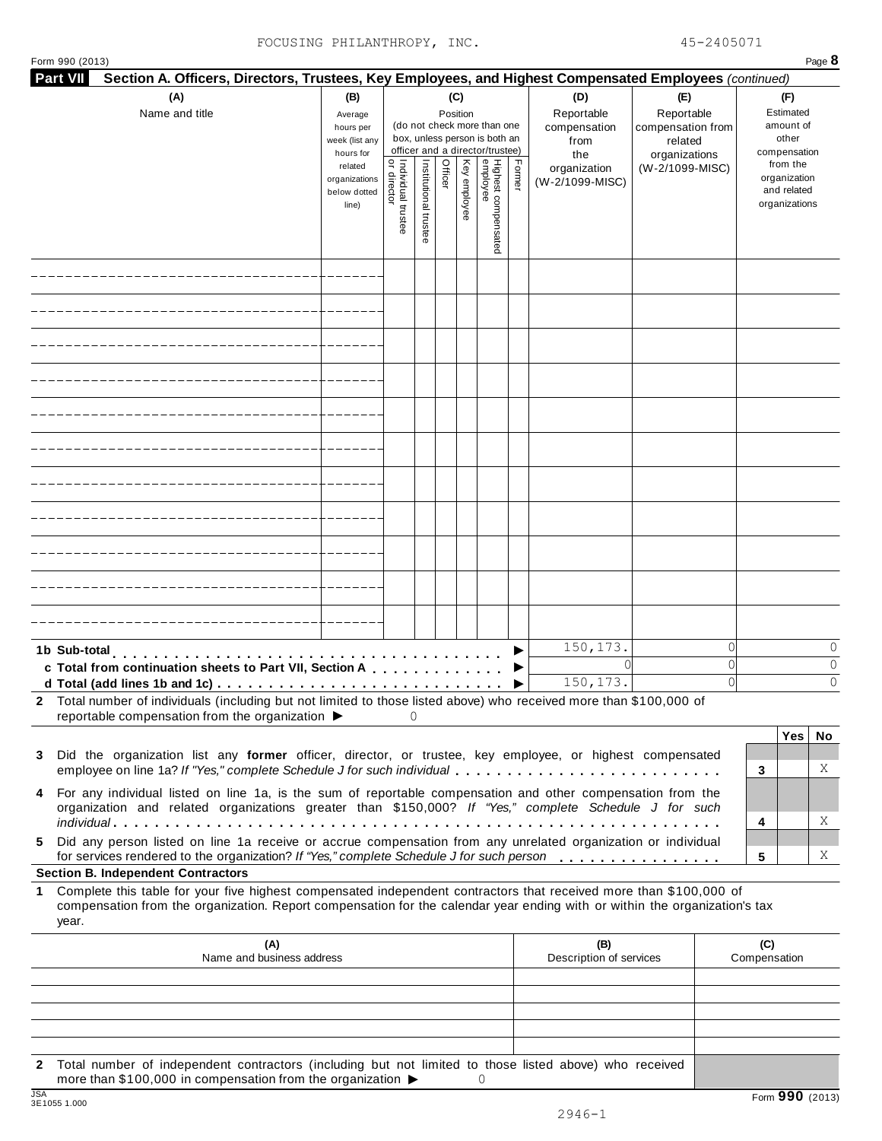| Part VII<br>Section A. Officers, Directors, Trustees, Key Employees, and Highest Compensated Employees (continued)                                                                                                                                                                                            |                                                            |                                   |                       |                 |              |                                                                                                 |        |                                                  |                                                                    | Page 8                                                   |
|---------------------------------------------------------------------------------------------------------------------------------------------------------------------------------------------------------------------------------------------------------------------------------------------------------------|------------------------------------------------------------|-----------------------------------|-----------------------|-----------------|--------------|-------------------------------------------------------------------------------------------------|--------|--------------------------------------------------|--------------------------------------------------------------------|----------------------------------------------------------|
| (A)<br>Name and title                                                                                                                                                                                                                                                                                         | (B)<br>Average<br>hours per<br>week (list any<br>hours for |                                   |                       | (C)<br>Position |              | (do not check more than one<br>box, unless person is both an<br>officer and a director/trustee) |        | (D)<br>Reportable<br>compensation<br>from<br>the | (E)<br>Reportable<br>compensation from<br>related<br>organizations | (F)<br>Estimated<br>amount of<br>other<br>compensation   |
|                                                                                                                                                                                                                                                                                                               | related<br>organizations<br>below dotted<br>line)          | Individual trustee<br>or director | Institutional trustee | Officer         | Key employee | Highest compensated<br>employee                                                                 | Former | organization<br>(W-2/1099-MISC)                  | (W-2/1099-MISC)                                                    | from the<br>organization<br>and related<br>organizations |
|                                                                                                                                                                                                                                                                                                               |                                                            |                                   |                       |                 |              |                                                                                                 |        |                                                  |                                                                    |                                                          |
|                                                                                                                                                                                                                                                                                                               |                                                            |                                   |                       |                 |              |                                                                                                 |        |                                                  |                                                                    |                                                          |
|                                                                                                                                                                                                                                                                                                               |                                                            |                                   |                       |                 |              |                                                                                                 |        |                                                  |                                                                    |                                                          |
|                                                                                                                                                                                                                                                                                                               |                                                            |                                   |                       |                 |              |                                                                                                 |        |                                                  |                                                                    |                                                          |
|                                                                                                                                                                                                                                                                                                               |                                                            |                                   |                       |                 |              |                                                                                                 |        |                                                  |                                                                    |                                                          |
|                                                                                                                                                                                                                                                                                                               |                                                            |                                   |                       |                 |              |                                                                                                 |        |                                                  |                                                                    |                                                          |
|                                                                                                                                                                                                                                                                                                               |                                                            |                                   |                       |                 |              |                                                                                                 |        |                                                  |                                                                    |                                                          |
|                                                                                                                                                                                                                                                                                                               |                                                            |                                   |                       |                 |              |                                                                                                 |        |                                                  |                                                                    |                                                          |
|                                                                                                                                                                                                                                                                                                               |                                                            |                                   |                       |                 |              |                                                                                                 |        |                                                  |                                                                    |                                                          |
|                                                                                                                                                                                                                                                                                                               |                                                            |                                   |                       |                 |              |                                                                                                 |        |                                                  |                                                                    |                                                          |
|                                                                                                                                                                                                                                                                                                               |                                                            |                                   |                       |                 |              |                                                                                                 |        |                                                  |                                                                    |                                                          |
| 1b Sub-total<br>c Total from continuation sheets to Part VII, Section A<br>d Total (add lines 1b and 1c) $\ldots \ldots \ldots \ldots \ldots \ldots \ldots \ldots \ldots \ldots \ldots$                                                                                                                       |                                                            |                                   |                       |                 |              |                                                                                                 | ▶      | 150, 173.<br>$\Omega$<br>150,173.                | 0<br>Ω<br>Ω                                                        | 0<br>$\Omega$<br>$\Omega$                                |
| 2 Total number of individuals (including but not limited to those listed above) who received more than \$100,000 of<br>reportable compensation from the organization ▶                                                                                                                                        |                                                            |                                   | $\Omega$              |                 |              |                                                                                                 |        |                                                  |                                                                    |                                                          |
| Did the organization list any former officer, director, or trustee, key employee, or highest compensated                                                                                                                                                                                                      |                                                            |                                   |                       |                 |              |                                                                                                 |        |                                                  |                                                                    | Yes<br><b>No</b><br>Χ<br>3                               |
| employee on line 1a? If "Yes," complete Schedule J for such individual<br>For any individual listed on line 1a, is the sum of reportable compensation and other compensation from the<br>4<br>organization and related organizations greater than \$150,000? If "Yes," complete Schedule J for such<br>Χ<br>4 |                                                            |                                   |                       |                 |              |                                                                                                 |        |                                                  |                                                                    |                                                          |
| Did any person listed on line 1a receive or accrue compensation from any unrelated organization or individual<br>for services rendered to the organization? If "Yes," complete Schedule J for such person                                                                                                     |                                                            |                                   |                       |                 |              |                                                                                                 |        |                                                  |                                                                    | Χ<br>5                                                   |
| <b>Section B. Independent Contractors</b><br>Complete this table for your five highest compensated independent contractors that received more than \$100,000 of<br>1<br>compensation from the organization. Report compensation for the calendar year ending with or within the organization's tax<br>year.   |                                                            |                                   |                       |                 |              |                                                                                                 |        |                                                  |                                                                    |                                                          |
| (A)<br>Name and business address                                                                                                                                                                                                                                                                              |                                                            |                                   |                       |                 |              |                                                                                                 |        | (B)<br>Description of services                   |                                                                    | (C)<br>Compensation                                      |
|                                                                                                                                                                                                                                                                                                               |                                                            |                                   |                       |                 |              |                                                                                                 |        |                                                  |                                                                    |                                                          |
|                                                                                                                                                                                                                                                                                                               |                                                            |                                   |                       |                 |              |                                                                                                 |        |                                                  |                                                                    |                                                          |
| Total number of independent contractors (including but not limited to those listed above) who received                                                                                                                                                                                                        |                                                            |                                   |                       |                 |              |                                                                                                 |        |                                                  |                                                                    |                                                          |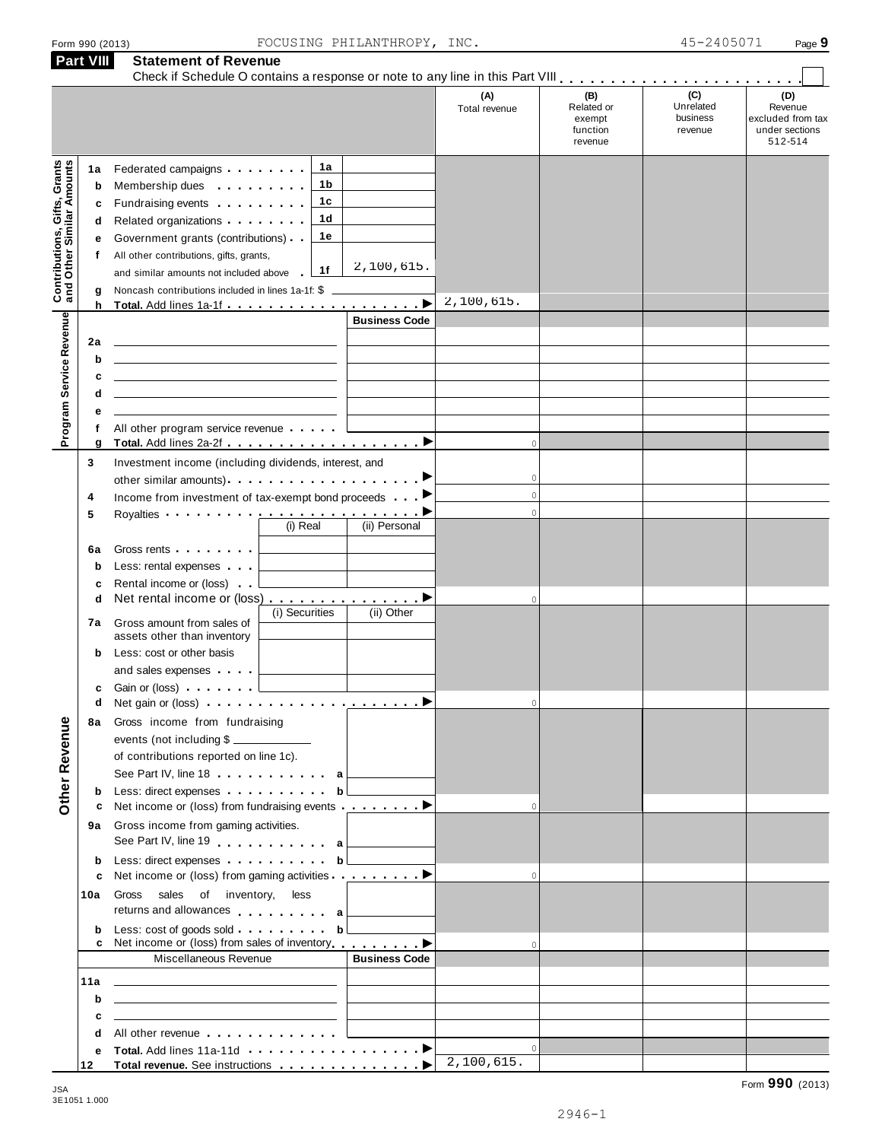|  | Form 990 (2013) |
|--|-----------------|

|                                                                  | Form 990 (2013)                       |                                                                                                                                                                                                                                                                                                                                                                                                                                                                                                                                           | FOCUSING PHILANTHROPY, INC.                     |                                                             |                                                    | 45-2405071                              | Page 9                                                           |
|------------------------------------------------------------------|---------------------------------------|-------------------------------------------------------------------------------------------------------------------------------------------------------------------------------------------------------------------------------------------------------------------------------------------------------------------------------------------------------------------------------------------------------------------------------------------------------------------------------------------------------------------------------------------|-------------------------------------------------|-------------------------------------------------------------|----------------------------------------------------|-----------------------------------------|------------------------------------------------------------------|
| Part VIII                                                        |                                       | <b>Statement of Revenue</b>                                                                                                                                                                                                                                                                                                                                                                                                                                                                                                               |                                                 |                                                             |                                                    |                                         |                                                                  |
|                                                                  |                                       |                                                                                                                                                                                                                                                                                                                                                                                                                                                                                                                                           |                                                 | (A)<br>Total revenue                                        | (B)<br>Related or<br>exempt<br>function<br>revenue | (C)<br>Unrelated<br>business<br>revenue | (D)<br>Revenue<br>excluded from tax<br>under sections<br>512-514 |
| <b>Contributions, Gifts, Grants</b><br>and Other Similar Amounts | 1a<br>b<br>c<br>d<br>е<br>f<br>g<br>h | Federated campaigns<br>Membership dues <b>All Accords</b> Membership dues<br>Fundraising events <b>Fundraising</b><br>Related organizations <b>and the set of the set of the set of the set of the set of the set of the set of the set of the set of the set of the set of the set of the set of the set of the set of the set of the set of the set </b><br>Government grants (contributions)<br>All other contributions, gifts, grants,<br>and similar amounts not included above<br>Noncash contributions included in lines 1a-1f: \$ | 1a<br>1 b<br>1с<br>1d<br>1e<br>2,100,615.<br>1f | 2,100,615.                                                  |                                                    |                                         |                                                                  |
| Program Service Revenue                                          | 2a<br>b<br>c<br>d<br>е<br>f<br>g      | <u> 1989 - John Stein, Amerikaansk politiker (</u><br>the contract of the contract of the contract of the contract of the contract of<br><u> 1989 - Johann Stein, marwolaethau a bhann an t-Amhainn an t-Amhainn an t-Amhainn an t-Amhainn an t-Amhainn an</u><br>All other program service revenue                                                                                                                                                                                                                                       | <b>Business Code</b>                            | $\Omega$                                                    |                                                    |                                         |                                                                  |
| 3<br>4<br>5                                                      |                                       | Investment income (including dividends, interest, and<br>Income from investment of tax-exempt bond proceeds                                                                                                                                                                                                                                                                                                                                                                                                                               | (i) Real<br>(ii) Personal                       | $\circ$<br>$\circ$<br>$\Omega$                              |                                                    |                                         |                                                                  |
|                                                                  | 6a<br>$\mathbf b$<br>c<br>d<br>b      | Gross rents <b>contains a state of the state of the state of the state of the state of the state of the state of the state of the state of the state of the state of the state of the state of the state of the state of the sta</b><br>Less: rental expenses<br>Rental income or (loss)<br>Net rental income or (loss) ▶<br>7a Gross amount from sales of<br>assets other than inventory<br>Less: cost or other basis                                                                                                                    | (i) Securities<br>(ii) Other                    | $\circ$                                                     |                                                    |                                         |                                                                  |
|                                                                  | c<br>d                                | and sales expenses <b>Last Constant Constant Constant Constant Constant Constant Constant Constant Constant Constant Constant Constant Constant Constant Constant Constant Constant Constant Constant Constant Constant Constant</b>                                                                                                                                                                                                                                                                                                      |                                                 | $\Omega$                                                    |                                                    |                                         |                                                                  |
| <b>Other Revenue</b>                                             | 8а                                    | Gross income from fundraising<br>events (not including \$<br>of contributions reported on line 1c).<br>See Part IV, line 18 $\ldots$ $\ldots$ $\ldots$ a                                                                                                                                                                                                                                                                                                                                                                                  |                                                 |                                                             |                                                    |                                         |                                                                  |
|                                                                  | b<br>с<br>9а                          | Less: direct expenses b<br>Net income or (loss) from fundraising events ▶<br>Gross income from gaming activities.<br>See Part IV, line 19 all                                                                                                                                                                                                                                                                                                                                                                                             |                                                 |                                                             |                                                    |                                         |                                                                  |
| 10a                                                              | b<br>c                                | Less: direct expenses b<br>Net income or (loss) from gaming activities <u></u><br>sales of inventory, less<br>Gross<br>returns and allowances $\begin{bmatrix} a \end{bmatrix}$                                                                                                                                                                                                                                                                                                                                                           |                                                 | $\Omega$                                                    |                                                    |                                         |                                                                  |
|                                                                  | b                                     | c Net income or (loss) from sales of inventory <u>contact</u> and <del>■</del><br>Miscellaneous Revenue                                                                                                                                                                                                                                                                                                                                                                                                                                   | <b>Business Code</b>                            | $\Omega$                                                    |                                                    |                                         |                                                                  |
| 11a                                                              | b<br>c<br>d                           | the contract of the contract of the contract of the contract of the contract of<br><u> 1989 - Johann Stein, mars an deutscher Stein und der Stein und der Stein und der Stein und der Stein und der</u><br>the control of the control of the control of the control of the control of the control of<br>All other revenue entitled and the state of the state of the state of the state of the state of the state of the state of the state of the state of the state of the state of the state of the state of the state of the state    |                                                 |                                                             |                                                    |                                         |                                                                  |
|                                                                  | е                                     |                                                                                                                                                                                                                                                                                                                                                                                                                                                                                                                                           |                                                 | $\Omega$<br>2,100,615.<br>Total revenue. See instructions ▶ |                                                    |                                         |                                                                  |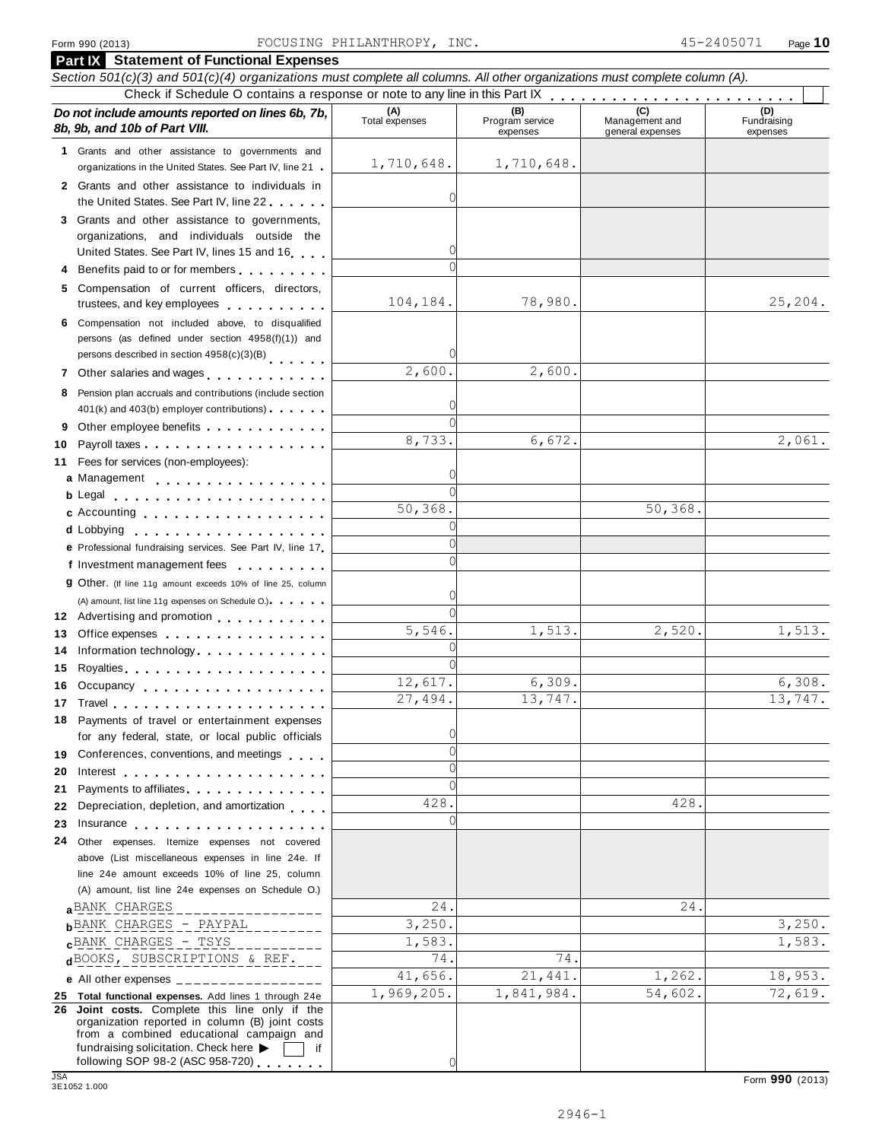**Part IX Statement of Functional Expenses**

### *Section 501(c)(3) and 501(c)(4) organizations must complete all columns. All other organizations must complete column (A).*  Form 990 (2013) FOCUSING PHILANTHROPY, INC.<br> **Check if Statement of Functional Expenses**<br>
Section 501(c)(3) and 501(c)(4) organizations must complete all columns. All other organizations must complete column (A).<br>
Check if 8b, 9b, and 10b of Part VIII. expenses Management and general expenses Fundraising expenses **1** Grants and other assistance to governments and organizations in the United States. See Part IV, line 21 **2** Grants and other assistance to individuals in **The United States. See Part IV, line 21**<br>**States of States. The United States. See Part IV, line 21**<br>**Crants and other assistance to governments and organizations in the United States. See Part IV, line 21**<br>**2** Grants and organizations, and individuals outside the United States. See Part IV, line 21<br>
2 Grants and other assistance to individuals in<br>
the United States. See Part IV, line 22<br>
3 Grants and other assistance to governments,<br>
organizations, and individuals outside the<br>
Unit the United States. See Part IV, line 22<br>
3 Grants and other assistance to governments,<br>
organizations, and individuals outside the<br>
United States. See Part IV, lines 15 and 16<br>
4 Benefits paid to or for members<br>
5 Compensa persons (as defined under section 4958(f)(1)) and persons described in section 4958(c)(3)(B) 19 Denefits paid to or for members<br>
19 Benefits paid to or for members<br>
19 Compensation of current officers, directors,<br>
trustees, and key employees<br>
19 Compensation not included above, to disqualified<br>
19 Persons describe 401(k) and Key employees<br>
6 Compensation not included above, to disqualified<br>
persons (as defined under section 4958(f)(1)) and<br>
persons described in section 4958(c)(3)(B)<br>
7 Other salaries and wages<br>
8 Pension plan accru 10 Payroll taxes.................. Fees for services (non-employees): **11** 6 Compensation not included above, to disquainted<br>persons (as defined under section  $4958(f)(1)$ ) and<br>persons described in section  $4958(c)(3)(B)$ <br>7 Other salaries and wages<br>8 Pension plan accruals and contributions (include s m m m m m m m m m m m m m m m m m m Pension plan accruals and contributions (include section<br>
401(k) and 403(b) employer contributions)<br> **Other employee benefits**<br> **Payroll taxes**<br>
Fees for services (non-employees):<br> **a** Management<br> **b** Legal<br> **a** Assembly Legal c Accounting . . . . . . . . . . . . . . . . . . **c** Accounting<br>**d** Lobbying **12** (A) amount, list line 11g expenses on Schedule O.) m m m m m m Advertising and promotion **13** Office expenses **14** Information technology **15 16** Occupancy **17** Travel 18 Payments of travel or entertainment expenses **19** Conferences, conventions, and meetings **20** Interest **21 22** Depreciation, depletion, and amortization **23** Insurance 24 Other expenses. Itemize expenses not covered **e** Professional fundraising services. See Part IV, line 17 f Investment management fees **g** Other. (If line 11q amount exceeds 10% of line 25, column m m m m m m m m m m m m m m m m m m m m m m m m m m m m m m m m m m m m m m m m m m m m m m m m m m m m m m m m m m Professional fundraising services. See Part IV, line 17 <sup>m</sup> Fees for services (non-employees):<br>
Legal<br>
Accounting<br>
Lobbying<br>
Professional fundraising services. See Part IV, line 17<br>
Investment management fees<br>
Other. (If line 11g amount exceeds 10% of line 25, column m m m m m m m m m m m m m m m m m m m m m m m m m m m Protessional tundraising services. See Part IV, line 17.<br>Investment management fees<br>Other. (If line 11g amount exceeds 10% of line 25, column<br>(A) amount, list line 11g expenses on Schedule O.).<br>Advertising and promotion<br>Of m m m m m m m m m m m m m m m m m m m m May a mount exceeds 10% of line 25, column<br>
in a fly expenses on Schedule O.)<br>
and promotion<br>
es<br>  $\cdots$ <br>  $\cdots$ <br>  $\cdots$ <br>  $\cdots$ <br>  $\cdots$ <br>  $\cdots$ <br>  $\cdots$ <br>  $\cdots$ <br>  $\cdots$ <br>  $\cdots$ <br>  $\cdots$ <br>  $\cdots$ <br>  $\cdots$ <br>  $\cdots$ <br>  $\cdots$ <br>  $\cdots$ (A) amount, list line 11g expenses on Schedule O.)<br>
Advertising and promotion<br>
Office expenses<br>
Information technology<br>
Royalties<br>
Decupancy<br>
Decupancy<br>
Travel<br>
Payments of travel or entertainment expenses<br>
for ony foderel for any federal, state, or local public officials Payments to affiliates **Exercise 2.1 Alternative** Payments to affiliates m m m m m m m m m m m m m m m m m m m m m m m m m m m m m m m m m m m m m m m m m m m m m m m m m m m m m m m m m m m m m Other expenses. Itemize expenses not covered above (List miscellaneous expenses in line 24e. If line 24e amount exceeds 10% of line 25, column (A) amount, list line 24e expenses on Schedule O.) **ab** BANK CHARGES - PAYPAL 3,250. 3,250. **cd** BOOKS, SUBSCRIPTIONS & REF. 74. 74. **e** All other expenses \_\_\_\_\_\_\_\_\_\_\_\_\_ **25 Total functional expenses.** Add lines 1 through 24e **25 Total functional expenses.** Add lines 1 through 24e<br>**26 Joint costs.** Complete this line only if the<br>corranization reported in column (R) ionit costs organization reported in column (B) joint costs from a combined educational campaign and fundraising solicitation. Check here  $\triangleright$   $\Box$  if following SOP 98-2 (ASC 958-720) Following Sop 98-2 (ASC 958-720)<br>
SE Total functional expenses. Add lines 1 through 24e<br>
26 John costs. Complete this line only if the<br>
organization reported in column (B) joint costs<br>
from a combined educational campaign 1,710,648. 1,710,648.  $\overline{0}$  $\overline{0}$  $\overline{0}$ 104,184. 78,980. 25,204.  $\overline{0}$ 2,600. 2,600.  $\overline{0}$  $\sqrt{2}$  $8,733.$  6,672.  $\sqrt{2}$  $\overline{0}$ 50,368. 50,368.  $\sqrt{ }$  $\sqrt{ }$  $\overline{C}$  $\overline{0}$  $\overline{0}$  $5,546.$  1,513. 2,520. 1,513.  $\sqrt{2}$  $rac{0}{12,617}$  $12,617$ . 6,309. 27,494. 13,747. 13,747.  $\sqrt{ }$  $\overline{0}$  $\overline{0}$  $\overline{0}$ 428. 428.  $\sqrt{ }$ BANK CHARGES 24. 24. **c**BANK CHARGES - TSYS 1,583. 1,583. 1,583. 1,583. 1,583. 1,583. 41,656. 21,441. 1,262. 18,953. 1,969,205. 1,841,984. 54,602. 72,619.

0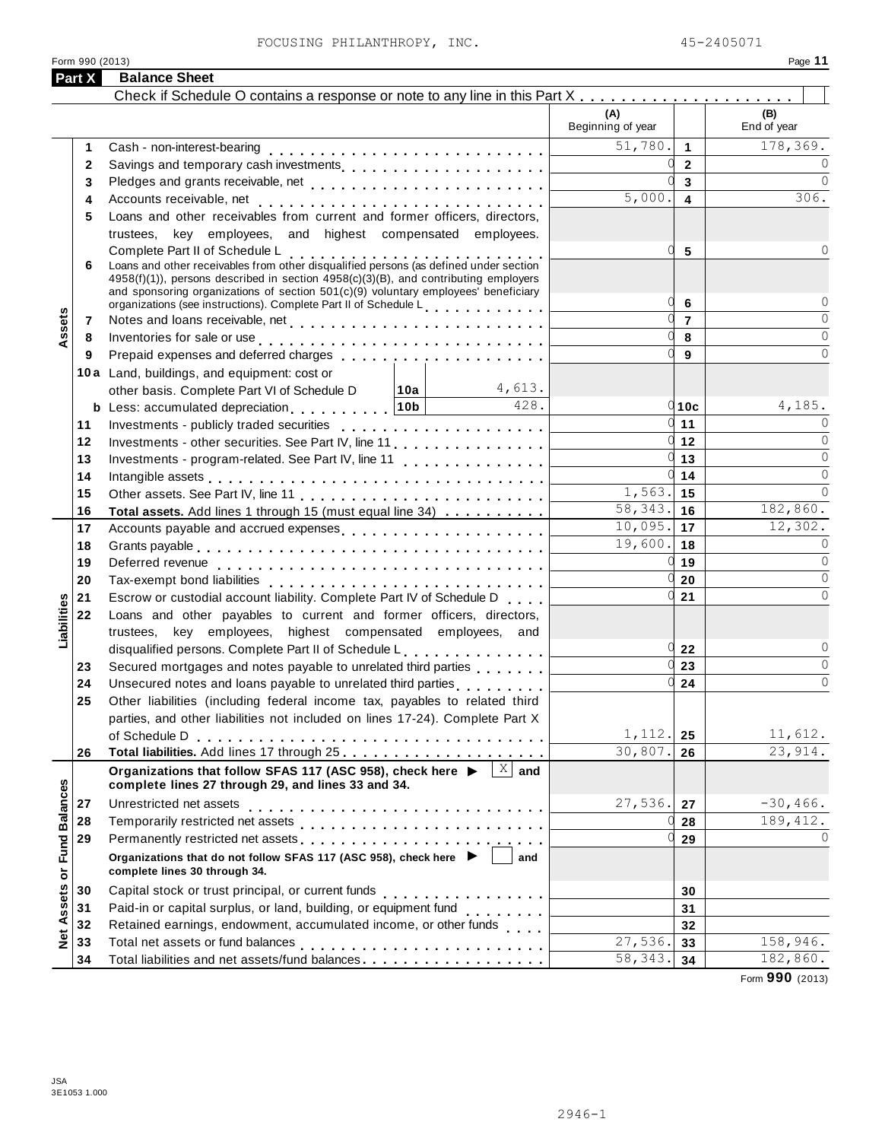|                  | FOCUSING PHILANTHROPY, INC.                                                                                                                                                                                                      |                          |                         | 45-2405071              |
|------------------|----------------------------------------------------------------------------------------------------------------------------------------------------------------------------------------------------------------------------------|--------------------------|-------------------------|-------------------------|
| Form 990 (2013)  |                                                                                                                                                                                                                                  |                          |                         | Page 11                 |
| Part X           | <b>Balance Sheet</b>                                                                                                                                                                                                             |                          |                         |                         |
|                  | Check if Schedule O contains a response or note to any line in this Part X                                                                                                                                                       |                          |                         |                         |
|                  |                                                                                                                                                                                                                                  | (A)<br>Beginning of year |                         | (B)<br>End of year      |
| 1                | Cash - non-interest-bearing                                                                                                                                                                                                      | 51,780.                  | $\blacktriangleleft$    | 178,369.                |
| $\mathbf{2}$     | Savings and temporary cash investments                                                                                                                                                                                           |                          | $\overline{2}$          |                         |
| 3                |                                                                                                                                                                                                                                  |                          | $\overline{3}$          | $\Omega$                |
| 4                |                                                                                                                                                                                                                                  | 5,000.                   | $\overline{\mathbf{4}}$ | 306.                    |
| 5                | Loans and other receivables from current and former officers, directors,                                                                                                                                                         |                          |                         |                         |
|                  | trustees, key employees, and highest compensated employees.                                                                                                                                                                      |                          |                         |                         |
|                  | Complete Part II of Schedule L                                                                                                                                                                                                   |                          | 5                       |                         |
| 6                | Complete Part II of Schedule L<br>Loans and other receivables from other disqualified persons (as defined under section                                                                                                          |                          |                         |                         |
|                  | $4958(f)(1)$ , persons described in section $4958(c)(3)(B)$ , and contributing employers                                                                                                                                         |                          |                         |                         |
|                  | and sponsoring organizations of section 501(c)(9) voluntary employees' beneficiary<br>organizations (see instructions). Complete Part II of Schedule Learning and Learning                                                       |                          | 6                       | $\Omega$                |
| 7                |                                                                                                                                                                                                                                  |                          | $\overline{7}$          | $\Omega$                |
| Assets<br>8      |                                                                                                                                                                                                                                  |                          | 8                       | $\mathbf 0$             |
| 9                | Prepaid expenses and deferred charges entitled and the prepaid expenses and deferred charges                                                                                                                                     |                          | 9                       | 0                       |
|                  | 10a Land, buildings, and equipment: cost or                                                                                                                                                                                      |                          |                         |                         |
|                  | 4,613.<br> 10a <br>other basis. Complete Part VI of Schedule D                                                                                                                                                                   |                          |                         |                         |
|                  | 428.<br><b>b</b> Less: accumulated depreciation. 10b                                                                                                                                                                             |                          | $9$ 10c                 | 4,185.                  |
| 11               | Investments - publicly traded securities                                                                                                                                                                                         |                          | $q_{11}$                | $\Omega$                |
| 12               | Investments - other securities. See Part IV, line 11.                                                                                                                                                                            |                          | $q_{12}$                | $\Omega$                |
| 13               | Investments - program-related. See Part IV, line 11                                                                                                                                                                              |                          | 13                      | $\Omega$                |
| 14               |                                                                                                                                                                                                                                  |                          | 14                      | $\Omega$                |
| 15               |                                                                                                                                                                                                                                  | 1,563.                   | 15                      | $\Omega$                |
| 16               | Total assets. Add lines 1 through 15 (must equal line 34)                                                                                                                                                                        | $\overline{58,343}$ .    | 16                      | 182,860.                |
| 17               | Accounts payable and accrued expenses                                                                                                                                                                                            | 10,095.                  | 17                      | 12,302.                 |
| 18               |                                                                                                                                                                                                                                  | 19,600.                  | 18                      | $\Omega$                |
| 19               |                                                                                                                                                                                                                                  |                          | 19                      | $\Omega$                |
| 20               |                                                                                                                                                                                                                                  |                          | 20                      | $\Omega$                |
| 21               | Escrow or custodial account liability. Complete Part IV of Schedule D.                                                                                                                                                           |                          | 21                      | 0                       |
| abilities<br>22  | Loans and other payables to current and former officers, directors,                                                                                                                                                              |                          |                         |                         |
|                  | trustees, key employees, highest compensated employees, and                                                                                                                                                                      |                          |                         |                         |
| ⊐                | disqualified persons. Complete Part II of Schedule L.                                                                                                                                                                            | U                        | 22                      | 0                       |
| 23               | Secured mortgages and notes payable to unrelated third parties                                                                                                                                                                   |                          | 23                      | $\overline{0}$          |
| 24               | Unsecured notes and loans payable to unrelated third parties                                                                                                                                                                     |                          | 24                      | $\Omega$                |
| 25               | Other liabilities (including federal income tax, payables to related third                                                                                                                                                       |                          |                         |                         |
|                  | parties, and other liabilities not included on lines 17-24). Complete Part X                                                                                                                                                     |                          |                         |                         |
|                  |                                                                                                                                                                                                                                  | 1,112.                   | 25                      | 11,612.                 |
| 26               |                                                                                                                                                                                                                                  | 30,807.                  | 26                      | 23,914.                 |
|                  | X <br>Organizations that follow SFAS 117 (ASC 958), check here ▶<br>and                                                                                                                                                          |                          |                         |                         |
|                  | complete lines 27 through 29, and lines 33 and 34.                                                                                                                                                                               |                          |                         |                         |
| 27               | Unrestricted net assets                                                                                                                                                                                                          | 27,536.                  | 27                      | $-30, 466.$<br>189,412. |
| 28               |                                                                                                                                                                                                                                  |                          | 28                      | <sup>n</sup>            |
| 29               | Permanently restricted net assets<br>intervals and intervals are not restricted in the set of assets are not restricted in the set of the set of the set of the set of the set of the set of the set of the set of the set of th |                          | 29                      |                         |
| or Fund Balances | Organizations that do not follow SFAS 117 (ASC 958), check here ▶ │ │<br>and<br>complete lines 30 through 34.                                                                                                                    |                          |                         |                         |
| 30               | Capital stock or trust principal, or current funds                                                                                                                                                                               |                          | 30                      |                         |
| Assets<br>31     | Paid-in or capital surplus, or land, building, or equipment fund [1, 1, 2, 2, 2, 2]                                                                                                                                              |                          | 31                      |                         |
| 32               | Retained earnings, endowment, accumulated income, or other funds                                                                                                                                                                 |                          | 32                      |                         |
| Net<br>33        |                                                                                                                                                                                                                                  | $\overline{27,536}$ .    | 33                      | 158,946.                |
| 34               | Total liabilities and net assets/fund balances                                                                                                                                                                                   | 58,343.                  | 34                      | 182,860.                |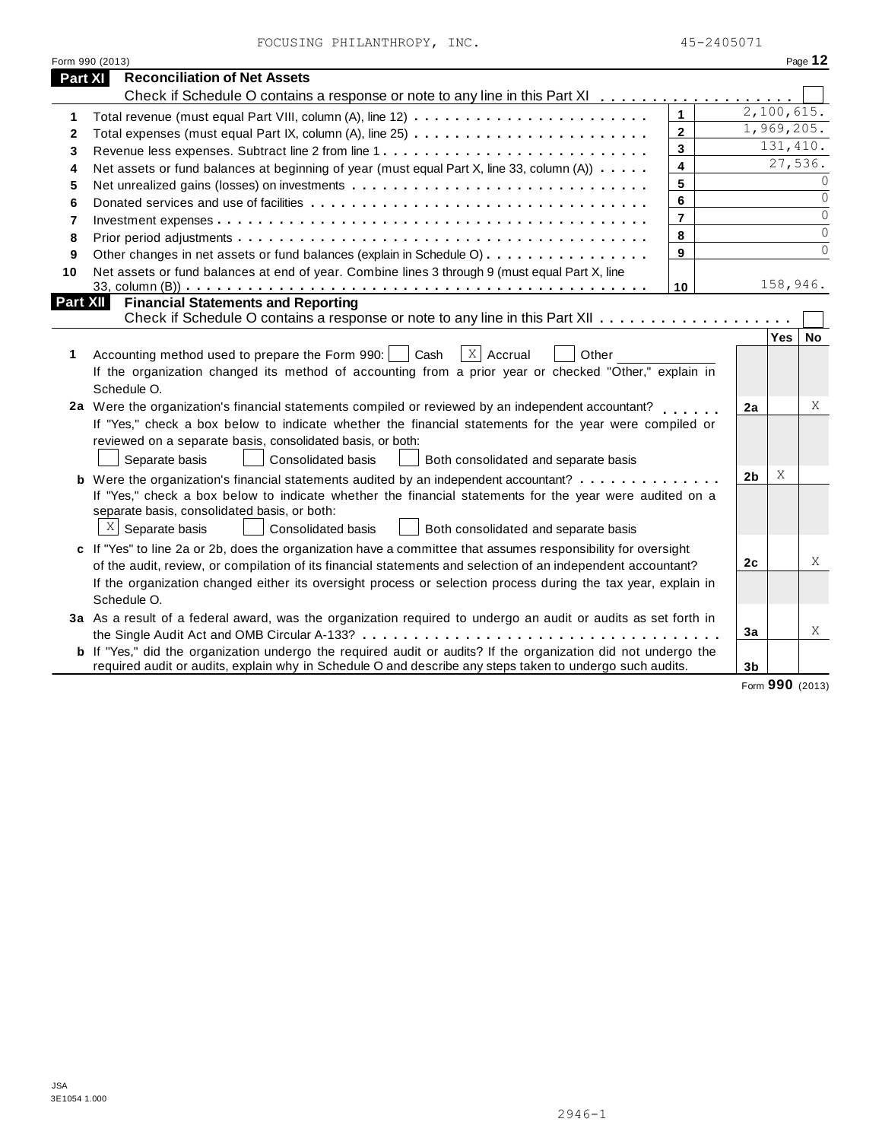|                | FOCUSING PHILANTHROPY, INC.                                                                                                                                                                                                       | 45-2405071              |                |                          |                |
|----------------|-----------------------------------------------------------------------------------------------------------------------------------------------------------------------------------------------------------------------------------|-------------------------|----------------|--------------------------|----------------|
|                | Form 990 (2013)                                                                                                                                                                                                                   |                         |                |                          | Page 12        |
| Part XI        | <b>Reconciliation of Net Assets</b>                                                                                                                                                                                               |                         |                |                          |                |
|                |                                                                                                                                                                                                                                   |                         |                |                          |                |
| 1              |                                                                                                                                                                                                                                   | $\mathbf{1}$            |                | 2,100,615.<br>1,969,205. |                |
| 2              |                                                                                                                                                                                                                                   | $\overline{2}$          |                | 131,410.                 |                |
| 3              |                                                                                                                                                                                                                                   | $\overline{\mathbf{3}}$ |                | 27,536.                  |                |
| 4              | Net assets or fund balances at beginning of year (must equal Part X, line 33, column (A))                                                                                                                                         | $\overline{\mathbf{4}}$ |                |                          | $\Omega$       |
| 5              |                                                                                                                                                                                                                                   | 5                       |                |                          | $\mathbf 0$    |
| 6              |                                                                                                                                                                                                                                   | 6                       |                |                          | $\overline{0}$ |
| $\overline{7}$ |                                                                                                                                                                                                                                   | $\overline{7}$          |                |                          | $\overline{0}$ |
| 8              |                                                                                                                                                                                                                                   | 8                       |                |                          | $\Omega$       |
| 9              | Other changes in net assets or fund balances (explain in Schedule O)                                                                                                                                                              | 9                       |                |                          |                |
| 10             | Net assets or fund balances at end of year. Combine lines 3 through 9 (must equal Part X, line                                                                                                                                    |                         |                | 158,946.                 |                |
| Part XII       | <b>Financial Statements and Reporting</b>                                                                                                                                                                                         | 10                      |                |                          |                |
|                |                                                                                                                                                                                                                                   |                         |                |                          |                |
|                |                                                                                                                                                                                                                                   |                         |                | Yes                      | <b>No</b>      |
| 1              | $\overline{X}$ Accrual<br>Accounting method used to prepare the Form 990:  <br>Cash<br>Other<br>If the organization changed its method of accounting from a prior year or checked "Other," explain in<br>Schedule O.              |                         |                |                          |                |
|                | 2a Were the organization's financial statements compiled or reviewed by an independent accountant?                                                                                                                                |                         | 2a             |                          | X              |
|                | If "Yes," check a box below to indicate whether the financial statements for the year were compiled or<br>reviewed on a separate basis, consolidated basis, or both:                                                              |                         |                |                          |                |
|                | Consolidated basis<br>Separate basis<br>Both consolidated and separate basis                                                                                                                                                      |                         |                |                          |                |
|                | <b>b</b> Were the organization's financial statements audited by an independent accountant?                                                                                                                                       |                         | 2 <sub>b</sub> | X                        |                |
|                | If "Yes," check a box below to indicate whether the financial statements for the year were audited on a<br>separate basis, consolidated basis, or both:                                                                           |                         |                |                          |                |
|                | $\mathbb{X}$ Separate basis<br>Consolidated basis<br>Both consolidated and separate basis                                                                                                                                         |                         |                |                          |                |
|                | c If "Yes" to line 2a or 2b, does the organization have a committee that assumes responsibility for oversight                                                                                                                     |                         |                |                          | X              |
|                | of the audit, review, or compilation of its financial statements and selection of an independent accountant?                                                                                                                      |                         | 2 <sub>c</sub> |                          |                |
|                | If the organization changed either its oversight process or selection process during the tax year, explain in<br>Schedule O.                                                                                                      |                         |                |                          |                |
|                | 3a As a result of a federal award, was the organization required to undergo an audit or audits as set forth in                                                                                                                    |                         |                |                          |                |
|                |                                                                                                                                                                                                                                   |                         | 3a             |                          | Χ              |
|                | <b>b</b> If "Yes," did the organization undergo the required audit or audits? If the organization did not undergo the<br>required audit or audits, explain why in Schedule O and describe any steps taken to undergo such audits. |                         | 3 <sub>b</sub> |                          |                |

Form **990** (2013)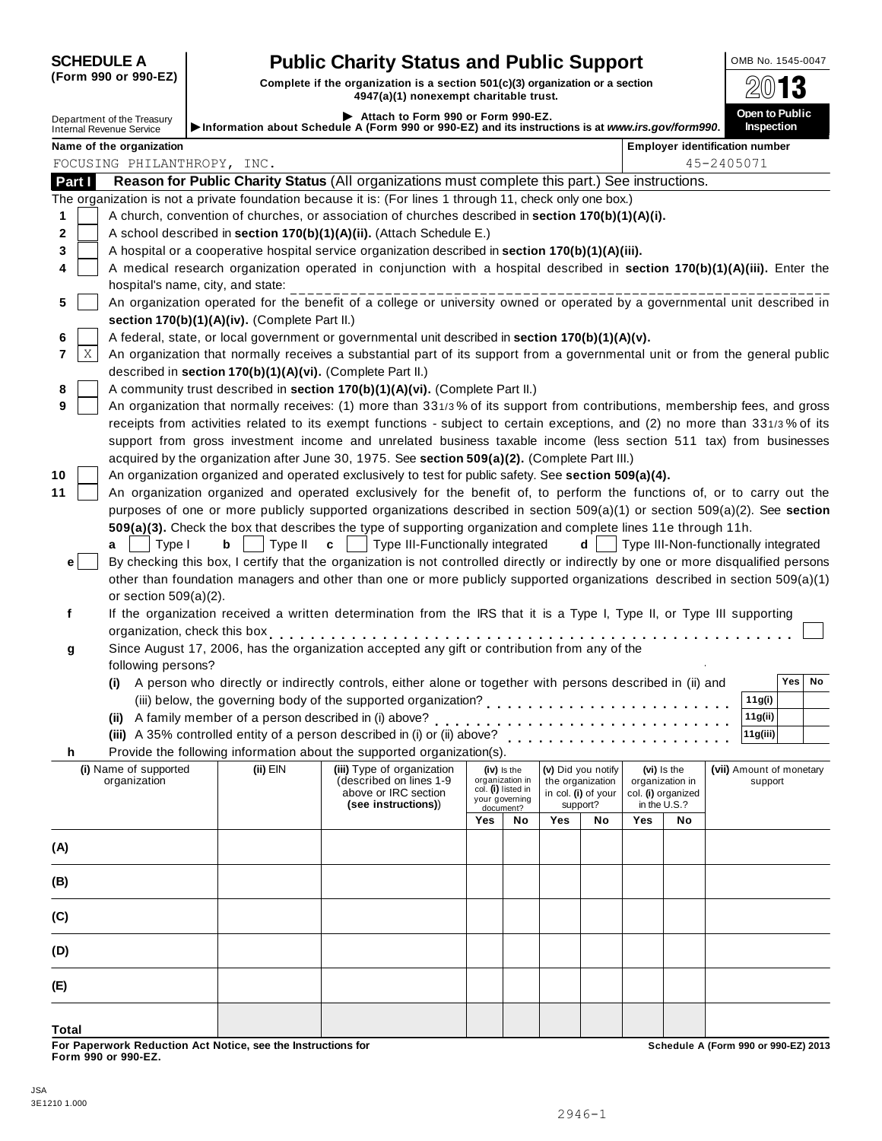| (Form 990 or 990-EZ) |  |  |  |  |
|----------------------|--|--|--|--|
|----------------------|--|--|--|--|

### **SCHEDULE A Public Charity Status and Public Support OMB No. 1545-0047**

(Form 990 or 990-EZ) **Complete if the organization is a section 501(c)(3)** organization or a section  $\frac{2013}{13}$ 

|                                                               |                          |                                                            | 7071 (a) 11 Noncoup chantable tra                                                                                                                                                                                                                               |     |                                       |     |                                 |     |                                    |                                            |
|---------------------------------------------------------------|--------------------------|------------------------------------------------------------|-----------------------------------------------------------------------------------------------------------------------------------------------------------------------------------------------------------------------------------------------------------------|-----|---------------------------------------|-----|---------------------------------|-----|------------------------------------|--------------------------------------------|
| Department of the Treasury<br><b>Internal Revenue Service</b> |                          |                                                            | Attach to Form 990 or Form 990-EZ.<br>Information about Schedule A (Form 990 or 990-EZ) and its instructions is at www.irs.gov/form990.                                                                                                                         |     |                                       |     |                                 |     |                                    | Open to Public<br><b>Inspection</b>        |
| Name of the organization                                      |                          |                                                            |                                                                                                                                                                                                                                                                 |     |                                       |     |                                 |     |                                    | <b>Employer identification number</b>      |
|                                                               |                          | FOCUSING PHILANTHROPY, INC.                                |                                                                                                                                                                                                                                                                 |     |                                       |     |                                 |     |                                    | 45-2405071                                 |
| Part I                                                        |                          |                                                            | Reason for Public Charity Status (All organizations must complete this part.) See instructions.                                                                                                                                                                 |     |                                       |     |                                 |     |                                    |                                            |
|                                                               |                          |                                                            | The organization is not a private foundation because it is: (For lines 1 through 11, check only one box.)                                                                                                                                                       |     |                                       |     |                                 |     |                                    |                                            |
| 1                                                             |                          |                                                            | A church, convention of churches, or association of churches described in section 170(b)(1)(A)(i).                                                                                                                                                              |     |                                       |     |                                 |     |                                    |                                            |
| 2                                                             |                          |                                                            | A school described in section 170(b)(1)(A)(ii). (Attach Schedule E.)                                                                                                                                                                                            |     |                                       |     |                                 |     |                                    |                                            |
| 3                                                             |                          |                                                            | A hospital or a cooperative hospital service organization described in section 170(b)(1)(A)(iii).                                                                                                                                                               |     |                                       |     |                                 |     |                                    |                                            |
| 4                                                             |                          |                                                            | A medical research organization operated in conjunction with a hospital described in section 170(b)(1)(A)(iii). Enter the                                                                                                                                       |     |                                       |     |                                 |     |                                    |                                            |
|                                                               |                          | hospital's name, city, and state:                          |                                                                                                                                                                                                                                                                 |     |                                       |     |                                 |     |                                    |                                            |
| 5                                                             |                          |                                                            | An organization operated for the benefit of a college or university owned or operated by a governmental unit described in                                                                                                                                       |     |                                       |     |                                 |     |                                    |                                            |
|                                                               |                          | section 170(b)(1)(A)(iv). (Complete Part II.)              |                                                                                                                                                                                                                                                                 |     |                                       |     |                                 |     |                                    |                                            |
| 6                                                             |                          |                                                            | A federal, state, or local government or governmental unit described in section 170(b)(1)(A)(v).                                                                                                                                                                |     |                                       |     |                                 |     |                                    |                                            |
| $\mathbf X$<br>7                                              |                          |                                                            | An organization that normally receives a substantial part of its support from a governmental unit or from the general public                                                                                                                                    |     |                                       |     |                                 |     |                                    |                                            |
|                                                               |                          | described in section 170(b)(1)(A)(vi). (Complete Part II.) |                                                                                                                                                                                                                                                                 |     |                                       |     |                                 |     |                                    |                                            |
| 8                                                             |                          |                                                            | A community trust described in section 170(b)(1)(A)(vi). (Complete Part II.)                                                                                                                                                                                    |     |                                       |     |                                 |     |                                    |                                            |
| 9                                                             |                          |                                                            | An organization that normally receives: (1) more than 331/3% of its support from contributions, membership fees, and gross                                                                                                                                      |     |                                       |     |                                 |     |                                    |                                            |
|                                                               |                          |                                                            | receipts from activities related to its exempt functions - subject to certain exceptions, and (2) no more than 331/3% of its                                                                                                                                    |     |                                       |     |                                 |     |                                    |                                            |
|                                                               |                          |                                                            | support from gross investment income and unrelated business taxable income (less section 511 tax) from businesses                                                                                                                                               |     |                                       |     |                                 |     |                                    |                                            |
|                                                               |                          |                                                            | acquired by the organization after June 30, 1975. See section 509(a)(2). (Complete Part III.)                                                                                                                                                                   |     |                                       |     |                                 |     |                                    |                                            |
| 10                                                            |                          |                                                            | An organization organized and operated exclusively to test for public safety. See section 509(a)(4).                                                                                                                                                            |     |                                       |     |                                 |     |                                    |                                            |
| 11                                                            |                          |                                                            | An organization organized and operated exclusively for the benefit of, to perform the functions of, or to carry out the                                                                                                                                         |     |                                       |     |                                 |     |                                    |                                            |
|                                                               |                          |                                                            | purposes of one or more publicly supported organizations described in section 509(a)(1) or section 509(a)(2). See section                                                                                                                                       |     |                                       |     |                                 |     |                                    |                                            |
|                                                               |                          |                                                            | 509(a)(3). Check the box that describes the type of supporting organization and complete lines 11e through 11h.                                                                                                                                                 |     |                                       |     |                                 |     |                                    |                                            |
| a                                                             | Type I                   | b<br>Type II                                               | $\mathbf{c}$   Type III-Functionally integrated                                                                                                                                                                                                                 |     |                                       |     |                                 |     |                                    | $d$   Type III-Non-functionally integrated |
| е                                                             |                          |                                                            | By checking this box, I certify that the organization is not controlled directly or indirectly by one or more disqualified persons<br>other than foundation managers and other than one or more publicly supported organizations described in section 509(a)(1) |     |                                       |     |                                 |     |                                    |                                            |
|                                                               |                          |                                                            |                                                                                                                                                                                                                                                                 |     |                                       |     |                                 |     |                                    |                                            |
| f                                                             | or section $509(a)(2)$ . |                                                            | If the organization received a written determination from the IRS that it is a Type I, Type II, or Type III supporting                                                                                                                                          |     |                                       |     |                                 |     |                                    |                                            |
|                                                               |                          |                                                            |                                                                                                                                                                                                                                                                 |     |                                       |     |                                 |     |                                    |                                            |
|                                                               |                          |                                                            | organization, check this box<br>Since August 17, 2006, has the organization accepted any gift or contribution from any of the                                                                                                                                   |     |                                       |     |                                 |     |                                    |                                            |
| g                                                             | following persons?       |                                                            |                                                                                                                                                                                                                                                                 |     |                                       |     |                                 |     |                                    |                                            |
| (i)                                                           |                          |                                                            | A person who directly or indirectly controls, either alone or together with persons described in (ii) and                                                                                                                                                       |     |                                       |     |                                 |     |                                    | Yes  <br>No                                |
|                                                               |                          |                                                            |                                                                                                                                                                                                                                                                 |     |                                       |     |                                 |     |                                    | 11g(i)                                     |
|                                                               |                          |                                                            |                                                                                                                                                                                                                                                                 |     |                                       |     |                                 |     |                                    | 11g(ii)                                    |
|                                                               |                          |                                                            | (iii) A 35% controlled entity of a person described in (i) or (ii) above?                                                                                                                                                                                       |     |                                       |     |                                 |     |                                    | 11g(iii)                                   |
| h.                                                            |                          |                                                            | Provide the following information about the supported organization(s).                                                                                                                                                                                          |     |                                       | .   |                                 |     |                                    |                                            |
|                                                               | (i) Name of supported    | $(ii)$ EIN                                                 | (iii) Type of organization                                                                                                                                                                                                                                      |     | (iv) is the                           |     | (v) Did you notify              |     | (vi) Is the                        | (vii) Amount of monetary                   |
|                                                               | organization             |                                                            | (described on lines 1-9<br>above or IRC section                                                                                                                                                                                                                 |     | organization in<br>col. (i) listed in |     | the organization                |     | organization in                    | support                                    |
|                                                               |                          |                                                            | (see instructions))                                                                                                                                                                                                                                             |     | your governing<br>document?           |     | in col. (i) of your<br>support? |     | col. (i) organized<br>in the U.S.? |                                            |
|                                                               |                          |                                                            |                                                                                                                                                                                                                                                                 | Yes | No                                    | Yes | No                              | Yes | No                                 |                                            |
|                                                               |                          |                                                            |                                                                                                                                                                                                                                                                 |     |                                       |     |                                 |     |                                    |                                            |
| (A)                                                           |                          |                                                            |                                                                                                                                                                                                                                                                 |     |                                       |     |                                 |     |                                    |                                            |
|                                                               |                          |                                                            |                                                                                                                                                                                                                                                                 |     |                                       |     |                                 |     |                                    |                                            |
| (B)                                                           |                          |                                                            |                                                                                                                                                                                                                                                                 |     |                                       |     |                                 |     |                                    |                                            |
| (C)                                                           |                          |                                                            |                                                                                                                                                                                                                                                                 |     |                                       |     |                                 |     |                                    |                                            |
|                                                               |                          |                                                            |                                                                                                                                                                                                                                                                 |     |                                       |     |                                 |     |                                    |                                            |
| (D)                                                           |                          |                                                            |                                                                                                                                                                                                                                                                 |     |                                       |     |                                 |     |                                    |                                            |
| (E)                                                           |                          |                                                            |                                                                                                                                                                                                                                                                 |     |                                       |     |                                 |     |                                    |                                            |
|                                                               |                          |                                                            |                                                                                                                                                                                                                                                                 |     |                                       |     |                                 |     |                                    |                                            |
| <b>Total</b>                                                  |                          |                                                            |                                                                                                                                                                                                                                                                 |     |                                       |     |                                 |     |                                    |                                            |

**For Paperwork Reduction Act Notice, see the Instructions for Form 990 or 990-EZ.**

**Schedule A (Form 990 or 990-EZ) 2013**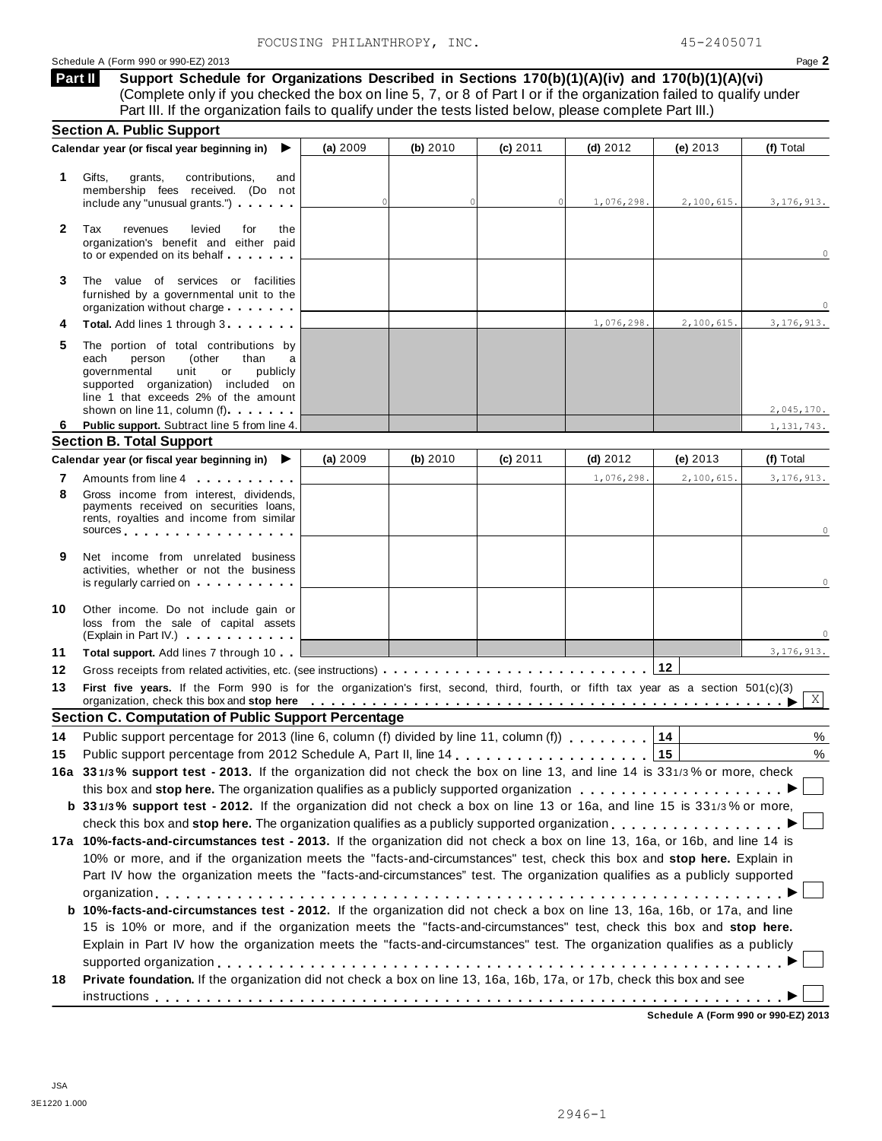**Support Schedule for Organizations Described in Sections 170(b)(1)(A)(iv) and 170(b)(1)(A)(vi)** (Complete only if you checked the box on line 5, 7, or 8 of Part I or if the organization failed to qualify under **Part II** 

|              |                                                                                                                                                                                                                                                  |          |          |          | Part III. If the organization fails to qualify under the tests listed below, please complete Part III.) |            |              |
|--------------|--------------------------------------------------------------------------------------------------------------------------------------------------------------------------------------------------------------------------------------------------|----------|----------|----------|---------------------------------------------------------------------------------------------------------|------------|--------------|
|              | <b>Section A. Public Support</b><br>Calendar year (or fiscal year beginning in)<br>▶                                                                                                                                                             | (a) 2009 | (b) 2010 | (c) 2011 | $(d)$ 2012                                                                                              | (e) $2013$ | (f) Total    |
|              |                                                                                                                                                                                                                                                  |          |          |          |                                                                                                         |            |              |
| 1.           | Gifts,<br>grants,<br>contributions,<br>and                                                                                                                                                                                                       |          |          |          |                                                                                                         |            |              |
|              | membership fees received. (Do not<br>include any "unusual grants.")                                                                                                                                                                              |          |          |          | 1,076,298.                                                                                              | 2,100,615. | 3, 176, 913. |
|              |                                                                                                                                                                                                                                                  |          |          |          |                                                                                                         |            |              |
| $\mathbf{2}$ | Tax<br>revenues<br>levied<br>for<br>the<br>organization's benefit and either paid                                                                                                                                                                |          |          |          |                                                                                                         |            |              |
|              |                                                                                                                                                                                                                                                  |          |          |          |                                                                                                         |            | 0            |
|              |                                                                                                                                                                                                                                                  |          |          |          |                                                                                                         |            |              |
| 3            | The value of services or facilities<br>furnished by a governmental unit to the                                                                                                                                                                   |          |          |          |                                                                                                         |            |              |
|              | organization without charge                                                                                                                                                                                                                      |          |          |          |                                                                                                         |            |              |
| 4            | Total. Add lines 1 through 3.                                                                                                                                                                                                                    |          |          |          | 1,076,298.                                                                                              | 2,100,615. | 3, 176, 913. |
| 5            | The portion of total contributions by                                                                                                                                                                                                            |          |          |          |                                                                                                         |            |              |
|              | (other<br>each<br>person<br>than<br>a                                                                                                                                                                                                            |          |          |          |                                                                                                         |            |              |
|              | governmental<br>unit<br>publicly<br>or<br>supported organization) included on                                                                                                                                                                    |          |          |          |                                                                                                         |            |              |
|              | line 1 that exceeds 2% of the amount                                                                                                                                                                                                             |          |          |          |                                                                                                         |            |              |
|              | shown on line 11, column (f)                                                                                                                                                                                                                     |          |          |          |                                                                                                         |            | 2,045,170.   |
| 6            | Public support. Subtract line 5 from line 4.<br><b>Section B. Total Support</b>                                                                                                                                                                  |          |          |          |                                                                                                         |            | 1, 131, 743. |
|              | Calendar year (or fiscal year beginning in) $\blacktriangleright$                                                                                                                                                                                | (a) 2009 | (b) 2010 | (c) 2011 | $(d)$ 2012                                                                                              | (e) $2013$ | (f) Total    |
| 7            | Amounts from line 4                                                                                                                                                                                                                              |          |          |          | 1,076,298.                                                                                              | 2,100,615. | 3, 176, 913. |
| 8            | Gross income from interest, dividends,                                                                                                                                                                                                           |          |          |          |                                                                                                         |            |              |
|              | payments received on securities loans,                                                                                                                                                                                                           |          |          |          |                                                                                                         |            |              |
|              | rents, royalties and income from similar<br>sources sources                                                                                                                                                                                      |          |          |          |                                                                                                         |            | 0            |
|              |                                                                                                                                                                                                                                                  |          |          |          |                                                                                                         |            |              |
| 9            | Net income from unrelated business<br>activities, whether or not the business                                                                                                                                                                    |          |          |          |                                                                                                         |            |              |
|              | is regularly carried on the contract of the set of the set of the set of the set of the set of the set of the                                                                                                                                    |          |          |          |                                                                                                         |            | 0            |
|              |                                                                                                                                                                                                                                                  |          |          |          |                                                                                                         |            |              |
| 10           | Other income. Do not include gain or<br>loss from the sale of capital assets                                                                                                                                                                     |          |          |          |                                                                                                         |            |              |
|              | (Explain in Part IV.)                                                                                                                                                                                                                            |          |          |          |                                                                                                         |            |              |
| 11           | <b>Total support.</b> Add lines 7 through 10                                                                                                                                                                                                     |          |          |          |                                                                                                         |            | 3, 176, 913. |
| 12           |                                                                                                                                                                                                                                                  |          |          |          |                                                                                                         | 12         |              |
| 13           | First five years. If the Form 990 is for the organization's first, second, third, fourth, or fifth tax year as a section 501(c)(3)                                                                                                               |          |          |          |                                                                                                         |            |              |
|              | organization, check this box and stop here entirially respectively and the set of the set of the set of the set of the set of the set of the set of the set of the set of the set of the set of the set of the set of the set                    |          |          |          |                                                                                                         |            | $\,$ X       |
|              |                                                                                                                                                                                                                                                  |          |          |          |                                                                                                         |            |              |
|              | <b>Section C. Computation of Public Support Percentage</b>                                                                                                                                                                                       |          |          |          |                                                                                                         |            |              |
|              | Public support percentage for 2013 (line 6, column (f) divided by line 11, column (f) $\ldots$ ,,,,,                                                                                                                                             |          |          |          |                                                                                                         | 14         | %            |
|              |                                                                                                                                                                                                                                                  |          |          |          |                                                                                                         |            | %            |
|              | 16a 331/3% support test - 2013. If the organization did not check the box on line 13, and line 14 is 331/3% or more, check                                                                                                                       |          |          |          |                                                                                                         |            |              |
|              |                                                                                                                                                                                                                                                  |          |          |          |                                                                                                         |            |              |
|              | <b>b</b> 331/3% support test - 2012. If the organization did not check a box on line 13 or 16a, and line 15 is 331/3% or more,                                                                                                                   |          |          |          |                                                                                                         |            |              |
|              | check this box and stop here. The organization qualifies as a publicly supported organization                                                                                                                                                    |          |          |          |                                                                                                         |            |              |
|              | 17a 10%-facts-and-circumstances test - 2013. If the organization did not check a box on line 13, 16a, or 16b, and line 14 is                                                                                                                     |          |          |          |                                                                                                         |            |              |
|              | 10% or more, and if the organization meets the "facts-and-circumstances" test, check this box and stop here. Explain in                                                                                                                          |          |          |          |                                                                                                         |            |              |
|              | Part IV how the organization meets the "facts-and-circumstances" test. The organization qualifies as a publicly supported                                                                                                                        |          |          |          |                                                                                                         |            |              |
|              |                                                                                                                                                                                                                                                  |          |          |          |                                                                                                         |            |              |
|              | <b>b 10%-facts-and-circumstances test - 2012.</b> If the organization did not check a box on line 13, 16a, 16b, or 17a, and line                                                                                                                 |          |          |          |                                                                                                         |            |              |
|              | 15 is 10% or more, and if the organization meets the "facts-and-circumstances" test, check this box and stop here.<br>Explain in Part IV how the organization meets the "facts-and-circumstances" test. The organization qualifies as a publicly |          |          |          |                                                                                                         |            |              |
| 14<br>15     |                                                                                                                                                                                                                                                  |          |          |          |                                                                                                         |            |              |
| 18           | Private foundation. If the organization did not check a box on line 13, 16a, 16b, 17a, or 17b, check this box and see                                                                                                                            |          |          |          |                                                                                                         |            |              |

JSA 3E1220 1.000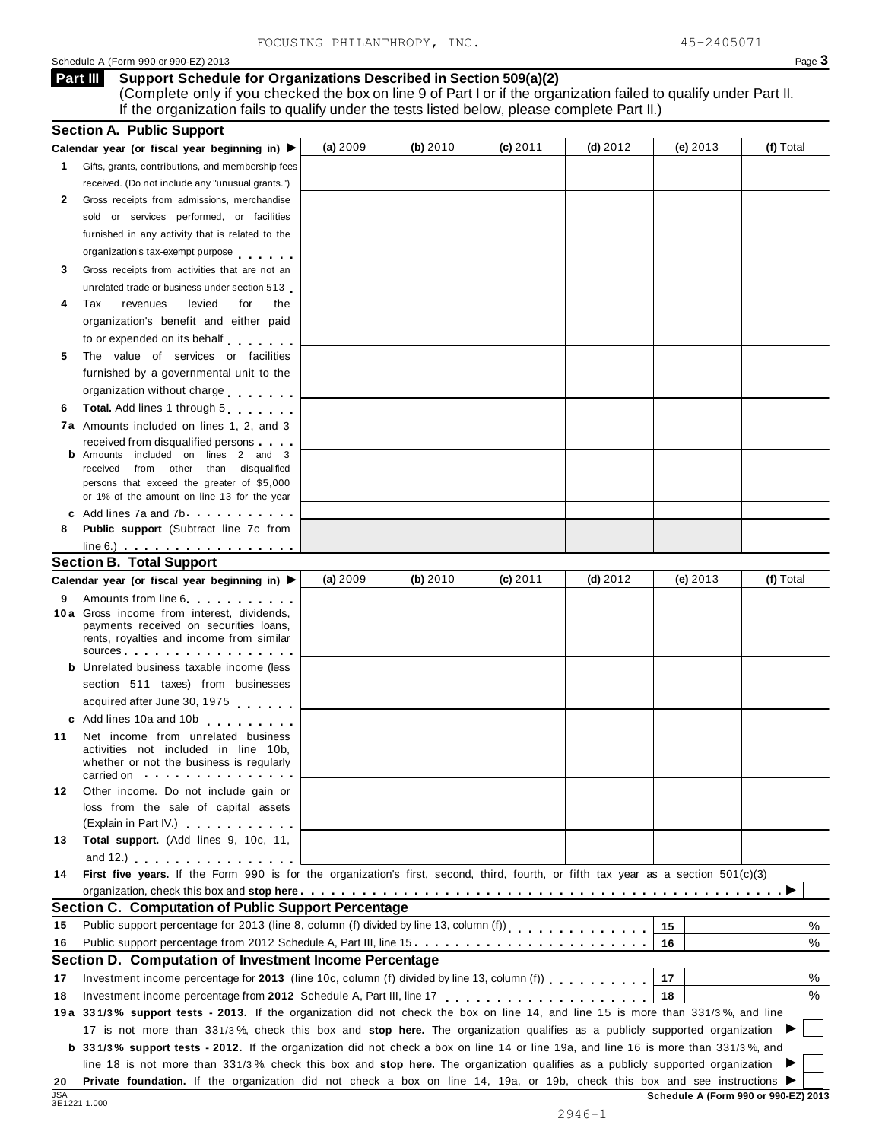### Schedule A (Form 990 or 990-EZ) 2013 Page 3

### **Support Schedule for Organizations Described in Section 509(a)(2) Part III**

(Complete only if you checked the box on line 9 of Part I or if the organization failed to qualify under Part II. If the organization fails to qualify under the tests listed below, please complete Part II.)

|            | <b>Section A. Public Support</b>                                                                                                                                                                                                                                                                                                                    |            |            |            |            |            |                                      |
|------------|-----------------------------------------------------------------------------------------------------------------------------------------------------------------------------------------------------------------------------------------------------------------------------------------------------------------------------------------------------|------------|------------|------------|------------|------------|--------------------------------------|
|            | Calendar year (or fiscal year beginning in) ▶                                                                                                                                                                                                                                                                                                       | (a) $2009$ | (b) $2010$ | $(c)$ 2011 | (d) $2012$ | (e) $2013$ | (f) Total                            |
| 1.         | Gifts, grants, contributions, and membership fees                                                                                                                                                                                                                                                                                                   |            |            |            |            |            |                                      |
|            | received. (Do not include any "unusual grants.")                                                                                                                                                                                                                                                                                                    |            |            |            |            |            |                                      |
| 2          | Gross receipts from admissions, merchandise                                                                                                                                                                                                                                                                                                         |            |            |            |            |            |                                      |
|            | sold or services performed, or facilities                                                                                                                                                                                                                                                                                                           |            |            |            |            |            |                                      |
|            | furnished in any activity that is related to the                                                                                                                                                                                                                                                                                                    |            |            |            |            |            |                                      |
|            | organization's tax-exempt purpose                                                                                                                                                                                                                                                                                                                   |            |            |            |            |            |                                      |
| 3          | Gross receipts from activities that are not an                                                                                                                                                                                                                                                                                                      |            |            |            |            |            |                                      |
|            | unrelated trade or business under section 513                                                                                                                                                                                                                                                                                                       |            |            |            |            |            |                                      |
| 4          | levied<br>Tax<br>revenues<br>for<br>the                                                                                                                                                                                                                                                                                                             |            |            |            |            |            |                                      |
|            | organization's benefit and either paid                                                                                                                                                                                                                                                                                                              |            |            |            |            |            |                                      |
|            | to or expended on its behalf                                                                                                                                                                                                                                                                                                                        |            |            |            |            |            |                                      |
| 5          | The value of services or facilities                                                                                                                                                                                                                                                                                                                 |            |            |            |            |            |                                      |
|            | furnished by a governmental unit to the                                                                                                                                                                                                                                                                                                             |            |            |            |            |            |                                      |
|            | organization without charge                                                                                                                                                                                                                                                                                                                         |            |            |            |            |            |                                      |
| 6          | Total. Add lines 1 through 5                                                                                                                                                                                                                                                                                                                        |            |            |            |            |            |                                      |
|            | 7a Amounts included on lines 1, 2, and 3                                                                                                                                                                                                                                                                                                            |            |            |            |            |            |                                      |
|            | received from disqualified persons                                                                                                                                                                                                                                                                                                                  |            |            |            |            |            |                                      |
|            | <b>b</b> Amounts included on lines 2 and 3                                                                                                                                                                                                                                                                                                          |            |            |            |            |            |                                      |
|            | from other than disqualified<br>received<br>persons that exceed the greater of \$5,000                                                                                                                                                                                                                                                              |            |            |            |            |            |                                      |
|            | or 1% of the amount on line 13 for the year                                                                                                                                                                                                                                                                                                         |            |            |            |            |            |                                      |
|            | c Add lines 7a and 7b.                                                                                                                                                                                                                                                                                                                              |            |            |            |            |            |                                      |
| 8          | Public support (Subtract line 7c from                                                                                                                                                                                                                                                                                                               |            |            |            |            |            |                                      |
|            | $line 6.)$                                                                                                                                                                                                                                                                                                                                          |            |            |            |            |            |                                      |
|            | <b>Section B. Total Support</b>                                                                                                                                                                                                                                                                                                                     |            |            |            |            |            |                                      |
|            | Calendar year (or fiscal year beginning in)                                                                                                                                                                                                                                                                                                         | (a) $2009$ | (b) $2010$ | $(c)$ 2011 | (d) $2012$ | (e) $2013$ | (f) Total                            |
| 9          | Amounts from line 6                                                                                                                                                                                                                                                                                                                                 |            |            |            |            |            |                                      |
|            | 10a Gross income from interest, dividends,<br>payments received on securities loans,                                                                                                                                                                                                                                                                |            |            |            |            |            |                                      |
|            | rents, royalties and income from similar                                                                                                                                                                                                                                                                                                            |            |            |            |            |            |                                      |
|            | sources                                                                                                                                                                                                                                                                                                                                             |            |            |            |            |            |                                      |
|            | <b>b</b> Unrelated business taxable income (less                                                                                                                                                                                                                                                                                                    |            |            |            |            |            |                                      |
|            | section 511 taxes) from businesses                                                                                                                                                                                                                                                                                                                  |            |            |            |            |            |                                      |
|            | acquired after June 30, 1975                                                                                                                                                                                                                                                                                                                        |            |            |            |            |            |                                      |
|            | c Add lines 10a and 10b                                                                                                                                                                                                                                                                                                                             |            |            |            |            |            |                                      |
| 11         | Net income from unrelated business                                                                                                                                                                                                                                                                                                                  |            |            |            |            |            |                                      |
|            | activities not included in line 10b,<br>whether or not the business is regularly                                                                                                                                                                                                                                                                    |            |            |            |            |            |                                      |
|            | carried on entering the state of the state of the state of the state of the state of the state of the state of                                                                                                                                                                                                                                      |            |            |            |            |            |                                      |
| 12         | Other income. Do not include gain or                                                                                                                                                                                                                                                                                                                |            |            |            |            |            |                                      |
|            | loss from the sale of capital assets                                                                                                                                                                                                                                                                                                                |            |            |            |            |            |                                      |
|            | (Explain in Part IV.) <b>All and Strategies</b>                                                                                                                                                                                                                                                                                                     |            |            |            |            |            |                                      |
| 13         | Total support. (Add lines 9, 10c, 11,                                                                                                                                                                                                                                                                                                               |            |            |            |            |            |                                      |
|            | and $12$ .) $\qquad \qquad \qquad$ $\qquad \qquad$ $\qquad \qquad$ $\qquad$ $\qquad \qquad$ $\qquad$ $\qquad$ $\qquad$ $\qquad$ $\qquad$ $\qquad$ $\qquad$ $\qquad$ $\qquad$ $\qquad$ $\qquad$ $\qquad$ $\qquad$ $\qquad$ $\qquad$ $\qquad$ $\qquad$ $\qquad$ $\qquad$ $\qquad$ $\qquad$ $\qquad$ $\qquad$ $\qquad$ $\qquad$ $\qquad$ $\qquad$ $\q$ |            |            |            |            |            |                                      |
| 14         | First five years. If the Form 990 is for the organization's first, second, third, fourth, or fifth tax year as a section 501(c)(3)                                                                                                                                                                                                                  |            |            |            |            |            |                                      |
|            |                                                                                                                                                                                                                                                                                                                                                     |            |            |            |            |            |                                      |
|            | Section C. Computation of Public Support Percentage                                                                                                                                                                                                                                                                                                 |            |            |            |            |            |                                      |
| 15         | Public support percentage for 2013 (line 8, column (f) divided by line 13, column (f))<br>[11]                                                                                                                                                                                                                                                      |            |            |            |            | 15         | ℅                                    |
| 16         | Public support percentage from 2012 Schedule A, Part III, line 15.                                                                                                                                                                                                                                                                                  |            |            |            |            | 16         | %                                    |
|            | Section D. Computation of Investment Income Percentage                                                                                                                                                                                                                                                                                              |            |            |            |            |            |                                      |
| 17         |                                                                                                                                                                                                                                                                                                                                                     |            |            |            |            | 17         | %                                    |
| 18         |                                                                                                                                                                                                                                                                                                                                                     |            |            |            |            | 18         | %                                    |
|            | 19a 331/3% support tests - 2013. If the organization did not check the box on line 14, and line 15 is more than 331/3%, and line                                                                                                                                                                                                                    |            |            |            |            |            |                                      |
|            | 17 is not more than 331/3%, check this box and stop here. The organization qualifies as a publicly supported organization                                                                                                                                                                                                                           |            |            |            |            |            |                                      |
|            | <b>b</b> 331/3% support tests - 2012. If the organization did not check a box on line 14 or line 19a, and line 16 is more than 331/3%, and                                                                                                                                                                                                          |            |            |            |            |            |                                      |
|            | line 18 is not more than 331/3%, check this box and stop here. The organization qualifies as a publicly supported organization                                                                                                                                                                                                                      |            |            |            |            |            |                                      |
| 20         | Private foundation. If the organization did not check a box on line 14, 19a, or 19b, check this box and see instructions ▶                                                                                                                                                                                                                          |            |            |            |            |            |                                      |
| <b>JSA</b> |                                                                                                                                                                                                                                                                                                                                                     |            |            |            |            |            | Schedule A (Form 990 or 990-EZ) 2013 |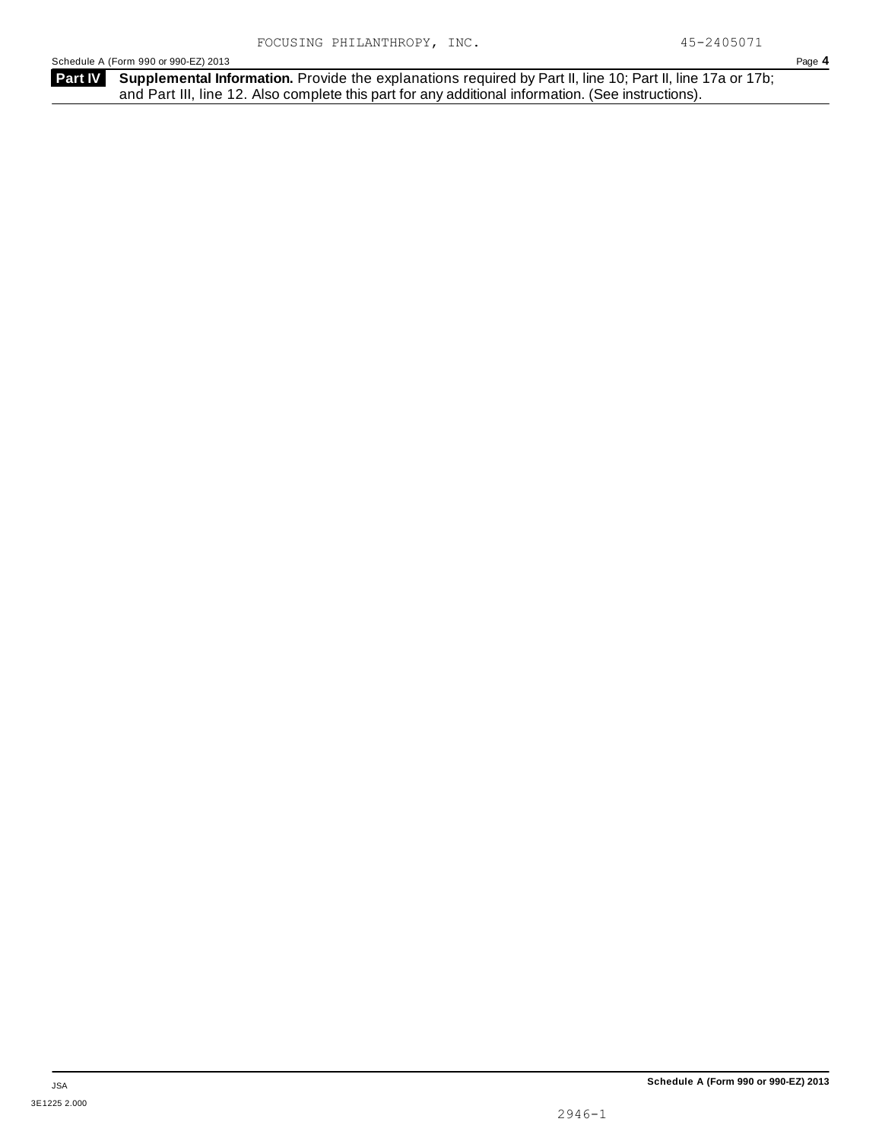**Part IV** Supplemental Information. Provide the explanations required by Part II, line 10; Part II, line 17a or 17b; and Part III, line 12. Also complete this part for any additional information. (See instructions).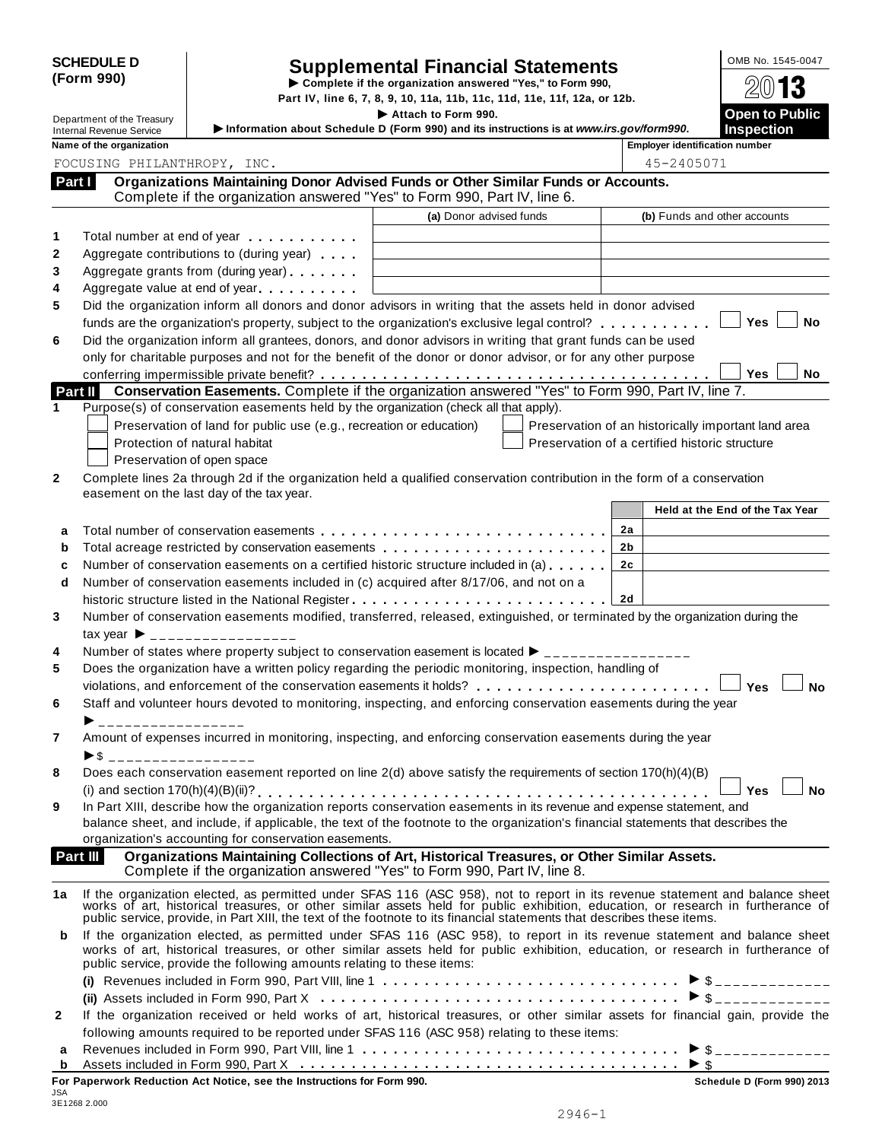| <b>SCHEDULE D</b> |  |
|-------------------|--|
| (Form 990)        |  |

# SCHEDULE D<br>
Supplemental Financial Statements<br>
Form 990) Part IV, line 6, 7, 8, 9, 10, 11a, 11b, 11c, 11d, 11e, 11f, 12a, or 12b.<br>
Part IV, line 6, 7, 8, 9, 10, 11a, 11b, 11c, 11d, 11e, 11f, 12a, or 12b.

Form 990)<br> **Example 5. The Form 990.**<br>
Part IV, line 6, 7, 8, 9, 10, 11a, 11b, 11c, 11d, 11e, 11f, 12a, or 12b.<br> **Department of the Treasury**<br> **Department of the Treasury**<br> **Department of the Treasury**<br> **Department of the** 

| Department of the Treasury                                  |                                                   |                                                                                                                                                                                                                                | Attach to Form 990.<br>Information about Schedule D (Form 990) and its instructions is at www.irs.gov/form990.                                                                                                                                                                                                                                            | <b>Open to Public</b><br><b>Inspection</b>                                                                                       |
|-------------------------------------------------------------|---------------------------------------------------|--------------------------------------------------------------------------------------------------------------------------------------------------------------------------------------------------------------------------------|-----------------------------------------------------------------------------------------------------------------------------------------------------------------------------------------------------------------------------------------------------------------------------------------------------------------------------------------------------------|----------------------------------------------------------------------------------------------------------------------------------|
| <b>Internal Revenue Service</b><br>Name of the organization |                                                   |                                                                                                                                                                                                                                |                                                                                                                                                                                                                                                                                                                                                           | <b>Employer identification number</b>                                                                                            |
|                                                             | FOCUSING PHILANTHROPY, INC.                       |                                                                                                                                                                                                                                |                                                                                                                                                                                                                                                                                                                                                           | 45-2405071                                                                                                                       |
| Part I                                                      |                                                   |                                                                                                                                                                                                                                | Organizations Maintaining Donor Advised Funds or Other Similar Funds or Accounts.                                                                                                                                                                                                                                                                         |                                                                                                                                  |
|                                                             |                                                   |                                                                                                                                                                                                                                | Complete if the organization answered "Yes" to Form 990, Part IV, line 6.                                                                                                                                                                                                                                                                                 |                                                                                                                                  |
|                                                             |                                                   |                                                                                                                                                                                                                                | (a) Donor advised funds                                                                                                                                                                                                                                                                                                                                   | (b) Funds and other accounts                                                                                                     |
|                                                             |                                                   | Total number at end of year manufacturers and the Total and Total and Total and Total and Total and Total and Total and Total and Total and Total and Total and Total and Total and Total and Total and Total and Total and To |                                                                                                                                                                                                                                                                                                                                                           |                                                                                                                                  |
|                                                             |                                                   | Aggregate contributions to (during year)                                                                                                                                                                                       |                                                                                                                                                                                                                                                                                                                                                           |                                                                                                                                  |
|                                                             |                                                   | Aggregate grants from (during year) <b>Aggregate</b> grants from (during year)                                                                                                                                                 |                                                                                                                                                                                                                                                                                                                                                           |                                                                                                                                  |
|                                                             |                                                   | Aggregate value at end of year expression and Aggregate value at end of year                                                                                                                                                   |                                                                                                                                                                                                                                                                                                                                                           |                                                                                                                                  |
|                                                             |                                                   |                                                                                                                                                                                                                                | Did the organization inform all donors and donor advisors in writing that the assets held in donor advised                                                                                                                                                                                                                                                |                                                                                                                                  |
|                                                             |                                                   |                                                                                                                                                                                                                                | funds are the organization's property, subject to the organization's exclusive legal control?                                                                                                                                                                                                                                                             | Yes<br>No                                                                                                                        |
|                                                             |                                                   |                                                                                                                                                                                                                                | Did the organization inform all grantees, donors, and donor advisors in writing that grant funds can be used                                                                                                                                                                                                                                              |                                                                                                                                  |
|                                                             |                                                   |                                                                                                                                                                                                                                | only for charitable purposes and not for the benefit of the donor or donor advisor, or for any other purpose                                                                                                                                                                                                                                              |                                                                                                                                  |
|                                                             |                                                   |                                                                                                                                                                                                                                |                                                                                                                                                                                                                                                                                                                                                           | <b>Yes</b><br>No                                                                                                                 |
| Part II                                                     |                                                   |                                                                                                                                                                                                                                | Conservation Easements. Complete if the organization answered "Yes" to Form 990, Part IV, line 7.                                                                                                                                                                                                                                                         |                                                                                                                                  |
|                                                             |                                                   |                                                                                                                                                                                                                                | Purpose(s) of conservation easements held by the organization (check all that apply).                                                                                                                                                                                                                                                                     |                                                                                                                                  |
|                                                             |                                                   | Preservation of land for public use (e.g., recreation or education)                                                                                                                                                            |                                                                                                                                                                                                                                                                                                                                                           | Preservation of an historically important land area                                                                              |
|                                                             | Protection of natural habitat                     |                                                                                                                                                                                                                                |                                                                                                                                                                                                                                                                                                                                                           | Preservation of a certified historic structure                                                                                   |
|                                                             | Preservation of open space                        |                                                                                                                                                                                                                                |                                                                                                                                                                                                                                                                                                                                                           |                                                                                                                                  |
|                                                             |                                                   |                                                                                                                                                                                                                                | Complete lines 2a through 2d if the organization held a qualified conservation contribution in the form of a conservation                                                                                                                                                                                                                                 |                                                                                                                                  |
|                                                             | easement on the last day of the tax year.         |                                                                                                                                                                                                                                |                                                                                                                                                                                                                                                                                                                                                           |                                                                                                                                  |
|                                                             |                                                   |                                                                                                                                                                                                                                |                                                                                                                                                                                                                                                                                                                                                           | Held at the End of the Tax Year                                                                                                  |
| a                                                           |                                                   |                                                                                                                                                                                                                                |                                                                                                                                                                                                                                                                                                                                                           | 2a                                                                                                                               |
| b                                                           |                                                   |                                                                                                                                                                                                                                | Total acreage restricted by conservation easements                                                                                                                                                                                                                                                                                                        | 2b                                                                                                                               |
|                                                             |                                                   |                                                                                                                                                                                                                                | Number of conservation easements on a certified historic structure included in (a)                                                                                                                                                                                                                                                                        | 2c                                                                                                                               |
|                                                             |                                                   |                                                                                                                                                                                                                                | Number of conservation easements included in (c) acquired after 8/17/06, and not on a                                                                                                                                                                                                                                                                     |                                                                                                                                  |
| d                                                           |                                                   |                                                                                                                                                                                                                                |                                                                                                                                                                                                                                                                                                                                                           | 2d                                                                                                                               |
|                                                             |                                                   |                                                                                                                                                                                                                                | Number of conservation easements modified, transferred, released, extinguished, or terminated by the organization during the                                                                                                                                                                                                                              |                                                                                                                                  |
|                                                             | $\text{tax year}$ $\rightarrow$ _________________ |                                                                                                                                                                                                                                |                                                                                                                                                                                                                                                                                                                                                           |                                                                                                                                  |
|                                                             |                                                   |                                                                                                                                                                                                                                | Number of states where property subject to conservation easement is located $\blacktriangleright$ ________________                                                                                                                                                                                                                                        |                                                                                                                                  |
|                                                             |                                                   |                                                                                                                                                                                                                                | Does the organization have a written policy regarding the periodic monitoring, inspection, handling of                                                                                                                                                                                                                                                    |                                                                                                                                  |
|                                                             |                                                   |                                                                                                                                                                                                                                | violations, and enforcement of the conservation easements it holds?                                                                                                                                                                                                                                                                                       | Yes<br><b>No</b>                                                                                                                 |
|                                                             |                                                   |                                                                                                                                                                                                                                | Staff and volunteer hours devoted to monitoring, inspecting, and enforcing conservation easements during the year                                                                                                                                                                                                                                         |                                                                                                                                  |
|                                                             |                                                   |                                                                                                                                                                                                                                |                                                                                                                                                                                                                                                                                                                                                           |                                                                                                                                  |
|                                                             |                                                   |                                                                                                                                                                                                                                |                                                                                                                                                                                                                                                                                                                                                           |                                                                                                                                  |
|                                                             |                                                   |                                                                                                                                                                                                                                | Amount of expenses incurred in monitoring, inspecting, and enforcing conservation easements during the year                                                                                                                                                                                                                                               |                                                                                                                                  |
| $\blacktriangleright$ \$                                    |                                                   |                                                                                                                                                                                                                                |                                                                                                                                                                                                                                                                                                                                                           |                                                                                                                                  |
|                                                             |                                                   |                                                                                                                                                                                                                                | Does each conservation easement reported on line 2(d) above satisfy the requirements of section 170(h)(4)(B)                                                                                                                                                                                                                                              |                                                                                                                                  |
|                                                             |                                                   |                                                                                                                                                                                                                                | In Part XIII, describe how the organization reports conservation easements in its revenue and expense statement, and                                                                                                                                                                                                                                      | <b>No</b><br>Yes l                                                                                                               |
|                                                             |                                                   |                                                                                                                                                                                                                                | balance sheet, and include, if applicable, the text of the footnote to the organization's financial statements that describes the                                                                                                                                                                                                                         |                                                                                                                                  |
|                                                             |                                                   | organization's accounting for conservation easements.                                                                                                                                                                          |                                                                                                                                                                                                                                                                                                                                                           |                                                                                                                                  |
| Part III                                                    |                                                   |                                                                                                                                                                                                                                | Organizations Maintaining Collections of Art, Historical Treasures, or Other Similar Assets.                                                                                                                                                                                                                                                              |                                                                                                                                  |
|                                                             |                                                   |                                                                                                                                                                                                                                | Complete if the organization answered "Yes" to Form 990, Part IV, line 8.                                                                                                                                                                                                                                                                                 |                                                                                                                                  |
|                                                             |                                                   |                                                                                                                                                                                                                                |                                                                                                                                                                                                                                                                                                                                                           |                                                                                                                                  |
|                                                             |                                                   |                                                                                                                                                                                                                                |                                                                                                                                                                                                                                                                                                                                                           |                                                                                                                                  |
|                                                             |                                                   |                                                                                                                                                                                                                                |                                                                                                                                                                                                                                                                                                                                                           |                                                                                                                                  |
| 1a                                                          |                                                   |                                                                                                                                                                                                                                | If the organization elected, as permitted under SFAS 116 (ASC 958), not to report in its revenue statement and balance sheet works of art, historical treasures, or other similar assets held for public exhibition, education<br>public service, provide, in Part XIII, the text of the footnote to its financial statements that describes these items. |                                                                                                                                  |
| b                                                           |                                                   |                                                                                                                                                                                                                                |                                                                                                                                                                                                                                                                                                                                                           | If the organization elected, as permitted under SFAS 116 (ASC 958), to report in its revenue statement and balance sheet         |
|                                                             |                                                   |                                                                                                                                                                                                                                |                                                                                                                                                                                                                                                                                                                                                           | works of art, historical treasures, or other similar assets held for public exhibition, education, or research in furtherance of |
|                                                             |                                                   | public service, provide the following amounts relating to these items:                                                                                                                                                         |                                                                                                                                                                                                                                                                                                                                                           |                                                                                                                                  |
|                                                             |                                                   |                                                                                                                                                                                                                                |                                                                                                                                                                                                                                                                                                                                                           |                                                                                                                                  |
|                                                             |                                                   |                                                                                                                                                                                                                                |                                                                                                                                                                                                                                                                                                                                                           |                                                                                                                                  |
|                                                             |                                                   |                                                                                                                                                                                                                                |                                                                                                                                                                                                                                                                                                                                                           | If the organization received or held works of art, historical treasures, or other similar assets for financial gain, provide the |
|                                                             |                                                   |                                                                                                                                                                                                                                | following amounts required to be reported under SFAS 116 (ASC 958) relating to these items:                                                                                                                                                                                                                                                               |                                                                                                                                  |
| a<br>b                                                      |                                                   |                                                                                                                                                                                                                                |                                                                                                                                                                                                                                                                                                                                                           | $\blacktriangleright$ \$                                                                                                         |

JSA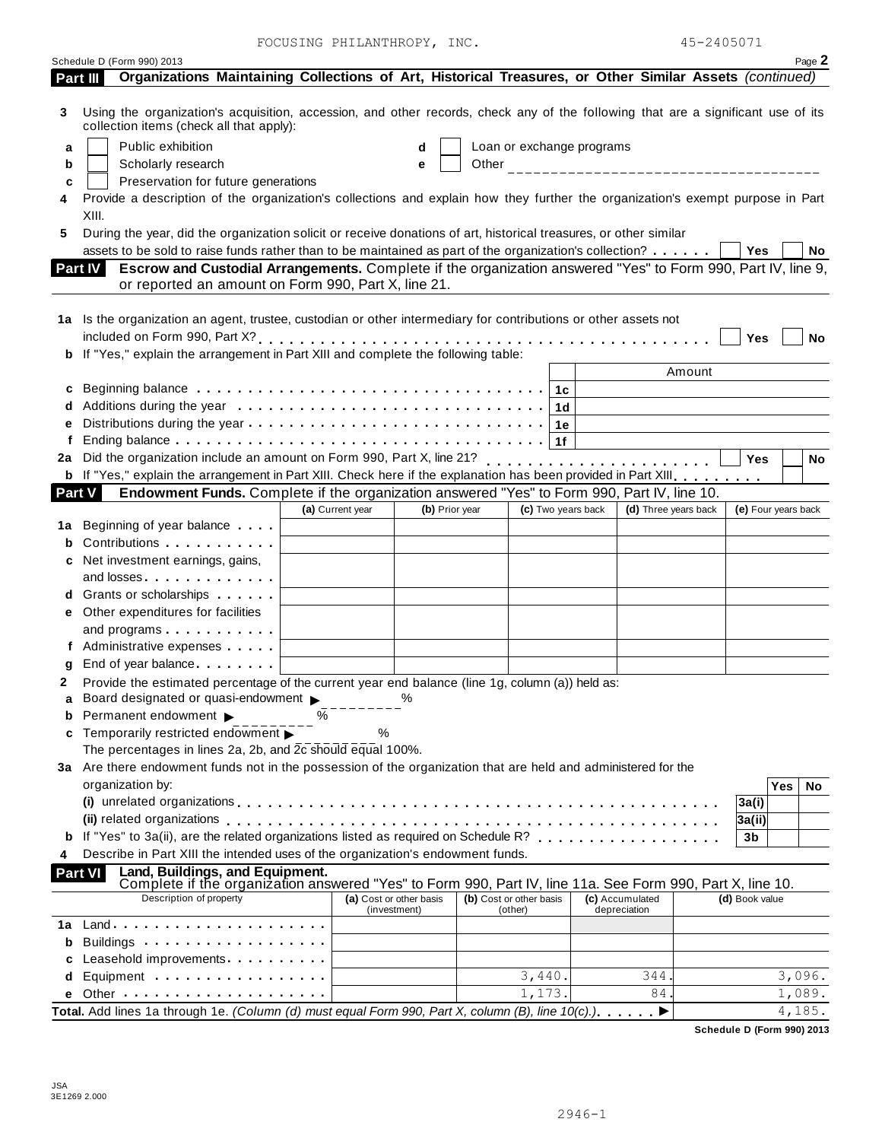|              | Schedule D (Form 990) 2013                                                                                                                                                                                                         |                  |                         |                           |                      |                     | Page 2           |
|--------------|------------------------------------------------------------------------------------------------------------------------------------------------------------------------------------------------------------------------------------|------------------|-------------------------|---------------------------|----------------------|---------------------|------------------|
|              | Organizations Maintaining Collections of Art, Historical Treasures, or Other Similar Assets (continued)<br>Part III                                                                                                                |                  |                         |                           |                      |                     |                  |
| 3            | Using the organization's acquisition, accession, and other records, check any of the following that are a significant use of its<br>collection items (check all that apply):                                                       |                  |                         |                           |                      |                     |                  |
| a            | Public exhibition                                                                                                                                                                                                                  |                  | d                       | Loan or exchange programs |                      |                     |                  |
| b            | Scholarly research                                                                                                                                                                                                                 |                  | е                       |                           |                      |                     |                  |
| c            | Preservation for future generations                                                                                                                                                                                                |                  |                         |                           |                      |                     |                  |
|              | Provide a description of the organization's collections and explain how they further the organization's exempt purpose in Part                                                                                                     |                  |                         |                           |                      |                     |                  |
|              | XIII.                                                                                                                                                                                                                              |                  |                         |                           |                      |                     |                  |
| 5            | During the year, did the organization solicit or receive donations of art, historical treasures, or other similar                                                                                                                  |                  |                         |                           |                      |                     |                  |
|              | assets to be sold to raise funds rather than to be maintained as part of the organization's collection?                                                                                                                            |                  |                         |                           |                      | Yes                 | No               |
|              | Escrow and Custodial Arrangements. Complete if the organization answered "Yes" to Form 990, Part IV, line 9,<br><b>Part IV</b>                                                                                                     |                  |                         |                           |                      |                     |                  |
|              | or reported an amount on Form 990, Part X, line 21.                                                                                                                                                                                |                  |                         |                           |                      |                     |                  |
|              |                                                                                                                                                                                                                                    |                  |                         |                           |                      |                     |                  |
|              | 1a Is the organization an agent, trustee, custodian or other intermediary for contributions or other assets not                                                                                                                    |                  |                         |                           |                      |                     |                  |
|              |                                                                                                                                                                                                                                    |                  |                         |                           |                      | Yes                 | No               |
|              | b If "Yes," explain the arrangement in Part XIII and complete the following table:                                                                                                                                                 |                  |                         |                           |                      |                     |                  |
|              |                                                                                                                                                                                                                                    |                  |                         |                           | Amount               |                     |                  |
|              |                                                                                                                                                                                                                                    |                  |                         |                           |                      |                     |                  |
|              |                                                                                                                                                                                                                                    |                  |                         | 1d                        |                      |                     |                  |
|              |                                                                                                                                                                                                                                    |                  |                         | 1e                        |                      |                     |                  |
|              |                                                                                                                                                                                                                                    |                  |                         | 1f                        |                      |                     |                  |
|              |                                                                                                                                                                                                                                    |                  |                         |                           |                      | Yes                 | No               |
|              | b If "Yes," explain the arrangement in Part XIII. Check here if the explanation has been provided in Part XIII.                                                                                                                    |                  |                         |                           |                      |                     |                  |
|              | Endowment Funds. Complete if the organization answered "Yes" to Form 990, Part IV, line 10.<br><b>Part V</b>                                                                                                                       |                  |                         |                           |                      |                     |                  |
|              |                                                                                                                                                                                                                                    | (a) Current year | (b) Prior year          | (c) Two years back        | (d) Three years back | (e) Four years back |                  |
|              | <b>1a</b> Beginning of year balance                                                                                                                                                                                                |                  |                         |                           |                      |                     |                  |
|              | <b>b</b> Contributions                                                                                                                                                                                                             |                  |                         |                           |                      |                     |                  |
|              | c Net investment earnings, gains,                                                                                                                                                                                                  |                  |                         |                           |                      |                     |                  |
|              | and losses                                                                                                                                                                                                                         |                  |                         |                           |                      |                     |                  |
|              | <b>d</b> Grants or scholarships <b>contains</b>                                                                                                                                                                                    |                  |                         |                           |                      |                     |                  |
|              | e Other expenditures for facilities                                                                                                                                                                                                |                  |                         |                           |                      |                     |                  |
|              |                                                                                                                                                                                                                                    |                  |                         |                           |                      |                     |                  |
|              | and programs                                                                                                                                                                                                                       |                  |                         |                           |                      |                     |                  |
|              | f Administrative expenses                                                                                                                                                                                                          |                  |                         |                           |                      |                     |                  |
|              | End of year balance expansion of the same of the same of the same of the same of the same of the same of the s                                                                                                                     |                  |                         |                           |                      |                     |                  |
|              | Provide the estimated percentage of the current year end balance (line 1g, column (a)) held as:                                                                                                                                    |                  |                         |                           |                      |                     |                  |
|              | Board designated or quasi-endowment<br>Solution 3%                                                                                                                                                                                 |                  |                         |                           |                      |                     |                  |
|              | <b>b</b> Permanent endowment $\blacktriangleright$                                                                                                                                                                                 | %                |                         |                           |                      |                     |                  |
|              | c Temporarily restricted endowment                                                                                                                                                                                                 | %                |                         |                           |                      |                     |                  |
|              | The percentages in lines 2a, 2b, and $2c \overline{c}$ should equal 100%.                                                                                                                                                          |                  |                         |                           |                      |                     |                  |
|              | 3a Are there endowment funds not in the possession of the organization that are held and administered for the                                                                                                                      |                  |                         |                           |                      |                     |                  |
|              | organization by:                                                                                                                                                                                                                   |                  |                         |                           |                      | Yes                 |                  |
|              |                                                                                                                                                                                                                                    |                  |                         |                           |                      | 3a(i)               |                  |
|              |                                                                                                                                                                                                                                    |                  |                         |                           |                      | 3a(ii)              |                  |
|              | <b>b</b> If "Yes" to 3a(ii), are the related organizations listed as required on Schedule R? $\ldots$ , $\ldots$ , $\ldots$                                                                                                        |                  |                         |                           |                      | 3b                  |                  |
|              | Describe in Part XIII the intended uses of the organization's endowment funds.                                                                                                                                                     |                  |                         |                           |                      |                     |                  |
|              | Land, Buildings, and Equipment.<br><b>Part VI</b>                                                                                                                                                                                  |                  |                         |                           |                      |                     |                  |
|              | Complete if the organization answered "Yes" to Form 990, Part IV, line 11a. See Form 990, Part X, line 10.<br>Description of property                                                                                              |                  | (a) Cost or other basis | (b) Cost or other basis   | (c) Accumulated      | (d) Book value      |                  |
|              |                                                                                                                                                                                                                                    |                  | (investment)            | (other)                   | depreciation         |                     |                  |
|              |                                                                                                                                                                                                                                    |                  |                         |                           |                      |                     |                  |
|              | Buildings                                                                                                                                                                                                                          |                  |                         |                           |                      |                     |                  |
|              | Leasehold improvements <b>contained</b> the set of the set of the set of the set of the set of the set of the set of the set of the set of the set of the set of the set of the set of the set of the set of the set of the set of |                  |                         |                           |                      |                     |                  |
| 1a<br>b<br>d | Equipment                                                                                                                                                                                                                          |                  |                         | 3,440.                    | 344                  |                     | No.<br>3,096.    |
|              | Total. Add lines 1a through 1e. (Column (d) must equal Form 990, Part X, column (B), line 10(c).)                                                                                                                                  |                  |                         | 1,173.                    | 84.                  |                     | 1,089.<br>4,185. |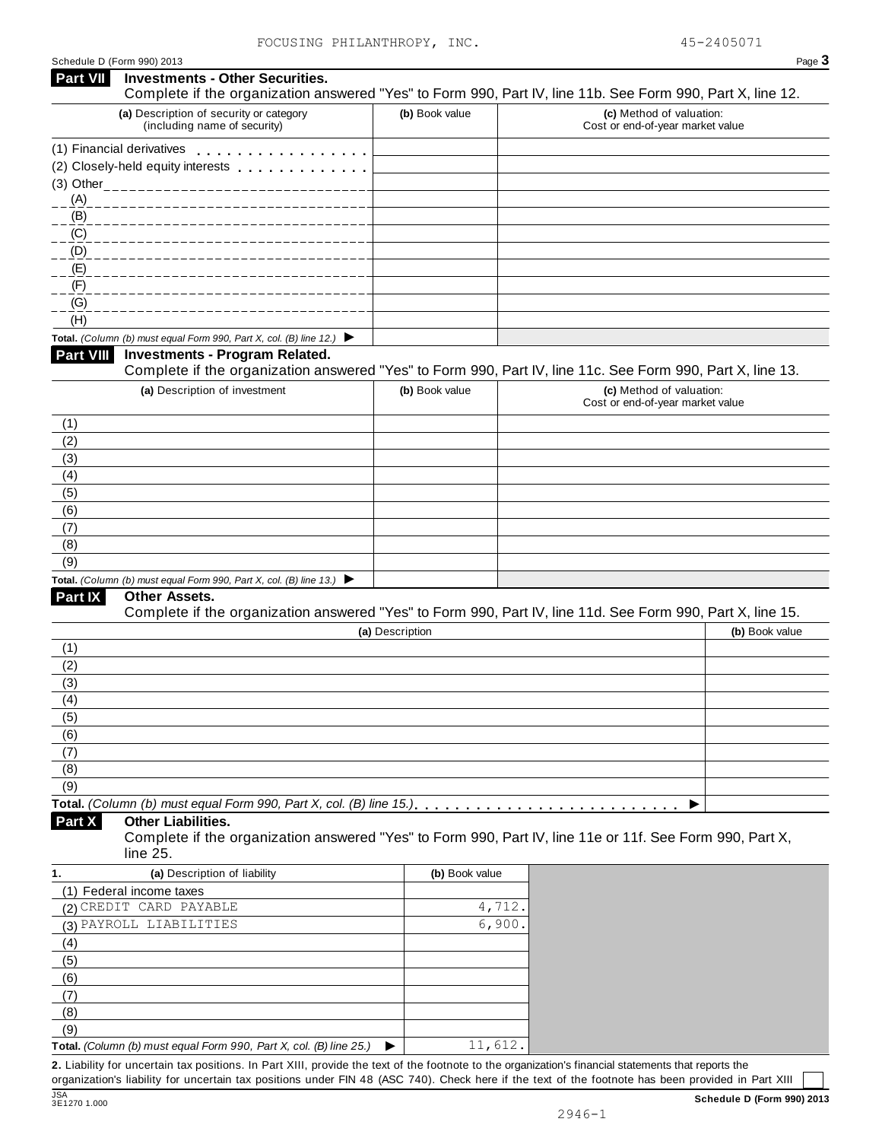| Schedule D (Form 990) 2013 |  |  |
|----------------------------|--|--|

| Part VII   | Schedule D (Form 990) 2013<br><b>Investments - Other Securities.</b>                                        |                 | Page 3                                                                                                     |
|------------|-------------------------------------------------------------------------------------------------------------|-----------------|------------------------------------------------------------------------------------------------------------|
|            |                                                                                                             |                 | Complete if the organization answered "Yes" to Form 990, Part IV, line 11b. See Form 990, Part X, line 12. |
|            | (a) Description of security or category<br>(including name of security)                                     | (b) Book value  | (c) Method of valuation:<br>Cost or end-of-year market value                                               |
|            | (1) Financial derivatives                                                                                   |                 |                                                                                                            |
|            | (2) Closely-held equity interests                                                                           |                 |                                                                                                            |
|            | (3) Other_______________                                                                                    |                 |                                                                                                            |
| (A)        |                                                                                                             |                 |                                                                                                            |
| (B)        |                                                                                                             |                 |                                                                                                            |
| (C)        |                                                                                                             |                 |                                                                                                            |
| (D)        |                                                                                                             |                 |                                                                                                            |
| (E)        |                                                                                                             |                 |                                                                                                            |
| (F)<br>(G) |                                                                                                             |                 |                                                                                                            |
| (H)        |                                                                                                             |                 |                                                                                                            |
|            | Total. (Column (b) must equal Form 990, Part X, col. (B) line 12.) $\blacktriangleright$                    |                 |                                                                                                            |
| Part VIII  | <b>Investments - Program Related.</b>                                                                       |                 |                                                                                                            |
|            |                                                                                                             |                 | Complete if the organization answered "Yes" to Form 990, Part IV, line 11c. See Form 990, Part X, line 13. |
|            | (a) Description of investment                                                                               | (b) Book value  | (c) Method of valuation:<br>Cost or end-of-year market value                                               |
| (1)        |                                                                                                             |                 |                                                                                                            |
| (2)        |                                                                                                             |                 |                                                                                                            |
| (3)        |                                                                                                             |                 |                                                                                                            |
| (4)        |                                                                                                             |                 |                                                                                                            |
| (5)        |                                                                                                             |                 |                                                                                                            |
| (6)        |                                                                                                             |                 |                                                                                                            |
| (7)        |                                                                                                             |                 |                                                                                                            |
| (8)        |                                                                                                             |                 |                                                                                                            |
| (9)        |                                                                                                             |                 |                                                                                                            |
| Part IX    | Total. (Column (b) must equal Form 990, Part X, col. (B) line 13.) $\blacktriangleright$<br>Other Assets.   |                 |                                                                                                            |
|            |                                                                                                             |                 | Complete if the organization answered "Yes" to Form 990, Part IV, line 11d. See Form 990, Part X, line 15. |
|            |                                                                                                             | (a) Description | (b) Book value                                                                                             |
| (1)        |                                                                                                             |                 |                                                                                                            |
| (2)        |                                                                                                             |                 |                                                                                                            |
| (3)        |                                                                                                             |                 |                                                                                                            |
| (4)        |                                                                                                             |                 |                                                                                                            |
| (5)        |                                                                                                             |                 |                                                                                                            |
| (6)        |                                                                                                             |                 |                                                                                                            |
| (7)        |                                                                                                             |                 |                                                                                                            |
| (8)        |                                                                                                             |                 |                                                                                                            |
| (9)        |                                                                                                             |                 |                                                                                                            |
| Part X     | Total. (Column (b) must equal Form 990, Part X, col. (B) line 15.)<br><b>Other Liabilities.</b><br>line 25. |                 | Complete if the organization answered "Yes" to Form 990, Part IV, line 11e or 11f. See Form 990, Part X,   |
|            | (a) Description of liability                                                                                | (b) Book value  |                                                                                                            |
|            | (1) Federal income taxes                                                                                    |                 |                                                                                                            |
|            | (2) CREDIT CARD PAYABLE                                                                                     | 4,712.          |                                                                                                            |
|            | (3) PAYROLL LIABILITIES                                                                                     | 6,900.          |                                                                                                            |
| (4)        |                                                                                                             |                 |                                                                                                            |
| (5)        |                                                                                                             |                 |                                                                                                            |
| (6)        |                                                                                                             |                 |                                                                                                            |
| (7)        |                                                                                                             |                 |                                                                                                            |
|            |                                                                                                             |                 |                                                                                                            |
|            |                                                                                                             |                 |                                                                                                            |
| (8)<br>(9) | Total. (Column (b) must equal Form 990, Part X, col. (B) line 25.)                                          | 11,612.<br>▶    |                                                                                                            |

organization's liability for uncertain tax positions under FIN 48 (ASC 740). Check here if the text of the footnote has been provided in Part XIII<br>
3EA<br>
3E1270 1.000<br> **Schedule D (Form 990**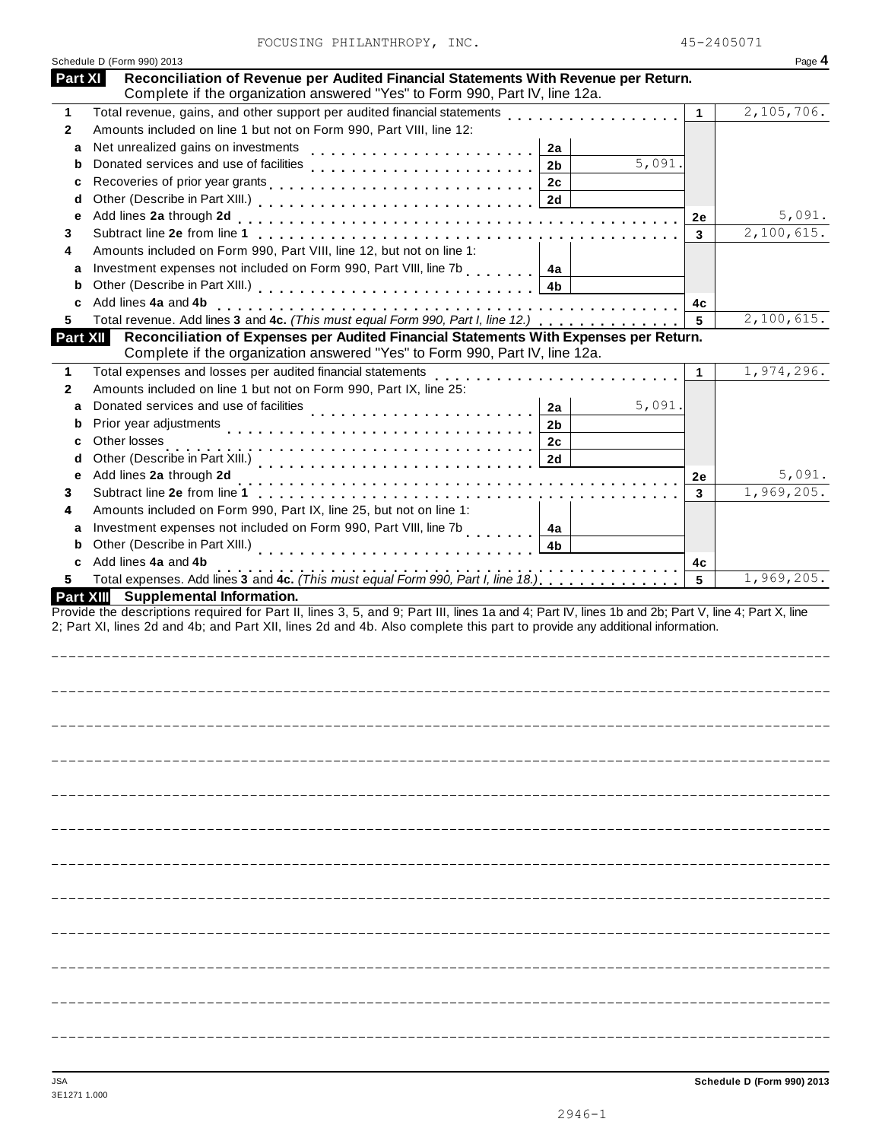| FOCUSING PHILANTHROPY, INC. | 45-2405071 |
|-----------------------------|------------|

|                   | FOCUSING PHILANTHROPY, INC.                                                                                                                                                               | 45-2405071      |            |
|-------------------|-------------------------------------------------------------------------------------------------------------------------------------------------------------------------------------------|-----------------|------------|
|                   | Schedule D (Form 990) 2013                                                                                                                                                                |                 | Page 4     |
| Part XI           | Reconciliation of Revenue per Audited Financial Statements With Revenue per Return.                                                                                                       |                 |            |
|                   | Complete if the organization answered "Yes" to Form 990, Part IV, line 12a.                                                                                                               |                 | 2,105,706. |
| 1<br>$\mathbf{2}$ | Total revenue, gains, and other support per audited financial statements                                                                                                                  | $\mathbf 1$     |            |
|                   | Amounts included on line 1 but not on Form 990, Part VIII, line 12:                                                                                                                       |                 |            |
| a                 | Net unrealized gains on investments<br>2a<br>5,091.                                                                                                                                       |                 |            |
| b                 | Donated services and use of facilities<br>2 <sub>b</sub>                                                                                                                                  |                 |            |
| c                 | 2c                                                                                                                                                                                        |                 |            |
| d                 | 2d                                                                                                                                                                                        |                 |            |
| е                 |                                                                                                                                                                                           | 2e              | 5,091.     |
| 3                 |                                                                                                                                                                                           | 3               | 2,100,615. |
| 4                 | Amounts included on Form 990, Part VIII, line 12, but not on line 1:                                                                                                                      |                 |            |
| a                 | Investment expenses not included on Form 990, Part VIII, line 7b<br>4a                                                                                                                    |                 |            |
| b                 | 4b                                                                                                                                                                                        |                 |            |
| c                 | Add lines 4a and 4b                                                                                                                                                                       | 4c              |            |
| 5                 | Total revenue. Add lines 3 and 4c. (This must equal Form 990, Part I, line 12.)                                                                                                           | 5               | 2,100,615. |
|                   | Part XII<br>Reconciliation of Expenses per Audited Financial Statements With Expenses per Return.<br>Complete if the organization answered "Yes" to Form 990, Part IV, line 12a.          |                 |            |
|                   | Total expenses and losses per audited financial statements                                                                                                                                |                 | 1,974,296. |
| 1<br>$\mathbf{2}$ | Amounts included on line 1 but not on Form 990, Part IX, line 25:                                                                                                                         | $\mathbf 1$     |            |
|                   | Donated services and use of facilities<br>5,091.                                                                                                                                          |                 |            |
| a                 | 2a<br>.<br>Prior year adjustments<br>2 <sub>b</sub>                                                                                                                                       |                 |            |
| b<br>c            | Other losses<br>2 <sub>c</sub>                                                                                                                                                            |                 |            |
|                   | Other (Describe in Part XIII.)                                                                                                                                                            |                 |            |
| d                 | 2d<br>Add lines 2a through 2d                                                                                                                                                             |                 | 5,091.     |
| е                 | Subtract line 2e from line 1                                                                                                                                                              | 2e              |            |
|                   |                                                                                                                                                                                           |                 |            |
|                   | di di di di di di di di di di di d                                                                                                                                                        | 3               |            |
|                   | Amounts included on Form 990, Part IX, line 25, but not on line 1:                                                                                                                        |                 |            |
| a                 | Investment expenses not included on Form 990, Part VIII, line 7b<br>4a                                                                                                                    |                 |            |
| b                 | Other (Describe in Part XIII.)<br>4 <sub>b</sub><br>. <b>.</b> .                                                                                                                          |                 |            |
| C                 | Add lines 4a and 4b                                                                                                                                                                       | 4c              |            |
|                   | Total expenses. Add lines 3 and 4c. (This must equal Form 990, Part I, line 18.)<br>Total expenses. Add lines 3 and 4c. (This must equal Form 990, Part I, line 18.)                      | $5\phantom{.0}$ |            |
|                   | Part XIII Supplemental Information.<br>Provide the descriptions required for Part II, lines 3, 5, and 9; Part III, lines 1a and 4; Part IV, lines 1b and 2b; Part V, line 4; Part X, line |                 |            |
| 3<br>4<br>5       | 2; Part XI, lines 2d and 4b; and Part XII, lines 2d and 4b. Also complete this part to provide any additional information.                                                                |                 | 1,969,205. |
|                   |                                                                                                                                                                                           |                 | 1,969,205. |
|                   |                                                                                                                                                                                           |                 |            |
|                   |                                                                                                                                                                                           |                 |            |
|                   |                                                                                                                                                                                           |                 |            |
|                   |                                                                                                                                                                                           |                 |            |
|                   |                                                                                                                                                                                           |                 |            |
|                   |                                                                                                                                                                                           |                 |            |
|                   |                                                                                                                                                                                           |                 |            |
|                   |                                                                                                                                                                                           |                 |            |
|                   |                                                                                                                                                                                           |                 |            |
|                   |                                                                                                                                                                                           |                 |            |
|                   |                                                                                                                                                                                           |                 |            |
|                   |                                                                                                                                                                                           |                 |            |
|                   |                                                                                                                                                                                           |                 |            |
|                   |                                                                                                                                                                                           |                 |            |
|                   |                                                                                                                                                                                           |                 |            |
|                   |                                                                                                                                                                                           |                 |            |
|                   |                                                                                                                                                                                           |                 |            |
|                   |                                                                                                                                                                                           |                 |            |
|                   |                                                                                                                                                                                           |                 |            |
|                   |                                                                                                                                                                                           |                 |            |
|                   |                                                                                                                                                                                           |                 |            |
|                   |                                                                                                                                                                                           |                 |            |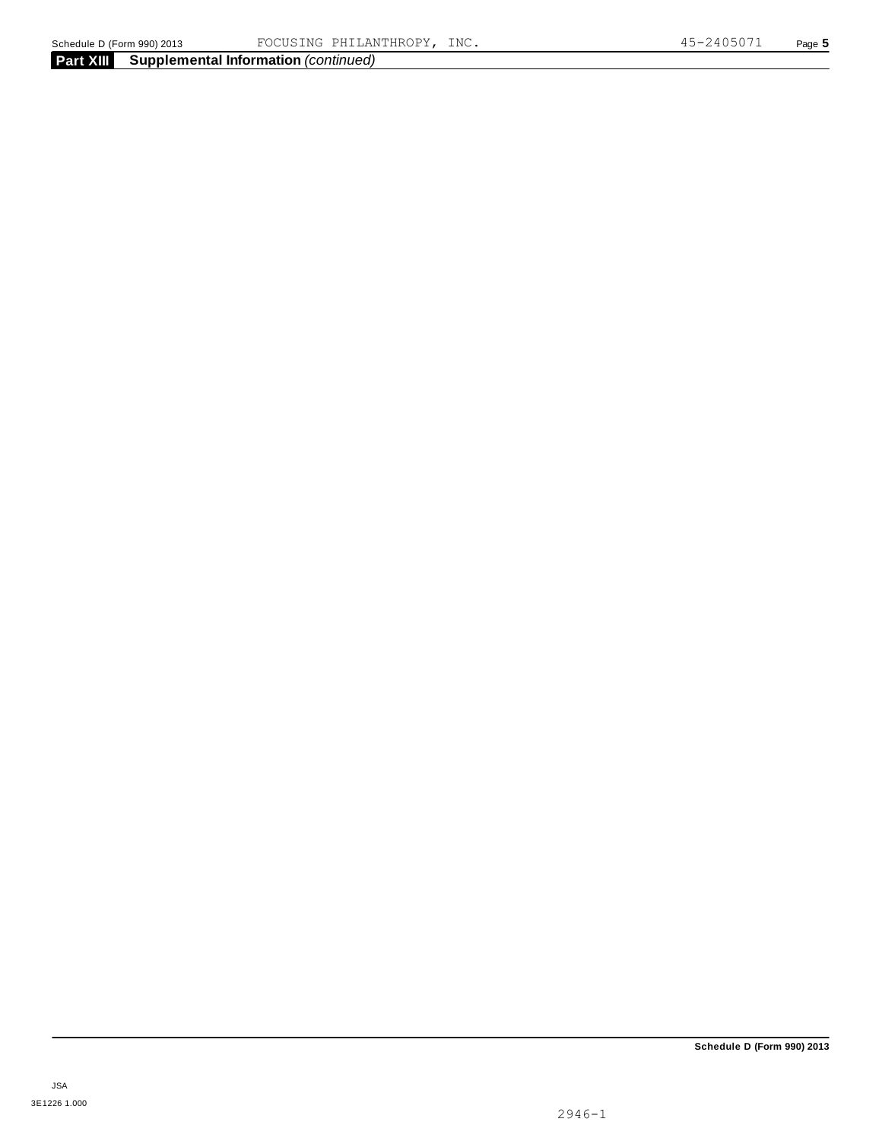### **Part XIII Supplemental Information** *(continued)*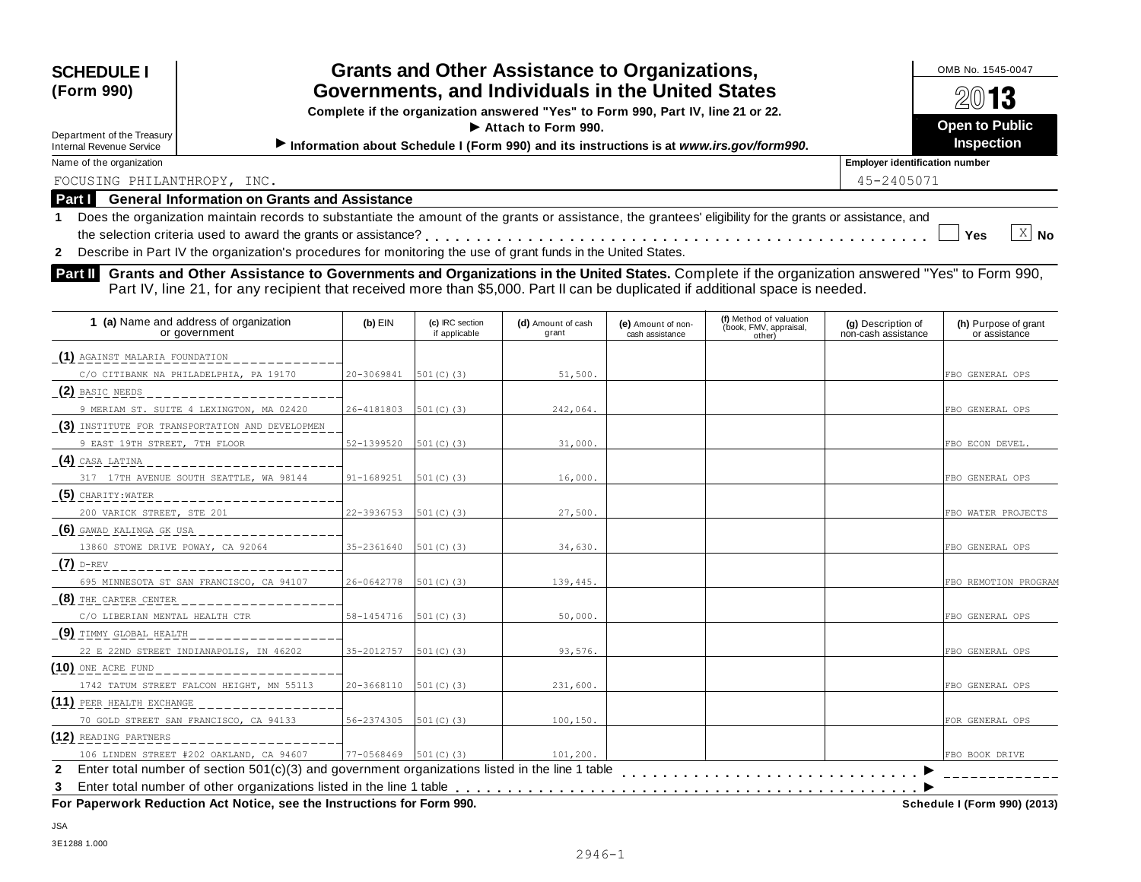| <b>Grants and Other Assistance to Organizations,</b>                             | OMB No. 1545-0047 |
|----------------------------------------------------------------------------------|-------------------|
| Governments, and Individuals in the United States                                | 2013              |
| Complete if the organization answered "Yes" to Form 990, Part IV, line 21 or 22. |                   |

Complete if the organization answered "Yes" to Form 990, Part IV, line 21 or 22.<br>Department of the Treasury **Open to Public Complete if the organization answered "Yes" to Form 990.** 

|                                       | 74W I 3               |  |  |  |  |  |  |  |  |
|---------------------------------------|-----------------------|--|--|--|--|--|--|--|--|
|                                       | <b>Open to Public</b> |  |  |  |  |  |  |  |  |
|                                       | <b>Inspection</b>     |  |  |  |  |  |  |  |  |
| <b>Employer identification number</b> |                       |  |  |  |  |  |  |  |  |

 $\bar{x}$  No

**SCHEDULE I (Form 990)**

## **<u>Internal Revenue Service</u><br>Information about Schedule I (Form 990) and its instructions is at** *www.irs.gov/form990***.<br>Name of the organization**

FOCUSING PHILANTHROPY, INC. 45-2405071

### **Part I General Information on Grants and Assistance**

**1** Does the organization maintain records to substantiate the amount of the grants or assistance, the grantees' eligibility for the grants or assistance, and the selection criteria used to award the grants or assistance? m m m m m m m m m m m m m m m m m m m m m m m m m m m m m m m m m m m m m m m m m m m m m m m m m **Yes No**

**2** Describe in Part IV the organization's procedures for monitoring the use of grant funds in the United States.

**Part II** Grants and Other Assistance to Governments and Organizations in the United States. Complete if the organization answered "Yes" to Form 990, Part IV, line 21, for any recipient that received more than \$5,000. Part II can be duplicated if additional space is needed.

| 1 (a) Name and address of organization<br>or government                                                        | $(b)$ EIN  | (c) IRC section<br>if applicable | (d) Amount of cash<br>grant | (e) Amount of non-<br>cash assistance | (f) Method of valuation<br>(book, FMV, appraisal,<br>other) | (g) Description of<br>non-cash assistance | (h) Purpose of grant<br>or assistance |
|----------------------------------------------------------------------------------------------------------------|------------|----------------------------------|-----------------------------|---------------------------------------|-------------------------------------------------------------|-------------------------------------------|---------------------------------------|
| (1) AGAINST MALARIA FOUNDATION                                                                                 |            |                                  |                             |                                       |                                                             |                                           |                                       |
| C/O CITIBANK NA PHILADELPHIA, PA 19170                                                                         | 20-3069841 | $501(C)$ (3)                     | 51,500.                     |                                       |                                                             |                                           | FBO GENERAL OPS                       |
| (2) BASIC NEEDS<br>________________________                                                                    |            |                                  |                             |                                       |                                                             |                                           |                                       |
| 9 MERIAM ST. SUITE 4 LEXINGTON, MA 02420                                                                       | 26-4181803 | $501(C)$ (3)                     | 242,064.                    |                                       |                                                             |                                           | FBO GENERAL OPS                       |
| (3) INSTITUTE FOR TRANSPORTATION AND DEVELOPMEN                                                                |            |                                  |                             |                                       |                                                             |                                           |                                       |
| 9 EAST 19TH STREET, 7TH FLOOR                                                                                  | 52-1399520 | [501(C) (3)]                     | 31,000.                     |                                       |                                                             |                                           | FBO ECON DEVEL.                       |
| (4) CASA LATINA ____________________________                                                                   |            |                                  |                             |                                       |                                                             |                                           |                                       |
| 317 17TH AVENUE SOUTH SEATTLE, WA 98144                                                                        | 91-1689251 | $501(C)$ (3)                     | 16,000.                     |                                       |                                                             |                                           | FBO GENERAL OPS                       |
| $(5)$ CHARITY: WATER<br>--------------------                                                                   |            |                                  |                             |                                       |                                                             |                                           |                                       |
| 200 VARICK STREET, STE 201                                                                                     | 22-3936753 | $501(C)$ (3)                     | 27,500.                     |                                       |                                                             |                                           | FBO WATER PROJECTS                    |
| $(6)$ GAWAD KALINGA GK USA _____________________                                                               |            |                                  |                             |                                       |                                                             |                                           |                                       |
| 13860 STOWE DRIVE POWAY, CA 92064                                                                              | 35-2361640 | 501(C)(3)                        | 34,630.                     |                                       |                                                             |                                           | FBO GENERAL OPS                       |
| $(7)$ D-REV<br>_______________________                                                                         |            |                                  |                             |                                       |                                                             |                                           |                                       |
| 695 MINNESOTA ST SAN FRANCISCO, CA 94107                                                                       | 26-0642778 | $501(C)$ (3)                     | 139,445.                    |                                       |                                                             |                                           | FBO REMOTION PROGRAM                  |
|                                                                                                                |            |                                  |                             |                                       |                                                             |                                           |                                       |
| C/O LIBERIAN MENTAL HEALTH CTR                                                                                 | 58-1454716 | [501(C) (3)]                     | 50,000.                     |                                       |                                                             |                                           | FBO GENERAL OPS                       |
| $(9)$ TIMMY GLOBAL HEALTH ___________________                                                                  |            |                                  |                             |                                       |                                                             |                                           |                                       |
| 22 E 22ND STREET INDIANAPOLIS, IN 46202                                                                        | 35-2012757 | $501(C)$ (3)                     | 93,576.                     |                                       |                                                             |                                           | FBO GENERAL OPS                       |
| $(10)$ ONE ACRE FUND                                                                                           |            |                                  |                             |                                       |                                                             |                                           |                                       |
| 1742 TATUM STREET FALCON HEIGHT, MN 55113                                                                      | 20-3668110 | 501(C)(3)                        | 231,600.                    |                                       |                                                             |                                           | FBO GENERAL OPS                       |
| $(11)$ PEER HEALTH EXCHANGE ___________________                                                                |            |                                  |                             |                                       |                                                             |                                           |                                       |
| 70 GOLD STREET SAN FRANCISCO, CA 94133                                                                         | 56-2374305 | 501(C)(3)                        | 100, 150.                   |                                       |                                                             |                                           | FOR GENERAL OPS                       |
| (12) READING PARTNERS<br>____________________                                                                  |            |                                  |                             |                                       |                                                             |                                           |                                       |
| 106 LINDEN STREET #202 OAKLAND, CA 94607                                                                       | 77-0568469 | $501(C)$ (3)                     | 101,200.                    |                                       |                                                             |                                           | FBO BOOK DRIVE                        |
| Enter total number of section 501(c)(3) and government organizations listed in the line 1 table<br>$\mathbf 2$ |            |                                  |                             |                                       |                                                             |                                           |                                       |
| 3                                                                                                              |            |                                  |                             |                                       |                                                             |                                           |                                       |
| For Paperwork Reduction Act Notice, see the Instructions for Form 990.                                         |            |                                  |                             |                                       |                                                             |                                           | Schedule I (Form 990) (2013)          |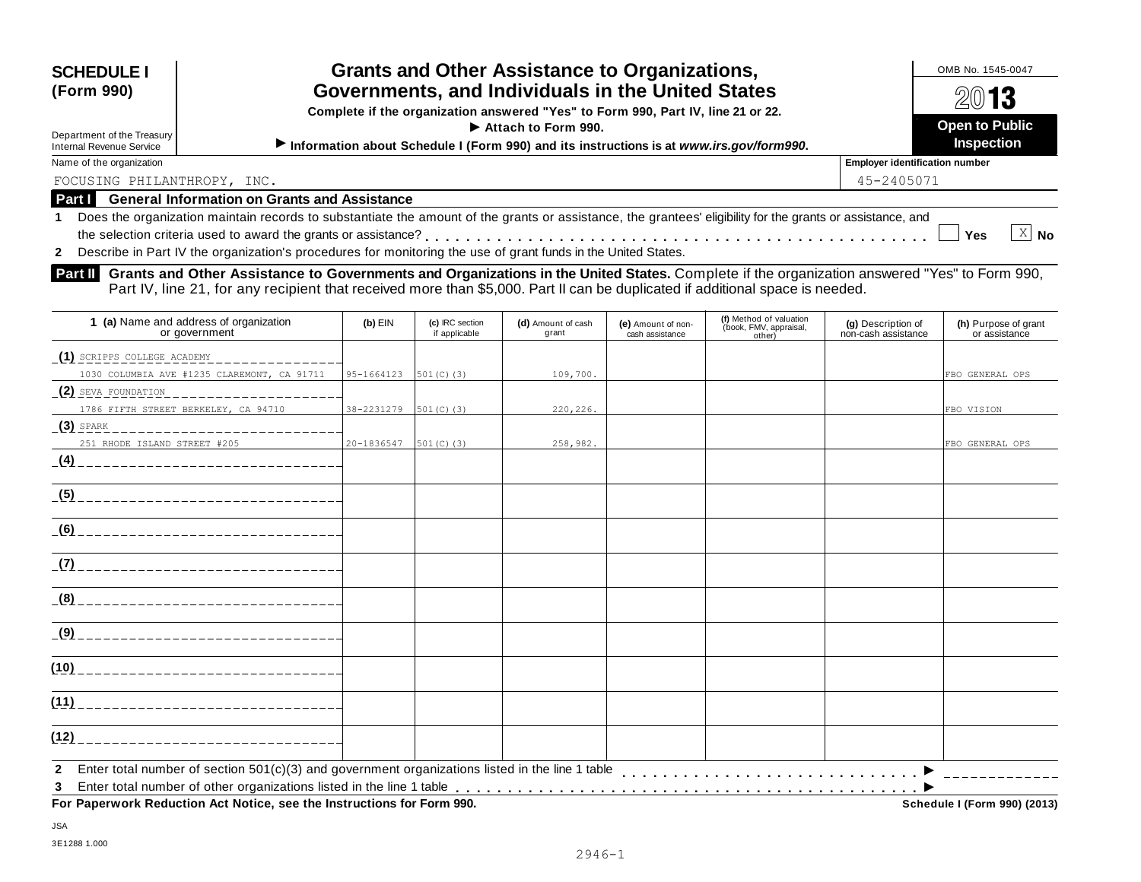| <b>Grants and Other Assistance to Organizations,</b><br>Governments, and Individuals in the United States<br>Complete if the organization answered "Yes" to Form 990, Part IV, line 21 or 22.<br>Attach to Form 990. |                                       |  |  |  |
|----------------------------------------------------------------------------------------------------------------------------------------------------------------------------------------------------------------------|---------------------------------------|--|--|--|
| Information about Schedule I (Form 990) and its instructions is at www.irs.gov/form990.                                                                                                                              | <b>Inspection</b>                     |  |  |  |
|                                                                                                                                                                                                                      | <b>Employer identification number</b> |  |  |  |
| 45-2405071                                                                                                                                                                                                           |                                       |  |  |  |
|                                                                                                                                                                                                                      |                                       |  |  |  |
| 1 Does the organization maintain records to substantiate the amount of the grants or assistance, the grantees' eligibility for the grants or assistance, and                                                         |                                       |  |  |  |
|                                                                                                                                                                                                                      | $X$ No<br>Yes                         |  |  |  |
|                                                                                                                                                                                                                      |                                       |  |  |  |
|                                                                                                                                                                                                                      |                                       |  |  |  |

**Part II** Grants and Other Assistance to Governments and Organizations in the United States. Complete if the organization answered "Yes" to Form 990, Part IV, line 21, for any recipient that received more than \$5,000. Part II can be duplicated if additional space is needed.

| 1 (a) Name and address of organization<br>or government                                                         | $(b)$ EIN  | (c) IRC section<br>if applicable | (d) Amount of cash<br>grant | (e) Amount of non-<br>cash assistance | (f) Method of valuation<br>(book, FMV, appraisal,<br>other) | (g) Description of<br>non-cash assistance | (h) Purpose of grant<br>or assistance |
|-----------------------------------------------------------------------------------------------------------------|------------|----------------------------------|-----------------------------|---------------------------------------|-------------------------------------------------------------|-------------------------------------------|---------------------------------------|
| (1) SCRIPPS COLLEGE ACADEMY                                                                                     |            |                                  |                             |                                       |                                                             |                                           |                                       |
| 1030 COLUMBIA AVE #1235 CLAREMONT, CA 91711                                                                     | 95-1664123 | $501(C)$ (3)                     | 109,700.                    |                                       |                                                             |                                           | FBO GENERAL OPS                       |
| (2) SEVA FOUNDATION ______________________                                                                      |            |                                  |                             |                                       |                                                             |                                           |                                       |
| 1786 FIFTH STREET BERKELEY, CA 94710                                                                            | 38-2231279 | $501(C)$ (3)                     | 220,226.                    |                                       |                                                             |                                           | FBO VISION                            |
| $(3)$ SPARK $-$<br>_____________________________                                                                |            |                                  |                             |                                       |                                                             |                                           |                                       |
| 251 RHODE ISLAND STREET #205                                                                                    | 20-1836547 | $501(C)$ (3)                     | 258,982.                    |                                       |                                                             |                                           | FBO GENERAL OPS                       |
|                                                                                                                 |            |                                  |                             |                                       |                                                             |                                           |                                       |
|                                                                                                                 |            |                                  |                             |                                       |                                                             |                                           |                                       |
|                                                                                                                 |            |                                  |                             |                                       |                                                             |                                           |                                       |
| (7)                                                                                                             |            |                                  |                             |                                       |                                                             |                                           |                                       |
|                                                                                                                 |            |                                  |                             |                                       |                                                             |                                           |                                       |
|                                                                                                                 |            |                                  |                             |                                       |                                                             |                                           |                                       |
| (10)<br>_________________________________                                                                       |            |                                  |                             |                                       |                                                             |                                           |                                       |
| (11)                                                                                                            |            |                                  |                             |                                       |                                                             |                                           |                                       |
| (12)                                                                                                            |            |                                  |                             |                                       |                                                             |                                           |                                       |
| Enter total number of section 501(c)(3) and government organizations listed in the line 1 table<br>$\mathbf{2}$ |            |                                  |                             |                                       |                                                             |                                           |                                       |
| 3                                                                                                               |            |                                  |                             |                                       |                                                             |                                           |                                       |
| For Paperwork Reduction Act Notice, see the Instructions for Form 990.                                          |            |                                  |                             |                                       |                                                             |                                           | Schedule I (Form 990) (2013)          |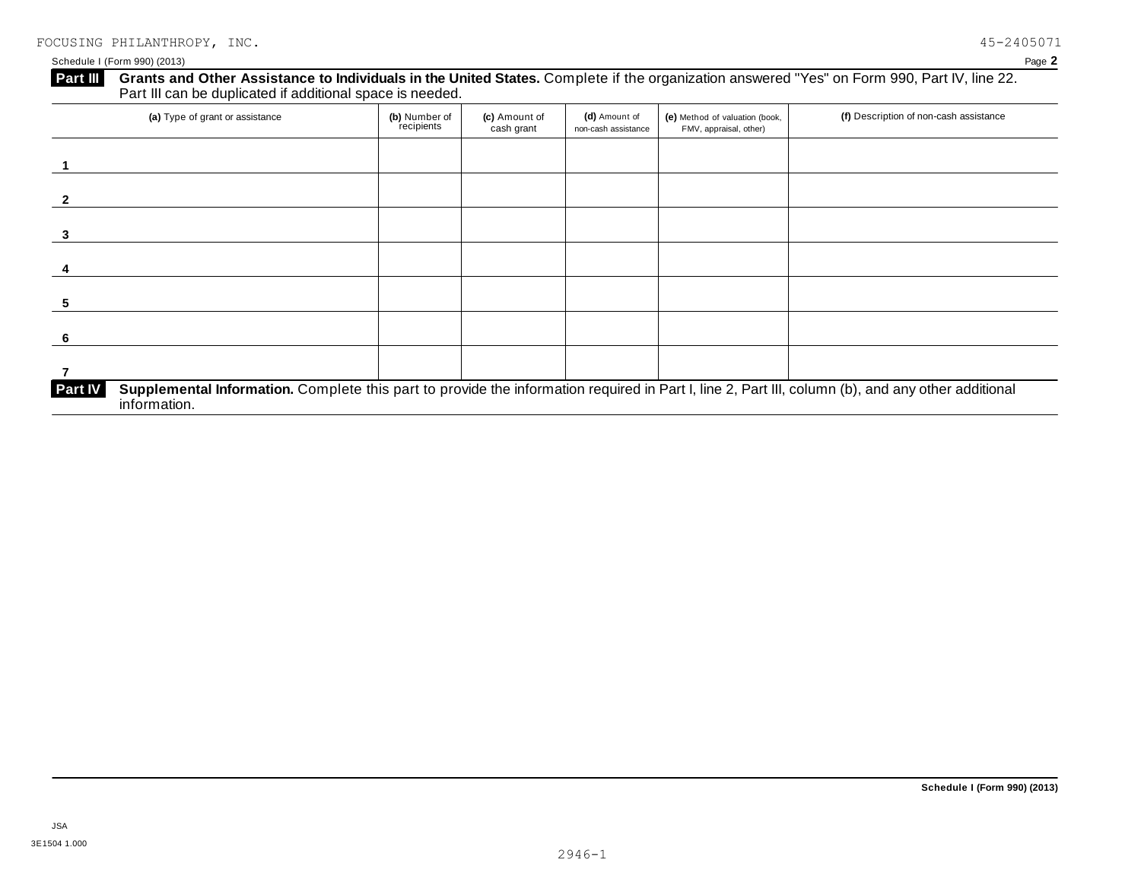| (a) Type of grant or assistance | (b) Number of<br>recipients | (c) Amount of<br>cash grant | (d) Amount of<br>non-cash assistance | (e) Method of valuation (book,<br>FMV, appraisal, other) | (f) Description of non-cash assistance |
|---------------------------------|-----------------------------|-----------------------------|--------------------------------------|----------------------------------------------------------|----------------------------------------|
|                                 |                             |                             |                                      |                                                          |                                        |
|                                 |                             |                             |                                      |                                                          |                                        |
|                                 |                             |                             |                                      |                                                          |                                        |
|                                 |                             |                             |                                      |                                                          |                                        |
|                                 |                             |                             |                                      |                                                          |                                        |
|                                 |                             |                             |                                      |                                                          |                                        |
|                                 |                             |                             |                                      |                                                          |                                        |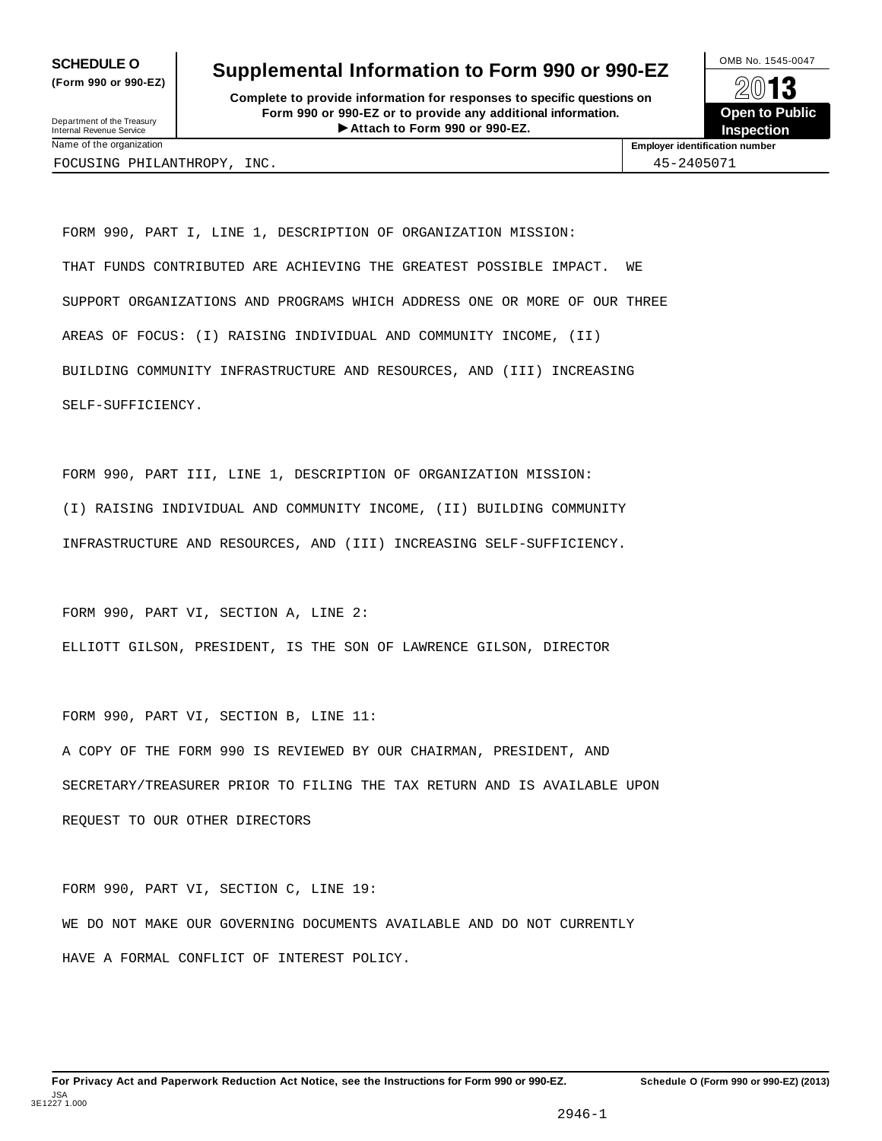**(Form 990 or 990-EZ)**

### SCHEDULE O Supplemental Information to Form 990 or 990-EZ  $\bigcup_{\text{OMB No. 1545-0047}}$

**Complete to provide information for responses to specific questions on Form 990 or 990-EZ or to provide any additional information.** Fraction of the Proposes to specific questions on<br>
10-EZ or to provide any additional information.<br>
Attach to Form 990 or 990-EZ.<br>
Attach to Form 990 or 990-EZ. Department of the Treasury<br>Internal Revenue Service **Department of the Treasury Property Contract Department OF Attact**<br> **Contract Contract Contract Contract Contract Contract Contract Contract Contract Contract Contract** 

**Open to Public Inspection**

FOCUSING PHILANTHROPY, INC. 45-2405071

FORM 990, PART I, LINE 1, DESCRIPTION OF ORGANIZATION MISSION: THAT FUNDS CONTRIBUTED ARE ACHIEVING THE GREATEST POSSIBLE IMPACT. WE SUPPORT ORGANIZATIONS AND PROGRAMS WHICH ADDRESS ONE OR MORE OF OUR THREE AREAS OF FOCUS: (I) RAISING INDIVIDUAL AND COMMUNITY INCOME, (II) BUILDING COMMUNITY INFRASTRUCTURE AND RESOURCES, AND (III) INCREASING SELF-SUFFICIENCY.

FORM 990, PART III, LINE 1, DESCRIPTION OF ORGANIZATION MISSION: (I) RAISING INDIVIDUAL AND COMMUNITY INCOME, (II) BUILDING COMMUNITY INFRASTRUCTURE AND RESOURCES, AND (III) INCREASING SELF-SUFFICIENCY.

FORM 990, PART VI, SECTION A, LINE 2: ELLIOTT GILSON, PRESIDENT, IS THE SON OF LAWRENCE GILSON, DIRECTOR

FORM 990, PART VI, SECTION B, LINE 11: A COPY OF THE FORM 990 IS REVIEWED BY OUR CHAIRMAN, PRESIDENT, AND SECRETARY/TREASURER PRIOR TO FILING THE TAX RETURN AND IS AVAILABLE UPON REQUEST TO OUR OTHER DIRECTORS

FORM 990, PART VI, SECTION C, LINE 19: WE DO NOT MAKE OUR GOVERNING DOCUMENTS AVAILABLE AND DO NOT CURRENTLY HAVE A FORMAL CONFLICT OF INTEREST POLICY.